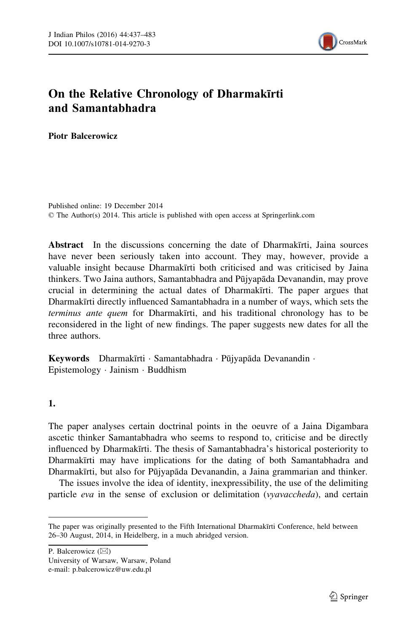

# On the Relative Chronology of Dharmakīrti and Samantabhadra

Piotr Balcerowicz

Published online: 19 December 2014 © The Author(s) 2014. This article is published with open access at Springerlink.com

Abstract In the discussions concerning the date of Dharmakirti, Jaina sources have never been seriously taken into account. They may, however, provide a valuable insight because Dharmakīrti both criticised and was criticised by Jaina thinkers. Two Jaina authors, Samantabhadra and Pūjyapāda Devanandin, may prove crucial in determining the actual dates of Dharmakirti. The paper argues that Dharmakīrti directly influenced Samantabhadra in a number of ways, which sets the terminus ante quem for Dharmakīrti, and his traditional chronology has to be reconsidered in the light of new findings. The paper suggests new dates for all the three authors.

Keywords Dharmakīrti · Samantabhadra · Pūjyapāda Devanandin · Epistemology · Jainism · Buddhism

# 1.

The paper analyses certain doctrinal points in the oeuvre of a Jaina Digambara ascetic thinker Samantabhadra who seems to respond to, criticise and be directly influenced by Dharmakīrti. The thesis of Samantabhadra's historical posteriority to Dharmakīrti may have implications for the dating of both Samantabhadra and Dharmakīrti, but also for Pūjyapāda Devanandin, a Jaina grammarian and thinker.

The issues involve the idea of identity, inexpressibility, the use of the delimiting particle eva in the sense of exclusion or delimitation (vyavaccheda), and certain

University of Warsaw, Warsaw, Poland e-mail: p.balcerowicz@uw.edu.pl

The paper was originally presented to the Fifth International Dharmakīrti Conference, held between 26–30 August, 2014, in Heidelberg, in a much abridged version.

P. Balcerowicz  $(\boxtimes)$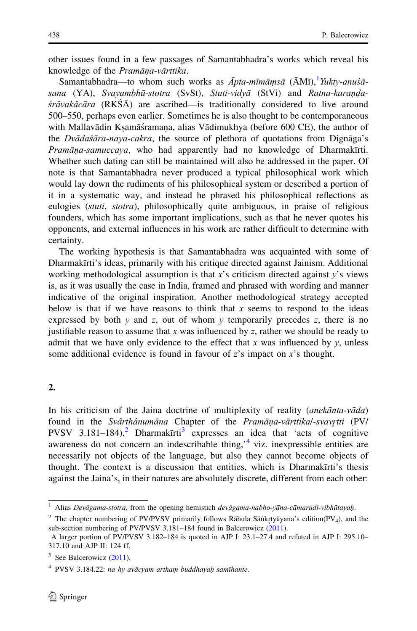other issues found in a few passages of Samantabhadra's works which reveal his knowledge of the Pramāṇa-vārttika.

Samantabhadra—to whom such works as  $\bar{A}pta$ -mīmāṃsā (ĀMī),<sup>1</sup>Yukty-anuśāsana (YA), Svayambhū-stotra (SvSt), Stuti-vidyā (StVi) and Ratna-karanda $s\bar{r}\bar{a}\nu\alpha k\hat{a}c\bar{a}r\alpha$  (RKSA) are ascribed—is traditionally considered to live around 500–550, perhaps even earlier. Sometimes he is also thought to be contemporaneous with Mallavādin Kṣamāṣ́ramaṇa, alias Vādimukhya (before 600 CE), the author of<br>the *Dyādaṣāra-nava-cakra*, the source of plethora of quotations from Dignaga's the *Dvādasta-naya-cakra*, the source of plethora of quotations from Dignaga's  $Pramāna-samuccaya$ , who had apparently had no knowledge of Dharmakīrti. Whether such dating can still be maintained will also be addressed in the paper. Of note is that Samantabhadra never produced a typical philosophical work which would lay down the rudiments of his philosophical system or described a portion of it in a systematic way, and instead he phrased his philosophical reflections as eulogies (stuti, stotra), philosophically quite ambiguous, in praise of religious founders, which has some important implications, such as that he never quotes his opponents, and external influences in his work are rather difficult to determine with certainty.

The working hypothesis is that Samantabhadra was acquainted with some of Dharmakīrti's ideas, primarily with his critique directed against Jainism. Additional working methodological assumption is that  $x$ 's criticism directed against  $y$ 's views is, as it was usually the case in India, framed and phrased with wording and manner indicative of the original inspiration. Another methodological strategy accepted below is that if we have reasons to think that  $x$  seems to respond to the ideas expressed by both  $y$  and  $z$ , out of whom  $y$  temporarily precedes  $z$ , there is no justifiable reason to assume that x was influenced by z, rather we should be ready to admit that we have only evidence to the effect that x was influenced by  $y$ , unless some additional evidence is found in favour of  $z$ 's impact on  $x$ 's thought.

# 2.

In his criticism of the Jaina doctrine of multiplexity of reality *(anekānta-vāda)* found in the Svârthânumāna Chapter of the Pramāṇa-vārttikal-svavr̥tti (PV/ PVSV 3.181–184),<sup>2</sup> Dharmakīrti<sup>3</sup> expresses an idea that 'acts of cognitive awareness do not concern an indescribable thing,  $\frac{4}{3}$  viz. inexpressible entities are necessarily not objects of the language, but also they cannot become objects of thought. The context is a discussion that entities, which is Dharmakinti's thesis against the Jaina's, in their natures are absolutely discrete, different from each other:

 $1$  Alias Devâgama-stotra, from the opening hemistich devâgama-nabho-yāna-cāmarâdi-vibhūtayaḥ.

<sup>&</sup>lt;sup>2</sup> The chapter numbering of PV/PVSV primarily follows Rāhula Sāṅkr̥tyāyana's edition(PV<sub>4</sub>), and the sub-section numbering of PV/PVSV 3.181-184 found in Balcerowicz [\(2011](#page-41-0)).

A larger portion of PV/PVSV 3.182–184 is quoted in AJP I: 23.1–27.4 and refuted in AJP I: 295.10– 317.10 and AJP II: 124 ff.

 $3$  See Balcerowicz [\(2011](#page-41-0)).

 $4$  PVSV 3.184.22: na hy avācyam artham buddhayaḥ samīhante.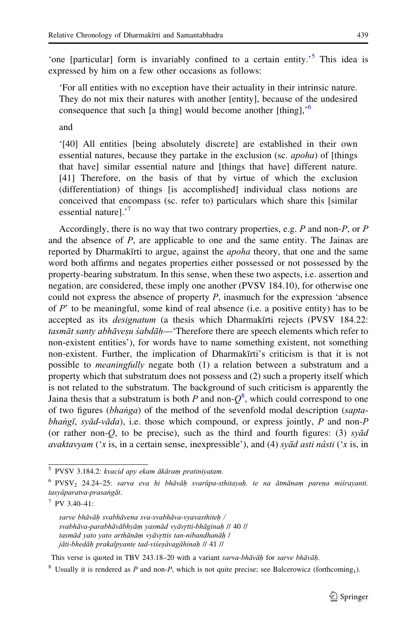'one [particular] form is invariably confined to a certain entity.'<sup>5</sup> This idea is expressed by him on a few other occasions as follows:

'For all entities with no exception have their actuality in their intrinsic nature. They do not mix their natures with another [entity], because of the undesired consequence that such [a thing] would become another [thing], $\cdot$ <sup>6</sup>

and

'[40] All entities [being absolutely discrete] are established in their own essential natures, because they partake in the exclusion (sc. apoha) of [things that have] similar essential nature and [things that have] different nature. [41] Therefore, on the basis of that by virtue of which the exclusion (differentiation) of things [is accomplished] individual class notions are conceived that encompass (sc. refer to) particulars which share this [similar essential naturel.<sup>'7</sup>

Accordingly, there is no way that two contrary properties, e.g. P and non-P, or P and the absence of  $P$ , are applicable to one and the same entity. The Jainas are reported by Dharmakīrti to argue, against the *apoha* theory, that one and the same word both affirms and negates properties either possessed or not possessed by the property-bearing substratum. In this sense, when these two aspects, i.e. assertion and negation, are considered, these imply one another (PVSV 184.10), for otherwise one could not express the absence of property  $P$ , inasmuch for the expression 'absence of  $P'$  to be meaningful, some kind of real absence (i.e. a positive entity) has to be accepted as its *designatum* (a thesis which Dharmakīrti rejects (PVSV 184.22: tasmāt santy abhāvesu śabdāh—'Therefore there are speech elements which refer to non-existent entities'), for words have to name something existent, not something non-existent. Further, the implication of Dharmakīrti's criticism is that it is not possible to meaningfully negate both (1) a relation between a substratum and a property which that substratum does not possess and (2) such a property itself which is not related to the substratum. The background of such criticism is apparently the Jaina thesis that a substratum is both P and non- $Q^8$ , which could correspond to one of two figures (bhaṅga) of the method of the sevenfold modal description (saptabhaṅgī, syād-vāda), i.e. those which compound, or express jointly,  $P$  and non- $P$ (or rather non-O, to be precise), such as the third and fourth figures: (3)  $s\nu\bar{a}d$ avaktavyam ('x is, in a certain sense, inexpressible'), and (4)  $s\nu\bar{a}d$  asti nâsti ('x is, in

This verse is quoted in TBV 243.18–20 with a variant sarva-bhāvāḥ for sarve bhāvāḥ.

<sup>5</sup> PVSV 3.184.2: kvacid apy ekam ākāraṃ pratiniyatam.

<sup>&</sup>lt;sup>6</sup> PVSV<sub>2</sub> 24.24–25: sarva eva hi bhāvāḥ svarūpa-sthitayaḥ. te na ātmānaṃ pareṇa miśrayanti. tasyâparatva-prasaṅgāt.

<sup>7</sup> PV 3.40–41:

sarve bhāvāh svabhāvena sva-svabhāva-vyavasthiteh / svabhāva-parabhāvābhyāṃ yasmād vyāvr̥tti-bhāginaḥ // 40 // tasmād yato yato arthānāṃ vyāvr̥ttis tan-nibandhanāḥ / jāti-bhedāḥ prakalpyante tad-viśeṣâvagāhinaḥ // 41 //

<sup>&</sup>lt;sup>8</sup> Usually it is rendered as  $P$  and non- $P$ , which is not quite precise; see Balcerowicz (forthcoming<sub>1</sub>).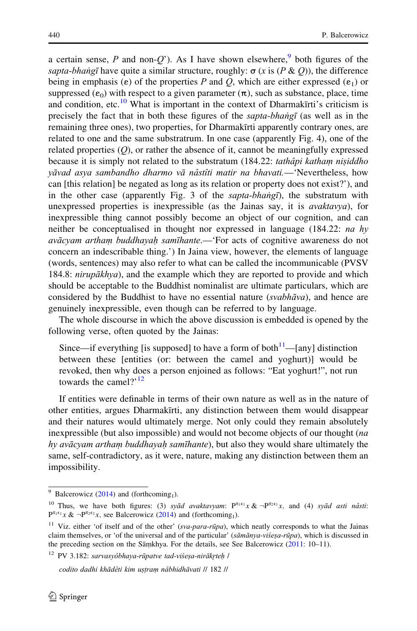a certain sense, P and non-Q'). As I have shown elsewhere, both figures of the sapta-bhaṅgī have quite a similar structure, roughly:  $\sigma$  (x is (P & Q)), the difference being in emphasis (e) of the properties P and Q, which are either expressed ( $e_1$ ) or suppressed ( $\varepsilon_0$ ) with respect to a given parameter ( $\pi$ ), such as substance, place, time and condition, etc.<sup>10</sup> What is important in the context of Dharmak $\overline{i}$ rti<sup>'</sup>s criticism is precisely the fact that in both these figures of the sapta-bhaṅgī (as well as in the remaining three ones), two properties, for Dharmakīrti apparently contrary ones, are related to one and the same substratrum. In one case (apparently Fig. 4), one of the related properties  $(O)$ , or rather the absence of it, cannot be meaningfully expressed because it is simply not related to the substratum (184.22: tathâpi katham niṣiddho yāvad asya sambandho dharmo vā nâstîti matir na bhavati.—'Nevertheless, how can [this relation] be negated as long as its relation or property does not exist?'), and in the other case (apparently Fig. 3 of the *sapta-bhaṅgī*), the substratum with unexpressed properties is inexpressible (as the Jainas say, it is avaktavya), for inexpressible thing cannot possibly become an object of our cognition, and can neither be conceptualised in thought nor expressed in language  $(184.22: na hy)$ avācyam arthaṃ buddhayaḥ samīhante.—'For acts of cognitive awareness do not concern an indescribable thing.') In Jaina view, however, the elements of language (words, sentences) may also refer to what can be called the incommunicable (PVSV 184.8: *nirupākhya*), and the example which they are reported to provide and which should be acceptable to the Buddhist nominalist are ultimate particulars, which are considered by the Buddhist to have no essential nature (svabh $\bar{a}$ va), and hence are genuinely inexpressible, even though can be referred to by language.

The whole discourse in which the above discussion is embedded is opened by the following verse, often quoted by the Jainas:

Since—if everything [is supposed] to have a form of both $11$ —[any] distinction between these [entities (or: between the camel and yoghurt)] would be revoked, then why does a person enjoined as follows: "Eat yoghurt!", not run towards the camel? $1^{12}$ 

If entities were definable in terms of their own nature as well as in the nature of other entities, argues Dharmakīrti, any distinction between them would disappear and their natures would ultimately merge. Not only could they remain absolutely inexpressible (but also impossible) and would not become objects of our thought (na hy avācyam artham buddhayah samīhante), but also they would share ultimately the same, self-contradictory, as it were, nature, making any distinction between them an impossibility.

codito dadhi khādêti kim uṣṭraṃ nâbhidhāvati // 182 //

<sup>&</sup>lt;sup>9</sup> Balcerowicz [\(2014](#page-41-0)) and (forthcoming<sub>1</sub>).

<sup>&</sup>lt;sup>10</sup> Thus, we have both figures: (3) syad avaktavyam:  $P^{\pi_1 \epsilon_1} x \& \neg P^{\pi_2 \epsilon_1} x$ , and (4) syad asti nâsti:  $P^{\pi_1 \epsilon_1}$ *x* &  $\neg P^{\pi_2 \epsilon_2}$ *x*, see Balcerowicz [\(2014](#page-41-0)) and (forthcoming<sub>1</sub>).

<sup>&</sup>lt;sup>11</sup> Viz. either 'of itself and of the other' (sva-para-rūpa), which neatly corresponds to what the Jainas claim themselves, or 'of the universal and of the particular' (sāmānya-viśeṣa-rūpa), which is discussed in the preceding section on the Sāmkhya. For the details, see See Balcerowicz ([2011:](#page-41-0) 10–11).

<sup>12</sup> PV 3.182: sarvasyôbhaya-rūpatve tad-viśeṣa-nirākrteḥ /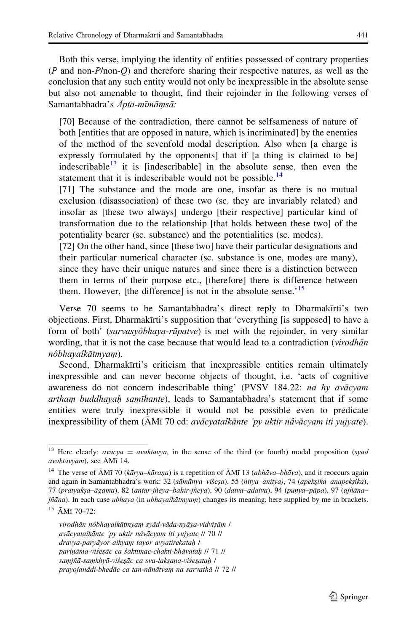Both this verse, implying the identity of entities possessed of contrary properties (P and non-P/non-Q) and therefore sharing their respective natures, as well as the conclusion that any such entity would not only be inexpressible in the absolute sense but also not amenable to thought, find their rejoinder in the following verses of Samantabhadra's Āpta-mīmāṃsā:

[70] Because of the contradiction, there cannot be selfsameness of nature of both [entities that are opposed in nature, which is incriminated] by the enemies of the method of the sevenfold modal description. Also when [a charge is expressly formulated by the opponents] that if [a thing is claimed to be] indescribable<sup>13</sup> it is [indescribable] in the absolute sense, then even the statement that it is indescribable would not be possible.<sup>14</sup>

[71] The substance and the mode are one, insofar as there is no mutual exclusion (disassociation) of these two (sc. they are invariably related) and insofar as [these two always] undergo [their respective] particular kind of transformation due to the relationship [that holds between these two] of the potentiality bearer (sc. substance) and the potentialities (sc. modes).

[72] On the other hand, since [these two] have their particular designations and their particular numerical character (sc. substance is one, modes are many), since they have their unique natures and since there is a distinction between them in terms of their purpose etc., [therefore] there is difference between them. However, [the difference] is not in the absolute sense.<sup>'15</sup>

Verse 70 seems to be Samantabhadra's direct reply to Dharmakīrti's two objections. First, Dharmakīrti's supposition that 'everything [is supposed] to have a form of both' (sarvasyôbhaya-rūpatve) is met with the rejoinder, in very similar wording, that it is not the case because that would lead to a contradiction (*virodhan*) nôbhayaîkātmyaṃ).

Second, Dharmakīrti's criticism that inexpressible entities remain ultimately inexpressible and can never become objects of thought, i.e. 'acts of cognitive awareness do not concern indescribable thing' (PVSV 184.22: na hy avācyam artham buddhayah samīhante), leads to Samantabhadra's statement that if some entities were truly inexpressible it would not be possible even to predicate inexpressibility of them ( $\bar{A}$ Mī 70 cd: *avācyataîkānte 'py uktir nâvācyam iti yujyate*).

<sup>&</sup>lt;sup>13</sup> Here clearly:  $a\nu\bar{a}cya = avaktavya$ , in the sense of the third (or fourth) modal proposition (sy $\bar{a}d$  $avaktavyam$ , see  $\bar{A}$ Mī 14.

<sup>&</sup>lt;sup>14</sup> The verse of  $\bar{A}$ Mī 70 (kārya–kāraṇa) is a repetition of  $\bar{A}$ Mī 13 (abhāva–bhāva), and it reoccurs again and again in Samantabhadra's work: 32 (sāmānya-višeṣa), 55 (nitya-anitya), 74 (apekṣika-anapekṣika), 77 (pratyakṣa–āgama), 82 (antar-jñeya–bahir-jñeya), 90 (daiva–adaiva), 94 (puṇya–pāpa), 97 (ajñāna–  $j\tilde{n}$  $\tilde{a}$ na). In each case ubhaya (in ubhayaîk $\tilde{a}$ tmyam) changes its meaning, here supplied by me in brackets.

 $15$  AM<sub>I</sub> 70-72:

virodhān nôbhayaîkātmyaṃ syād-vāda-nyāya-vidviṣām / avācyataîkānte 'py uktir nâvācyam iti yujyate // 70 // dravya-paryāyor aikyaṃ tayor avyatirekataḥ / pariṇāma-viśeṣāc ca śaktimac-chakti-bhāvataḥ // 71 // saṃjñā-saṃkhyā-viśeṣāc ca sva-lakṣaṇa-viśeṣataḥ / prayojanâdi-bhedāc ca tan-nānātvaṃ na sarvathā // 72 //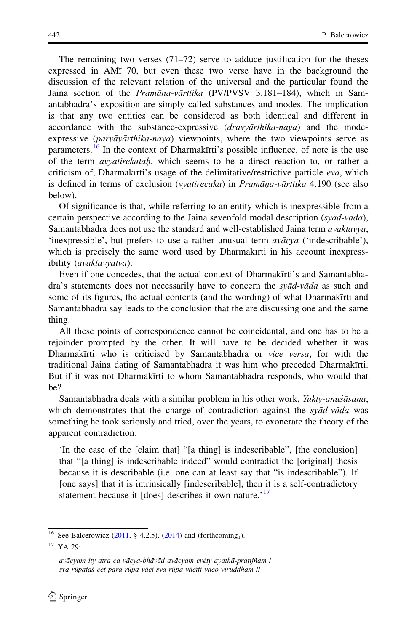The remaining two verses  $(71–72)$  serve to adduce justification for the theses expressed in  $\overline{AM}$  70, but even these two verse have in the background the discussion of the relevant relation of the universal and the particular found the Jaina section of the *Pramāna-vārttika* (PV/PVSV 3.181–184), which in Samantabhadra's exposition are simply called substances and modes. The implication is that any two entities can be considered as both identical and different in accordance with the substance-expressive (*dravyārthika-naya*) and the modeexpressive (paryāyārthika-naya) viewpoints, where the two viewpoints serve as parameters.<sup>16</sup> In the context of Dharmak $\bar{r}$ ti's possible influence, of note is the use of the term *avyatirekatah*, which seems to be a direct reaction to, or rather a criticism of, Dharmakīrti's usage of the delimitative/restrictive particle  $eva$ , which is defined in terms of exclusion (*vyatirecaka*) in *Pramāṇa-vārttika* 4.190 (see also below).

Of significance is that, while referring to an entity which is inexpressible from a certain perspective according to the Jaina sevenfold modal description ( $sv\bar{a}d-v\bar{a}da$ ), Samantabhadra does not use the standard and well-established Jaina term *avaktavya*, 'inexpressible', but prefers to use a rather unusual term  $a\nu\bar{a}c\nu a$  ('indescribable'), which is precisely the same word used by Dharmakirti in his account inexpressibility (avaktavyatva).

Even if one concedes, that the actual context of Dharmak $\bar{r}$ rti's and Samantabhadra's statements does not necessarily have to concern the  $sy\bar{a}d-v\bar{a}da$  as such and some of its figures, the actual contents (and the wording) of what Dharmak $\bar{r}$ rti and Samantabhadra say leads to the conclusion that the are discussing one and the same thing.

All these points of correspondence cannot be coincidental, and one has to be a rejoinder prompted by the other. It will have to be decided whether it was Dharmakīrti who is criticised by Samantabhadra or vice versa, for with the traditional Jaina dating of Samantabhadra it was him who preceded Dharmakīrti. But if it was not Dharmakīrti to whom Samantabhadra responds, who would that be?

Samantabhadra deals with a similar problem in his other work, Yukty-anuśāsana, which demonstrates that the charge of contradiction against the  $sy\bar{a}d-v\bar{a}da$  was something he took seriously and tried, over the years, to exonerate the theory of the apparent contradiction:

'In the case of the [claim that] "[a thing] is indescribable", [the conclusion] that "[a thing] is indescribable indeed" would contradict the [original] thesis because it is describable (i.e. one can at least say that "is indescribable"). If [one says] that it is intrinsically [indescribable], then it is a self-contradictory statement because it [does] describes it own nature.<sup>'17</sup>

<sup>&</sup>lt;sup>16</sup> See Balcerowicz [\(2011](#page-41-0), § 4.2.5), [\(2014](#page-41-0)) and (forthcoming<sub>1</sub>).

<sup>&</sup>lt;sup>17</sup> YA 29:

avācyam ity atra ca vācya-bhāvād avācyam evêty ayathā-pratijñam / sva-rūpataś cet para-rūpa-vāci sva-rūpa-vācîti vaco viruddham //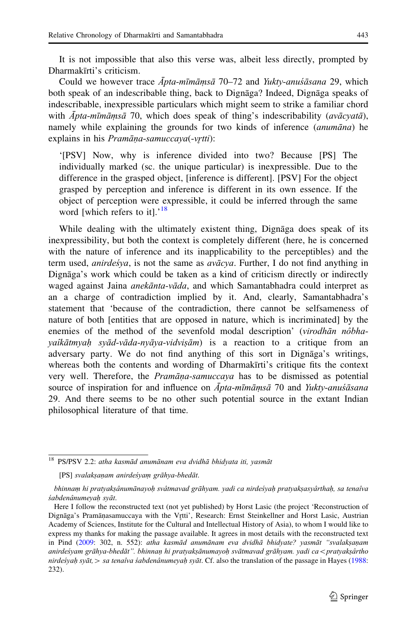It is not impossible that also this verse was, albeit less directly, prompted by Dharmakīrti's criticism.

Could we however trace Āpta-mīmāṃsā 70–72 and Yukty-anuśāsana 29, which both speak of an indescribable thing, back to Digna $\overline{g}$  a? Indeed, Digna $\overline{g}$ a speaks of indescribable, inexpressible particulars which might seem to strike a familiar chord with  $\bar{A}pta$ -mīmāmsā 70, which does speak of thing's indescribability (avācyatā), namely while explaining the grounds for two kinds of inference *(anumāna)* he explains in his *Pramāna-samuccava*(-vrtti):

'[PSV] Now, why is inference divided into two? Because [PS] The individually marked (sc. the unique particular) is inexpressible. Due to the difference in the grasped object, [inference is different]. [PSV] For the object grasped by perception and inference is different in its own essence. If the object of perception were expressible, it could be inferred through the same word [which refers to it]. $18$ 

While dealing with the ultimately existent thing, Dignaga does speak of its inexpressibility, but both the context is completely different (here, he is concerned with the nature of inference and its inapplicability to the perceptibles) and the term used, *anirdesya*, is not the same as  $a\nu\bar{a}cya$ . Further, I do not find anything in Dignāga's work which could be taken as a kind of criticism directly or indirectly waged against Jaina *anekānta-vāda*, and which Samantabhadra could interpret as an a charge of contradiction implied by it. And, clearly, Samantabhadra's statement that 'because of the contradiction, there cannot be selfsameness of nature of both [entities that are opposed in nature, which is incriminated] by the enemies of the method of the sevenfold modal description' (virodhan nôbhayaîkātmyah syād-vāda-nyāya-vidvisām) is a reaction to a critique from an adversary party. We do not find anything of this sort in Dignaga's writings, whereas both the contents and wording of Dharmakīrti's critique fits the context very well. Therefore, the Pramāṇa-samuccaya has to be dismissed as potential source of inspiration for and influence on  $\bar{A}pta$ -mīmāmsā 70 and Yukty-anuśāsana 29. And there seems to be no other such potential source in the extant Indian philosophical literature of that time.

 $\frac{18}{18}$  PS/PSV 2.2: atha kasmād anumānam eva dvidhā bhidyata iti, yasmāt

<sup>[</sup>PS] svalaksanam anirdeśyam grāhya-bhedāt.

bhinnaṃ hi pratyakṣânumānayoḥ svâtmavad grāhyam. yadi ca nirdeśyaḥ pratyakṣasyârthaḥ, sa tenaîva śabdenânumeyaḥ syāt.

Here I follow the reconstructed text (not yet published) by Horst Lasic (the project 'Reconstruction of Dignāga's Pramāṇasamuccaya with the Vṛtti', Research: Ernst Steinkellner and Horst Lasic, Austrian<br>Academy of Sciences Institute for the Cultural and Intellectual History of Asia) to whom I would like to ˙ Academy of Sciences, Institute for the Cultural and Intellectual History of Asia), to whom I would like to express my thanks for making the passage available. It agrees in most details with the reconstructed text in Pind ([2009:](#page-43-0) 302, n. 552): atha kasmād anumānam eva dvidhā bhidyate? yasmāt "svalakṣaṇam anirdeśyam grāhya-bhedāt". bhinnaṇ hi pratyakṣānumayoḥ svātmavad grāhyam. yadi ca\pratyakṣârtho nirdeśyaḥ syāt,  $>$  sa tenaîva śabdenânumeyaḥ syāt. Cf. also the translation of the passage in Hayes [\(1988](#page-42-0): 232).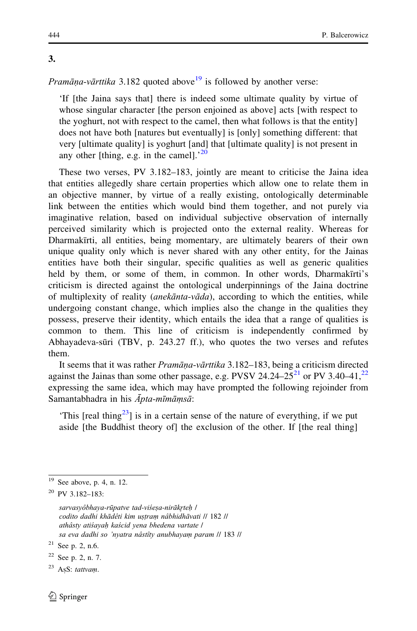*Pramāna-vārttika* 3.182 quoted above<sup>19</sup> is followed by another verse:

'If [the Jaina says that] there is indeed some ultimate quality by virtue of whose singular character [the person enjoined as above] acts [with respect to the yoghurt, not with respect to the camel, then what follows is that the entity] does not have both [natures but eventually] is [only] something different: that very [ultimate quality] is yoghurt [and] that [ultimate quality] is not present in any other [thing, e.g. in the camel].<sup>'20</sup>

These two verses, PV 3.182–183, jointly are meant to criticise the Jaina idea that entities allegedly share certain properties which allow one to relate them in an objective manner, by virtue of a really existing, ontologically determinable link between the entities which would bind them together, and not purely via imaginative relation, based on individual subjective observation of internally perceived similarity which is projected onto the external reality. Whereas for Dharmakīrti, all entities, being momentary, are ultimately bearers of their own unique quality only which is never shared with any other entity, for the Jainas entities have both their singular, specific qualities as well as generic qualities held by them, or some of them, in common. In other words, Dharmak $\bar{i}$ rti's criticism is directed against the ontological underpinnings of the Jaina doctrine of multiplexity of reality *(anekānta-vāda)*, according to which the entities, while undergoing constant change, which implies also the change in the qualities they possess, preserve their identity, which entails the idea that a range of qualities is common to them. This line of criticism is independently confirmed by Abhayadeva-sūri (TBV, p. 243.27 ff.), who quotes the two verses and refutes them.

It seems that it was rather *Pramāna-vārttika* 3.182–183, being a criticism directed against the Jainas than some other passage, e.g. PVSV 24.24–25<sup>21</sup> or PV 3.40–41,<sup>22</sup> expressing the same idea, which may have prompted the following rejoinder from Samantabhadra in his  $\bar{A}$ pta-mīmāmsā:

'This [real thing<sup>23</sup>] is in a certain sense of the nature of everything, if we put aside [the Buddhist theory of] the exclusion of the other. If [the real thing]

sarvasyôbhaya-rūpatve tad-viśesa-nirākrteh / codito dadhi khādêti kim uṣṭraṃ nâbhidhāvati // 182 // athâsty atiśayaḥ kaścid yena bhedena vartate / sa eva dadhi so 'nyatra nâstîty anubhayaṃ param // 183 //

 $21$  See p. 2, n.6.

3.

<sup>19</sup> See above, p. 4, n. 12.

<sup>20</sup> PV 3.182–183:

 $22$  See p. 2, n. 7.

 $^{23}$  AsS: tattvam.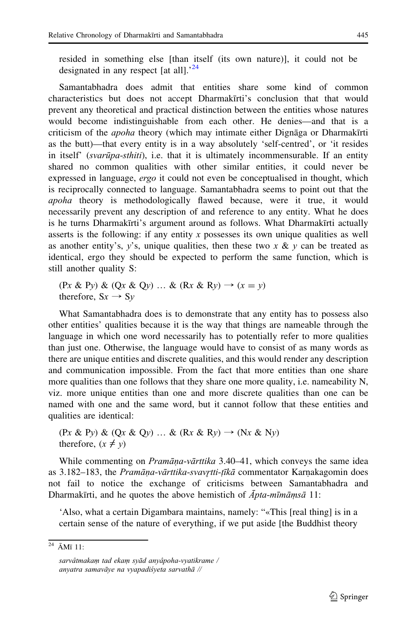resided in something else [than itself (its own nature)], it could not be designated in any respect [at all]. $^{24}$ 

Samantabhadra does admit that entities share some kind of common characteristics but does not accept Dharmakīrti's conclusion that that would prevent any theoretical and practical distinction between the entities whose natures would become indistinguishable from each other. He denies—and that is a criticism of the *apoha* theory (which may intimate either Dignaga or Dharmakirti as the butt)—that every entity is in a way absolutely 'self-centred', or 'it resides in itself' (svarūpa-sthiti), i.e. that it is ultimately incommensurable. If an entity shared no common qualities with other similar entities, it could never be expressed in language, ergo it could not even be conceptualised in thought, which is reciprocally connected to language. Samantabhadra seems to point out that the apoha theory is methodologically flawed because, were it true, it would necessarily prevent any description of and reference to any entity. What he does is he turns Dharmakīrti's argument around as follows. What Dharmakīrti actually asserts is the following: if any entity  $x$  possesses its own unique qualities as well as another entity's, y's, unique qualities, then these two x & y can be treated as identical, ergo they should be expected to perform the same function, which is still another quality S:

 $(Px \& Py) \& (Qx \& Qy) \dots \& (Rx \& Ry) \rightarrow (x = y)$ therefore,  $S_x \rightarrow S_y$ 

What Samantabhadra does is to demonstrate that any entity has to possess also other entities' qualities because it is the way that things are nameable through the language in which one word necessarily has to potentially refer to more qualities than just one. Otherwise, the language would have to consist of as many words as there are unique entities and discrete qualities, and this would render any description and communication impossible. From the fact that more entities than one share more qualities than one follows that they share one more quality, i.e. nameability N, viz. more unique entities than one and more discrete qualities than one can be named with one and the same word, but it cannot follow that these entities and qualities are identical:

 $(Px \& Py) \& (Qx \& Qy) \dots \& (Rx \& Ry) \rightarrow (Nx \& Ny)$ therefore,  $(x \neq y)$ 

While commenting on *Pramāṇa-vārttika* 3.40–41, which conveys the same idea as 3.182–183, the *Pramāṇa-vārttika-svavr̥tti-ṭīkā* commentator Karṇakagomin does<br>not fail to notice the exchange of criticisms between Samantabhadra and not fail to notice the exchange of criticisms between Samantabhadra and Dharmakīrti, and he quotes the above hemistich of  $Apta$ -mīmāmsā 11:

'Also, what a certain Digambara maintains, namely: "«This [real thing] is in a certain sense of the nature of everything, if we put aside [the Buddhist theory

 $\overline{^{24}}$   $\overline{A}$ Mī 11:

sarvâtmakaṃ tad ekaṃ syād anyâpoha-vyatikrame / anyatra samavāye na vyapadiśyeta sarvathā //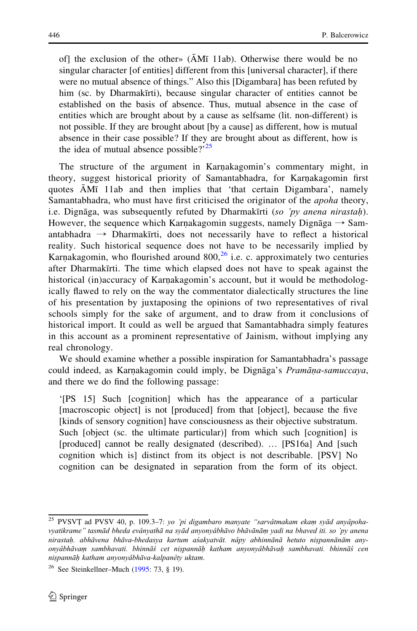ofl the exclusion of the other» ( $\bar{A}$ M $\bar{I}$  11ab). Otherwise there would be no singular character [of entities] different from this [universal character], if there were no mutual absence of things." Also this [Digambara] has been refuted by him (sc. by Dharmakīrti), because singular character of entities cannot be established on the basis of absence. Thus, mutual absence in the case of entities which are brought about by a cause as selfsame (lit. non-different) is not possible. If they are brought about [by a cause] as different, how is mutual absence in their case possible? If they are brought about as different, how is the idea of mutual absence possible? $2^{25}$ 

The structure of the argument in Karnakagomin's commentary might, in<br>
ory suggest historical priority of Samantabhadra, for Karnakagomin first theory, suggest historical priority of Samantabhadra, for Karnakagomin first<br>quotes  $\bar{A}M\bar{L}$  11ab and then implies that 'that certain Digambara', namely quotes  $\overline{A}M\overline{\iota}$  11ab and then implies that 'that certain Digambara', namely Samantabhadra, who must have first criticised the originator of the apoha theory, i.e. Dignaga, was subsequently refuted by Dharmakirti (so 'py anena nirastah). However, the sequence which Karnakagomin suggests, namely Dignāga  $\rightarrow$  Sam-<br>antabhadra  $\rightarrow$  Dharmakīrti, does not necessarily have to reflect a historical antabhadra  $\rightarrow$  Dharmakīrti, does not necessarily have to reflect a historical reality. Such historical sequence does not have to be necessarily implied by Karnakagomin, who flourished around  $800<sub>1</sub><sup>26</sup>$  i.e. c. approximately two centuries after Dharmakīrti. The time which elapsed does not have to speak against the historical (in)accuracy of Karnakagomin's account, but it would be methodolog-<br>ically flawed to rely on the way the commentator dialectically structures the line ically flawed to rely on the way the commentator dialectically structures the line of his presentation by juxtaposing the opinions of two representatives of rival schools simply for the sake of argument, and to draw from it conclusions of historical import. It could as well be argued that Samantabhadra simply features in this account as a prominent representative of Jainism, without implying any real chronology.

We should examine whether a possible inspiration for Samantabhadra's passage could indeed, as Karnakagomin could imply, be Dignāga's *Pramana-samuccaya*, and there we do find the following passage: and there we do find the following passage:

'[PS 15] Such [cognition] which has the appearance of a particular [macroscopic object] is not [produced] from that [object], because the five [kinds of sensory cognition] have consciousness as their objective substratum. Such [object (sc. the ultimate particular)] from which such [cognition] is [produced] cannot be really designated (described). … [PS16a] And [such cognition which is] distinct from its object is not describable. [PSV] No cognition can be designated in separation from the form of its object.

<sup>&</sup>lt;sup>25</sup> PVSVT ad PVSV 40, p. 109.3-7: yo 'pi digambaro manyate "sarvâtmakam ekam syād anyâpohavyatikrame" tasmād bheda evânyathā na syād anyonyâbhāvo bhāvānāṃ yadi na bhaved iti. so 'py anena nirastaḥ. abhāvena bhāva-bhedasya kartum aśakyatvāt. nâpy abhinnānā hetuto niṣpannānām anyonyâbhāvaṃ sambhavati. bhinnāś cet niṣpannāḥ katham anyonyâbhāvaḥ sambhavati. bhinnāś cen niṣpannāḥ katham anyonyâbhāva-kalpanêty uktam.

<sup>&</sup>lt;sup>26</sup> See Steinkellner–Much ([1995](#page-45-0): 73, § 19).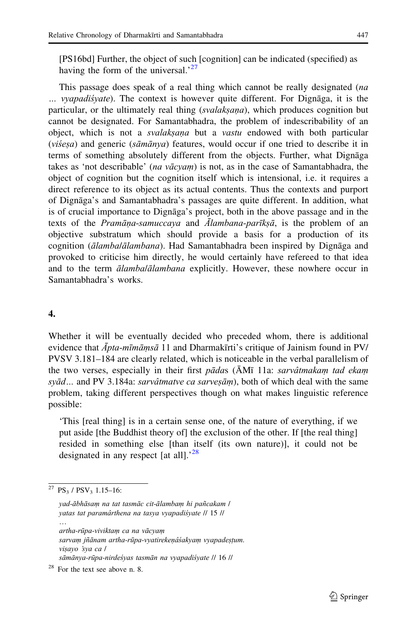[PS16bd] Further, the object of such [cognition] can be indicated (specified) as having the form of the universal. $27$ 

This passage does speak of a real thing which cannot be really designated (na … *vyapadišyate*). The context is however quite different. For Dignaga, it is the particular, or the ultimately real thing (svalaksana), which produces cognition but cannot be designated. For Samantabhadra, the problem of indescribability of an object, which is not a *svalakṣaṇa* but a *vastu* endowed with both particular (viśesa) and generic ( $s\bar{a}m\bar{a}nv\bar{a}$ ) features, would occur if one tried to describe it in terms of something absolutely different from the objects. Further, what Dignaga takes as 'not describable' (na vācyam) is not, as in the case of Samantabhadra, the object of cognition but the cognition itself which is intensional, i.e. it requires a direct reference to its object as its actual contents. Thus the contexts and purport of Digna¯ga's and Samantabhadra's passages are quite different. In addition, what is of crucial importance to Dignaga's project, both in the above passage and in the texts of the *Pramāna-samuccaya* and *Ālambana-parīkṣā*, is the problem of an objective substratum which should provide a basis for a production of its cognition (*ālamba/ālambana*). Had Samantabhadra been inspired by Dignāga and provoked to criticise him directly, he would certainly have refereed to that idea and to the term  $\bar{a}$ *lamba*/ $\bar{a}$ *lambana* explicitly. However, these nowhere occur in Samantabhadra's works.

## 4.

Whether it will be eventually decided who preceded whom, there is additional evidence that  $\bar{A}pta$ -mīmāmsā 11 and Dharmakīrti's critique of Jainism found in PV/ PVSV 3.181–184 are clearly related, which is noticeable in the verbal parallelism of the two verses, especially in their first padas ( $\overline{AM}$  11a: sarvâtmakam tad ekam  $s\gamma\bar{a}d...$  and PV 3.184a: sarvâtmatve ca sarvesām), both of which deal with the same problem, taking different perspectives though on what makes linguistic reference possible:

'This [real thing] is in a certain sense one, of the nature of everything, if we put aside [the Buddhist theory of] the exclusion of the other. If [the real thing] resided in something else [than itself (its own nature)], it could not be designated in any respect [at all].<sup>'28</sup>

 $27$  PS<sub>3</sub> / PSV<sub>3</sub> 1.15–16:

yad-ābhāsaṃ na tat tasmāc cit-ālambaṃ hi pañcakam / yatas tat paramârthena na tasya vyapadiśyate // 15 //

<sup>…</sup> artha-rūpa-viviktaṃ ca na vācyaṃ sarvaṃ jñānam artha-rūpa-vyatirekeṇâśakyaṃ vyapadeṣṭum. viṣayo 'sya ca / sāmānya-rūpa-nirdeśyas tasmān na vyapadiśyate // 16 //

 $28$  For the text see above n. 8.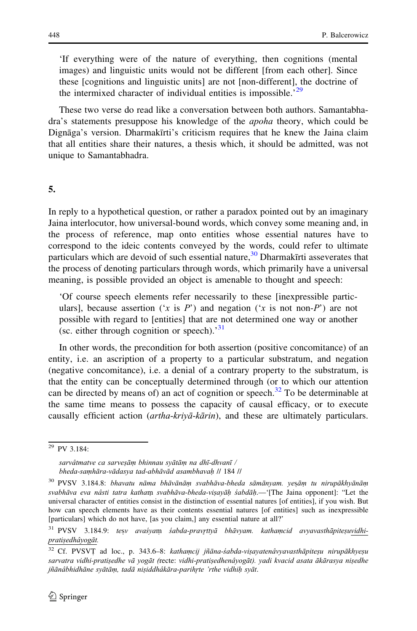'If everything were of the nature of everything, then cognitions (mental images) and linguistic units would not be different [from each other]. Since these [cognitions and linguistic units] are not [non-different], the doctrine of the intermixed character of individual entities is impossible.<sup>29</sup>

These two verse do read like a conversation between both authors. Samantabhadra's statements presuppose his knowledge of the apoha theory, which could be Dignāga's version. Dharmakīrti's criticism requires that he knew the Jaina claim that all entities share their natures, a thesis which, it should be admitted, was not unique to Samantabhadra.

### 5.

In reply to a hypothetical question, or rather a paradox pointed out by an imaginary Jaina interlocutor, how universal-bound words, which convey some meaning and, in the process of reference, map onto entities whose essential natures have to correspond to the ideic contents conveyed by the words, could refer to ultimate particulars which are devoid of such essential nature, $30$  Dharmakīrti asseverates that the process of denoting particulars through words, which primarily have a universal meaning, is possible provided an object is amenable to thought and speech:

'Of course speech elements refer necessarily to these [inexpressible particulars], because assertion ('x is P') and negation ('x is not non-P') are not possible with regard to [entities] that are not determined one way or another (sc. either through cognition or speech). $31$ 

In other words, the precondition for both assertion (positive concomitance) of an entity, i.e. an ascription of a property to a particular substratum, and negation (negative concomitance), i.e. a denial of a contrary property to the substratum, is that the entity can be conceptually determined through (or to which our attention can be directed by means of) an act of cognition or speech.<sup>32</sup> To be determinable at the same time means to possess the capacity of causal efficacy, or to execute causally efficient action (artha-kriyā-kārin), and these are ultimately particulars.

<sup>29</sup> PV 3.184:

sarvâtmatve ca sarvesām bhinnau syātām na dhī-dhvanī / bheda-saṃhāra-vādasya tad-abhāvād asambhavaḥ // 184 //

<sup>30</sup> PVSV 3.184.8: bhavatu nāma bhāvānāṃ svabhāva-bheda sāmānyam. yes āṃ tu nirupākhyānāṃ svabhāva eva nâsti tatra katham svabhāva-bheda-viṣayāḥ śabdāḥ.—'[The Jaina opponent]: "Let the<br>universal character of entities consist in the distinction of essential natures [of entities] if you wish. But universal character of entities consist in the distinction of essential natures [of entities], if you wish. But how can speech elements have as their contents essential natures [of entities] such as inexpressible [particulars] which do not have, [as you claim,] any essential nature at all?'

<sup>&</sup>lt;sup>31</sup> PVSV 3.184.9: teṣv avaśyaṃ śabda-pravr̥ttyā bhāvyam. kathaṃcid avyavasthāpiteṣu<u>vidhi-</u><br>pratisedhâvogāt pratiṣedhâyogāt.

 $32$  Cf. PVSVT ad loc., p. 343.6–8: kathaṃcij jñāna-śabda-viṣayatenâvyavasthāpiteṣu nirupākhyeṣu sarvatra vidhi-pratiṣedhe vā yogāt (recte: vidhi-pratiṣedhenâyogāt). yadi kvacid asata ākārasya niṣedhe jñānâbhidhāne syātām, tadā niṣiddhâkāra-parihr̥te 'rthe vidhiḥ syāt.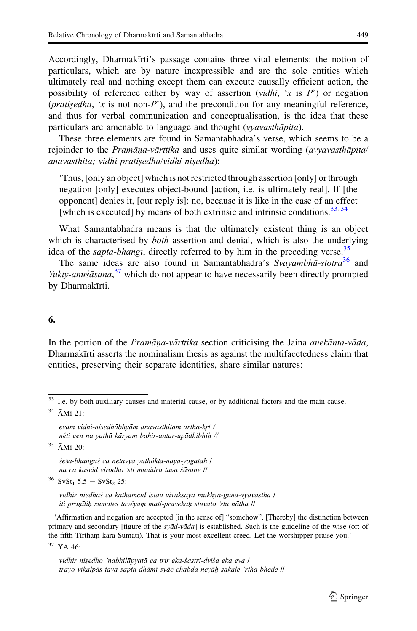Accordingly, Dharmakirti's passage contains three vital elements: the notion of particulars, which are by nature inexpressible and are the sole entities which ultimately real and nothing except them can execute causally efficient action, the possibility of reference either by way of assertion (*vidhi*, 'x is  $P$ ') or negation  $(pratisedha, 'x is not non-P'),$  and the precondition for any meaningful reference, and thus for verbal communication and conceptualisation, is the idea that these particulars are amenable to language and thought (vyavasthāpita).

These three elements are found in Samantabhadra's verse, which seems to be a rejoinder to the *Pramāna-vārttika* and uses quite similar wording (avyavasthāpita/ anavasthita; vidhi-pratiṣedha/vidhi-niṣedha):

'Thus, [only an object] which is not restricted through assertion [only] or through negation [only] executes object-bound [action, i.e. is ultimately real]. If [the opponent] denies it, [our reply is]: no, because it is like in the case of an effect [which is executed] by means of both extrinsic and intrinsic conditions.<sup>33,34</sup>

What Samantabhadra means is that the ultimately existent thing is an object which is characterised by *both* assertion and denial, which is also the underlying idea of the *sapta-bhangī*, directly referred to by him in the preceding verse.<sup>35</sup>

The same ideas are also found in Samantabhadra's Svayambhū-stotra<sup>36</sup> and Yukty-anuśāsana,<sup>37</sup> which do not appear to have necessarily been directly prompted by Dharmakīrti.

## 6.

In the portion of the *Pramāna-vārttika* section criticising the Jaina *anekānta-vāda*, Dharmakīrti asserts the nominalism thesis as against the multifacetedness claim that entities, preserving their separate identities, share similar natures:

35 AM<sub>I</sub> 20:

śes a-bhaṅgāś ca netavyā yathôkta-naya-yogataḥ / ˙ na ca kaścid virodho 'sti munîdra tava śāsane //

 $36$  SvSt<sub>1</sub> 5.5 = SvSt<sub>2</sub> 25:

'Affirmation and negation are accepted [in the sense of] "somehow". [Thereby] the distinction between primary and secondary [figure of the syād-vāda] is established. Such is the guideline of the wise (or: of the fifth Tirtham-kara Sumati). That is your most excellent creed. Let the worshipper praise you.'<br><sup>37</sup> <sup>37</sup> YA 46:

vidhir niṣedho 'nabhilāpyatā ca trir eka-śastri-dviśa eka eva / trayo vikalpās tava sapta-dhāmī syāc chabda-neyāḥ sakale 'rtha-bhede //

 $33$  I.e. by both auxiliary causes and material cause, or by additional factors and the main cause.

 $34$   $\bar{A}$  M<sub>1</sub> $21$ 

evam vidhi-niṣedhābhyām anavasthitam artha-kr̥t / nêti cen na yathā kāryaṃ bahir-antar-upādhibhiḥ //

vidhir niedhaś ca kathaṃcid iṣṭau vivakṣayā mukhya-guṇa-vyavasthā / iti praṇītiḥ sumates tavêyaṃ mati-pravekaḥ stuvato 'stu nātha //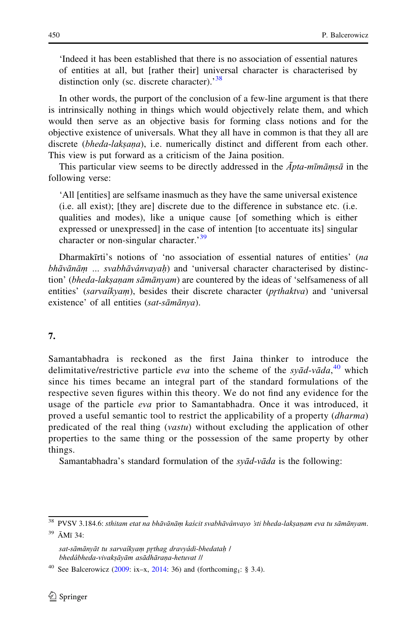'Indeed it has been established that there is no association of essential natures of entities at all, but [rather their] universal character is characterised by distinction only (sc. discrete character).<sup>38</sup>

In other words, the purport of the conclusion of a few-line argument is that there is intrinsically nothing in things which would objectively relate them, and which would then serve as an objective basis for forming class notions and for the objective existence of universals. What they all have in common is that they all are discrete (bheda-laksana), i.e. numerically distinct and different from each other. This view is put forward as a criticism of the Jaina position.

This particular view seems to be directly addressed in the  $\bar{A}$ pta-mīmāmsā in the following verse:

'All [entities] are selfsame inasmuch as they have the same universal existence (i.e. all exist); [they are] discrete due to the difference in substance etc. (i.e. qualities and modes), like a unique cause [of something which is either expressed or unexpressed] in the case of intention [to accentuate its] singular character or non-singular character.<sup>39</sup>

Dharmakīrti's notions of 'no association of essential natures of entities' ( $na$ bhāvānām ... svabhāvânvayaḥ) and 'universal character characterised by distinction' (bheda-laksanam sāmānyam) are countered by the ideas of 'selfsameness of all entities' (sarvaîkyam), besides their discrete character (prthaktva) and 'universal existence' of all entities (sat-sāmānya).

# 7.

Samantabhadra is reckoned as the first Jaina thinker to introduce the delimitative/restrictive particle *eva* into the scheme of the  $sy\bar{a}d-v\bar{a}da$ ,<sup>40</sup> which since his times became an integral part of the standard formulations of the respective seven figures within this theory. We do not find any evidence for the usage of the particle *eva* prior to Samantabhadra. Once it was introduced, it proved a useful semantic tool to restrict the applicability of a property (*dharma*) predicated of the real thing (vastu) without excluding the application of other properties to the same thing or the possession of the same property by other things.

Samantabhadra's standard formulation of the *syād-vāda* is the following:

<sup>38</sup> PVSV 3.184.6: sthitam etat na bhāvānāṃ kaścit svabhāvânvayo 'sti bheda-lakṣaṇam eva tu sāmānyam. 39 AM<sub>I</sub> 34:

sat-sāmānyāt tu sarvaîkyam prthag dravyâdi-bhedataḥ / bhedâbheda-vivakṣāyām asādhāraṇa-hetuvat //

<sup>&</sup>lt;sup>40</sup> See Balcerowicz [\(2009](#page-41-0): ix-x, [2014:](#page-41-0) 36) and (forthcoming<sub>1</sub>: § 3.4).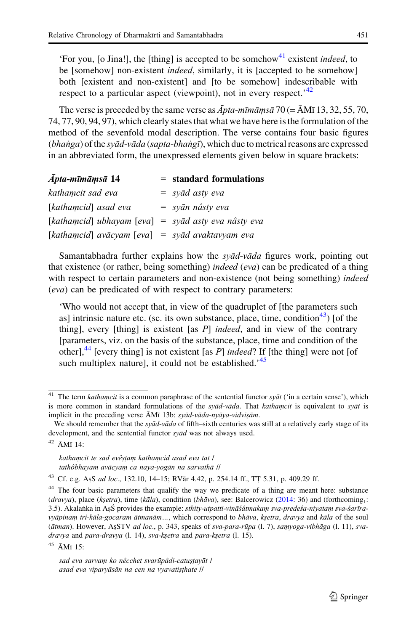'For you, [o Jina!], the [thing] is accepted to be somehow $^{41}$  existent *indeed*, to be [somehow] non-existent *indeed*, similarly, it is [accepted to be somehow] both [existent and non-existent] and [to be somehow] indescribable with respect to a particular aspect (viewpoint), not in every respect.<sup> $42$ </sup>

The verse is preceded by the same verse as  $\bar{A}pta$ -mīmāmsā 70 (=  $\bar{A}$ Mī 13, 32, 55, 70, 74, 77, 90, 94, 97), which clearly states that what we have here is the formulation of the method of the sevenfold modal description. The verse contains four basic figures  $(bha\nu a)$  of the svad-vada (sapta-bhaṅgī), which due to metrical reasons are expressed in an abbreviated form, the unexpressed elements given below in square brackets:

| Āpta-mīmāmsā 14                                              | $=$ standard formulations |
|--------------------------------------------------------------|---------------------------|
| kathamcit sad eva                                            | $=$ syad asty eva         |
| [kathamcid] asad eva                                         | $=$ svān nâstv eva        |
| [kathamcid] ubhayam $[eval] = sy\bar{a}d$ asty eva nâsty eva |                           |
| [kathamcid] avācyam [eva] = syād avaktavyam eva              |                           |

Samantabhadra further explains how the  $s\nu\bar{\nu}d-d\bar{\nu}d\bar{\nu}d\bar{\nu}$  figures work, pointing out that existence (or rather, being something) *indeed (eva)* can be predicated of a thing with respect to certain parameters and non-existence (not being something) *indeed* (eva) can be predicated of with respect to contrary parameters:

'Who would not accept that, in view of the quadruplet of [the parameters such as] intrinsic nature etc. (sc. its own substance, place, time, condition<sup>43</sup>) [of the thing], every [thing] is existent [as  $P$ ] *indeed*, and in view of the contrary [parameters, viz. on the basis of the substance, place, time and condition of the other],<sup>44</sup> [every thing] is not existent [as  $P$ ] indeed? If [the thing] were not [of such multiplex nature], it could not be established.<sup>45</sup>

<sup>&</sup>lt;sup>41</sup> The term kathaṃcit is a common paraphrase of the sentential functor  $sy\bar{a}t$  ('in a certain sense'), which is more common in standard formulations of the sy $\bar{a}d$ -v $\bar{a}da$ . That kathamcit is equivalent to sy $\bar{a}t$  is implicit in the preceding verse ĀMī 13b: syād-vāda-nyāya-vidviṣām.

We should remember that the syad-vada of fifth–sixth centuries was still at a relatively early stage of its development, and the sentential functor syad was not always used.

 $42$   $\bar{A}$ Mī 14:

kathaṃcit te sad evêṣṭaṃ kathaṃcid asad eva tat / tathôbhayam avācyaṃ ca naya-yogān na sarvathā //

<sup>43</sup> Cf. e.g. Ass *ad loc.*, 132.10, 14–15; RVār 4.42, p. 254.14 ff., TT 5.31, p. 409.29 ff.

<sup>&</sup>lt;sup>44</sup> The four basic parameters that qualify the way we predicate of a thing are meant here: substance (dravya), place (ksetra), time (kāla), condition (bhāva), see: Balcerowicz [\(2014](#page-41-0): 36) and (forthcoming<sub>1</sub>: 3.5). Akalantka in As Sprovides the example: *sthity-utpatti-vinās âtmakam sva-predesa-niyatam sva-sarīra-*<br>
svaninam tri-kāla-gocaram ātmanām — which correspond to bhāva, keetra, drawa and kāla of the soul vyāpinam tri-kāla-gocaram ātmanām..., which correspond to bhāva, kṣetra, dravya and kāla of the soul (ātman). However, AṣSTV ad loc., p. 343, speaks of sva-para-rūpa (l. 7), saṃyoga-vibhāga (l. 11), sva-<br>drawa and nara drawa (l. 14), sva-ksetra and nara ksetra (l. 15) dravya and para-dravya (l. 14), sva-kṣetra and para-kṣetra (l. 15).

 $45$   $\bar{A}$ Mī 15:

sad eva sarvaṃ ko nêcchet svarūpâdi-catuṣṭayāt / asad eva viparyāsān na cen na vyavatiṣṭhate //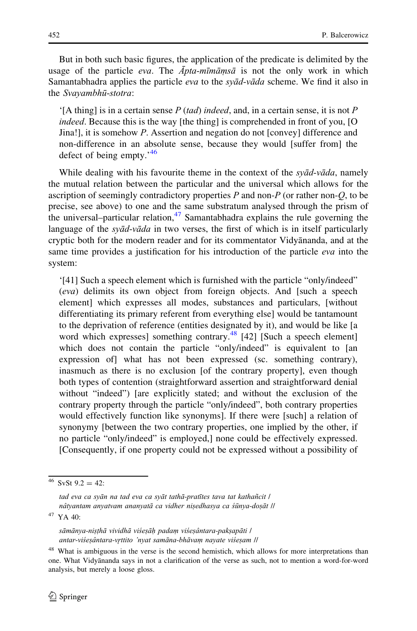But in both such basic figures, the application of the predicate is delimited by the usage of the particle *eva*. The  $\bar{A}pta$ -m $\bar{b}m\bar{a}m\bar{s}\bar{a}$  is not the only work in which Samantabhadra applies the particle *eva* to the *sy* $\bar{a}d$ -*vada* scheme. We find it also in the Svayambhū-stotra:

 $[A]$  thing is in a certain sense P (tad) indeed, and, in a certain sense, it is not P indeed. Because this is the way [the thing] is comprehended in front of you, [O Jina!], it is somehow P. Assertion and negation do not [convey] difference and non-difference in an absolute sense, because they would [suffer from] the defect of being empty.'<sup>46</sup>

While dealing with his favourite theme in the context of the  $s\nu\bar{a}d-v\bar{a}da$ , namely the mutual relation between the particular and the universal which allows for the ascription of seemingly contradictory properties  $P$  and non- $P$  (or rather non- $O$ , to be precise, see above) to one and the same substratum analysed through the prism of the universal–particular relation,  $47$  Samantabhadra explains the rule governing the language of the *syād-vāda* in two verses, the first of which is in itself particularly cryptic both for the modern reader and for its commentator Vidyananda, and at the same time provides a justification for his introduction of the particle eva into the system:

'[41] Such a speech element which is furnished with the particle "only/indeed" (eva) delimits its own object from foreign objects. And [such a speech element] which expresses all modes, substances and particulars, [without differentiating its primary referent from everything else] would be tantamount to the deprivation of reference (entities designated by it), and would be like [a word which expresses] something contrary.<sup>48</sup> [42] [Such a speech element] which does not contain the particle "only/indeed" is equivalent to [an expression of] what has not been expressed (sc. something contrary), inasmuch as there is no exclusion [of the contrary property], even though both types of contention (straightforward assertion and straightforward denial without "indeed") [are explicitly stated; and without the exclusion of the contrary property through the particle "only/indeed", both contrary properties would effectively function like synonyms]. If there were [such] a relation of synonymy [between the two contrary properties, one implied by the other, if no particle "only/indeed" is employed,] none could be effectively expressed. [Consequently, if one property could not be expressed without a possibility of

<sup>47</sup> YA 40:

sāmānya-niṣṭhā vividhā viśeṣāḥ padaṃ viśeṣântara-pakṣapāti / antar-viśeṣântara-vr̥ttito 'nyat samāna-bhāvaṃ nayate viśeṣam //

 $46$  SvSt  $9.2 = 42$ :

tad eva ca syān na tad eva ca syāt tathā-pratītes tava tat kathañcit / nâtyantam anyatvam ananyatā ca vidher niṣedhasya ca śūnya-doṣāt //

<sup>&</sup>lt;sup>48</sup> What is ambiguous in the verse is the second hemistich, which allows for more interpretations than one. What Vidyananda says in not a clarification of the verse as such, not to mention a word-for-word analysis, but merely a loose gloss.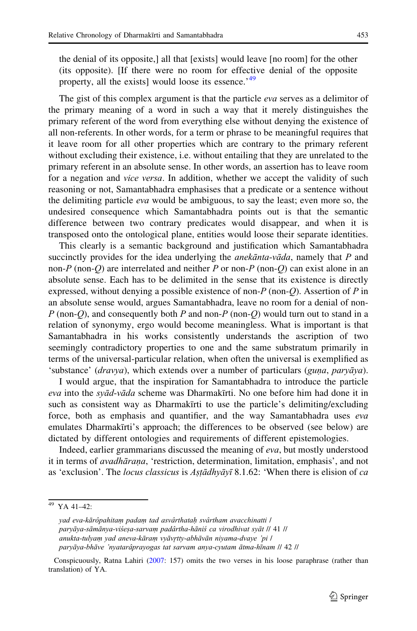the denial of its opposite,] all that [exists] would leave [no room] for the other (its opposite). [If there were no room for effective denial of the opposite property, all the exists] would loose its essence.<sup>'49</sup>

The gist of this complex argument is that the particle *eva* serves as a delimitor of the primary meaning of a word in such a way that it merely distinguishes the primary referent of the word from everything else without denying the existence of all non-referents. In other words, for a term or phrase to be meaningful requires that it leave room for all other properties which are contrary to the primary referent without excluding their existence, i.e. without entailing that they are unrelated to the primary referent in an absolute sense. In other words, an assertion has to leave room for a negation and vice versa. In addition, whether we accept the validity of such reasoning or not, Samantabhadra emphasises that a predicate or a sentence without the delimiting particle *eva* would be ambiguous, to say the least; even more so, the undesired consequence which Samantabhadra points out is that the semantic difference between two contrary predicates would disappear, and when it is transposed onto the ontological plane, entities would loose their separate identities.

This clearly is a semantic background and justification which Samantabhadra succinctly provides for the idea underlying the *anekānta-vāda*, namely that  $P$  and non-P (non-Q) are interrelated and neither P or non-P (non-Q) can exist alone in an absolute sense. Each has to be delimited in the sense that its existence is directly expressed, without denying a possible existence of non- $P$  (non- $Q$ ). Assertion of  $P$  in an absolute sense would, argues Samantabhadra, leave no room for a denial of non-P (non-Q), and consequently both P and non-P (non-Q) would turn out to stand in a relation of synonymy, ergo would become meaningless. What is important is that Samantabhadra in his works consistently understands the ascription of two seemingly contradictory properties to one and the same substratum primarily in terms of the universal-particular relation, when often the universal is exemplified as 'substance' (dravya), which extends over a number of particulars (guna, paryāya).

I would argue, that the inspiration for Samantabhadra to introduce the particle eva into the syad-vada scheme was Dharmakīrti. No one before him had done it in such as consistent way as Dharmakīrti to use the particle's delimiting/excluding force, both as emphasis and quantifier, and the way Samantabhadra uses  $e$ va emulates Dharmakīrti's approach; the differences to be observed (see below) are dictated by different ontologies and requirements of different epistemologies.

Indeed, earlier grammarians discussed the meaning of eva, but mostly understood it in terms of *avadhāraṇa*, 'restriction, determination, limitation, emphasis', and not as 'exclusion'. The locus classicus is  $\text{Ast\bar{a}}$ dhy $\bar{a}v\bar{i}$  8.1.62: 'When there is elision of ca

<sup>49</sup> YA 41–42:

yad eva-kārôpahitaṃ padaṃ tad asvârthataḥ svârtham avacchinatti / paryāya-sāmānya-viśeṣa-sarvaṃ padârtha-hāniś ca virodhivat syāt // 41 // anukta-tulyaṃ yad aneva-kāraṃ vyāvr̥tty-abhāvān niyama-dvaye 'pi / paryāya-bhāve 'nyatarâprayogas tat sarvam anya-cyutam ātma-hīnam // 42 //

Conspicuously, Ratna Lahiri [\(2007](#page-43-0): 157) omits the two verses in his loose paraphrase (rather than translation) of YA.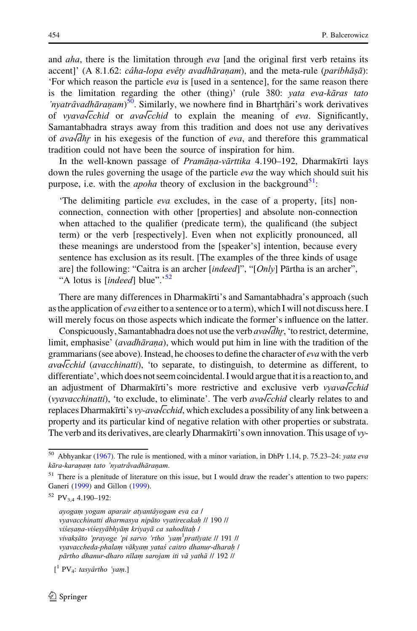and *aha*, there is the limitation through *eva* [and the original first verb retains its accent]' (A 8.1.62:  $c\hat{a}ha-loopa$  evêty avadhāranam), and the meta-rule (paribhāṣā): 'For which reason the particle eva is [used in a sentence], for the same reason there is the limitation regarding the other (thing)' (rule 380: *yata eva-kāras tato* 'nyatrâvadhāraṇam)<sup>50</sup>. Similarly, we nowhere find in Bhartrhāri's work derivatives<br>of *wavascchid* or *avascchid* to explain the meaning of *eva* Significantly of vyava√cchid or ava√cchid to explain the meaning of eva. Significantly, Samantabhadra strays away from this tradition and does not use any derivatives of *ava√dhr* in his exegesis of the function of *eva*, and therefore this grammatical tradition could not have been the source of inspiration for him.

In the well-known passage of *Pramāna-vārttika* 4.190–192, Dharmakīrti lays down the rules governing the usage of the particle *eva* the way which should suit his purpose, i.e. with the *apoha* theory of exclusion in the background<sup>51</sup>:

'The delimiting particle eva excludes, in the case of a property, [its] nonconnection, connection with other [properties] and absolute non-connection when attached to the qualifier (predicate term), the qualificand (the subject term) or the verb [respectively]. Even when not explicitly pronounced, all these meanings are understood from the [speaker's] intention, because every sentence has exclusion as its result. [The examples of the three kinds of usage are] the following: "Caitra is an archer [indeed]", "[Only] Pārtha is an archer", "A lotus is [*indeed*] blue".<sup>52</sup>

There are many differences in Dharmakīrti's and Samantabhadra's approach (such as the application of *eva* either to a sentence or to a term), which I will not discuss here. I will merely focus on those aspects which indicate the former's influence on the latter.

Conspicuously, Samantabhadra does not use the verb  $a\mathit{v}a\mathit{v}d\mathit{h}r$ , 'to restrict, determine, limit, emphasise' (avadhārana), which would put him in line with the tradition of the grammarians (see above). Instead, he chooses to define the character of eva with the verb ava√cchid (avacchinatti), 'to separate, to distinguish, to determine as different, to differentiate', which does not seem coincidental. I would argue thatitis a reactionto, and an adjustment of Dharmakīrti's more restrictive and exclusive verb *vyava*√cchid (vyavacchinatti), 'to exclude, to eliminate'. The verb ava $\sqrt{c}$ chid clearly relates to and replaces Dharmakūrti's vy-ava√cchid, which excludes a possibility of any link between a property and its particular kind of negative relation with other properties or substrata. The verb and its derivatives, are clearly Dharmak $\overline{r}$ tri's own innovation. This usage of vy-

ayogaṃ yogam aparair atyantâyogam eva ca / vyavacchinatti dharmasya nipāto vyatirecakaḥ // 190 // viśeṣaṇa-viśeṣyābhyāṃ kriyayā ca sahoditaḥ / vivakṣāto 'prayoge 'pi sarvo 'rtho 'yaṃ<sup>1</sup>pratīyate // 191 // vyavaccheda-phalaṃ vākyaṃ yataś caitro dhanur-dharaḥ / pārtho dhanur-dharo nīlaṃ sarojam iti vā yathā // 192 //

[ <sup>1</sup> PV4: tasyârtho 'yaṃ.]

<sup>50</sup> Abhyankar [\(1967](#page-40-0)). The rule is mentioned, with a minor variation, in DhPr 1.14, p. 75.23–24: yata eva kāra-karaṇaṃ tato 'nyatrâvadhāraṇam.

<sup>51</sup> There is a plenitude of literature on this issue, but I would draw the reader's attention to two papers: Ganeri ([1999\)](#page-42-0) and Gillon [\(1999\)](#page-42-0).

<sup>52</sup> PV<sub>3.4</sub> 4.190-192: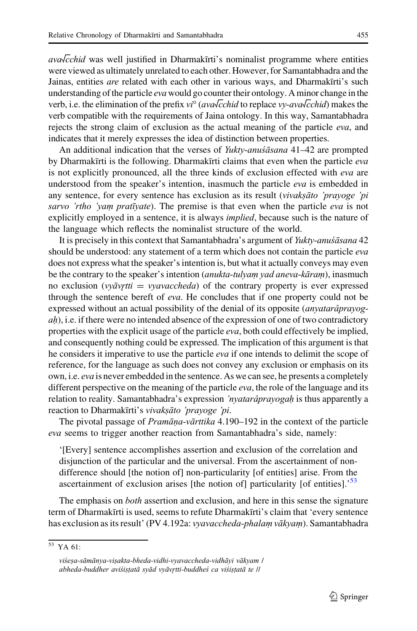$a\vee a\vee cchi$  was well justified in Dharmakīrti's nominalist programme where entities were viewed as ultimately unrelated to each other. However, for Samantabhadra and the Jainas, entities are related with each other in various ways, and Dharmakīrti's such understanding of the particle *eva* would go counter their ontology. A minor change in the verb, i.e. the elimination of the prefix  $vi^{\circ}$  (ava√cchid to replace vy-ava√cchid) makes the verb compatible with the requirements of Jaina ontology. In this way, Samantabhadra rejects the strong claim of exclusion as the actual meaning of the particle *eva*, and indicates that it merely expresses the idea of distinction between properties.

An additional indication that the verses of Yukty-anusa and 41–42 are prompted by Dharmakīrti is the following. Dharmakīrti claims that even when the particle  $eva$ is not explicitly pronounced, all the three kinds of exclusion effected with *eva* are understood from the speaker's intention, inasmuch the particle eva is embedded in any sentence, for every sentence has exclusion as its result (vivaksato 'prayoge 'pi sarvo 'rtho 'yam pratīyate). The premise is that even when the particle eva is not explicitly employed in a sentence, it is always *implied*, because such is the nature of the language which reflects the nominalist structure of the world.

It is precisely in this context that Samantabhadra's argument of Yukty-anuśāsana 42 should be understood: any statement of a term which does not contain the particle eva does not express what the speaker's intention is, but what it actually conveys may even be the contrary to the speaker's intention (*anukta-tulyam yad aneva-kāram*), inasmuch no exclusion (*vyāvrtti* = *vyavaccheda*) of the contrary property is ever expressed through the sentence bereft of eva. He concludes that if one property could not be expressed without an actual possibility of the denial of its opposite (anyatarâprayog $ah$ ), i.e. if there were no intended absence of the expression of one of two contradictory properties with the explicit usage of the particle *eva*, both could effectively be implied, and consequently nothing could be expressed. The implication of this argument is that he considers it imperative to use the particle eva if one intends to delimit the scope of reference, for the language as such does not convey any exclusion or emphasis on its own, i.e. eva is never embedded in the sentence. As we can see, he presents a completely different perspective on the meaning of the particle  $eva$ , the role of the language and its relation to reality. Samantabhadra's expression 'nyatarâprayogah is thus apparently a reaction to Dharmakīrti's vivakṣāto 'prayoge 'pi.

The pivotal passage of *Pramāṇa-vārttika* 4.190–192 in the context of the particle eva seems to trigger another reaction from Samantabhadra's side, namely:

'[Every] sentence accomplishes assertion and exclusion of the correlation and disjunction of the particular and the universal. From the ascertainment of nondifference should [the notion of] non-particularity [of entities] arise. From the ascertainment of exclusion arises [the notion of] particularity [of entities].<sup>53</sup>

The emphasis on *both* assertion and exclusion, and here in this sense the signature term of Dharmakīrti is used, seems to refute Dharmakīrti's claim that 'every sentence has exclusion as its result' (PV 4.192a: *vyavaccheda-phalam vākyam*). Samantabhadra

 $\frac{1}{53}$  YA 61:

viśeṣa-sāmānya-viṣakta-bheda-vidhi-vyavaccheda-vidhāyi vākyam / abheda-buddher aviśiṣṭatā syād vyāvr̥tti-buddheś ca viśiṣṭatā te //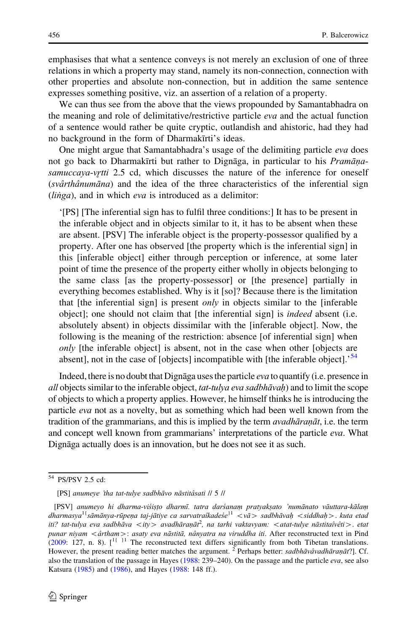emphasises that what a sentence conveys is not merely an exclusion of one of three relations in which a property may stand, namely its non-connection, connection with other properties and absolute non-connection, but in addition the same sentence expresses something positive, viz. an assertion of a relation of a property.

We can thus see from the above that the views propounded by Samantabhadra on the meaning and role of delimitative/restrictive particle eva and the actual function of a sentence would rather be quite cryptic, outlandish and ahistoric, had they had no background in the form of Dharmakīrti's ideas.

One might argue that Samantabhadra's usage of the delimiting particle eva does not go back to Dharmakīrti but rather to Dignāga, in particular to his *Pramāna*samuccaya-vrtti 2.5 cd, which discusses the nature of the inference for oneself (svârthânumāna) and the idea of the three characteristics of the inferential sign  $(i\dot{n}ga)$ , and in which *eva* is introduced as a delimitor:

'[PS] [The inferential sign has to fulfil three conditions:] It has to be present in the inferable object and in objects similar to it, it has to be absent when these are absent. [PSV] The inferable object is the property-possessor qualified by a property. After one has observed [the property which is the inferential sign] in this [inferable object] either through perception or inference, at some later point of time the presence of the property either wholly in objects belonging to the same class [as the property-possessor] or [the presence] partially in everything becomes established. Why is it [so]? Because there is the limitation that [the inferential sign] is present only in objects similar to the [inferable object]; one should not claim that [the inferential sign] is indeed absent (i.e. absolutely absent) in objects dissimilar with the [inferable object]. Now, the following is the meaning of the restriction: absence [of inferential sign] when only [the inferable object] is absent, not in the case when other [objects are absent], not in the case of [objects] incompatible with [the inferable object].<sup>54</sup>

Indeed, there is no doubt that Digna $\bar{g}a$  uses the particle *eva* to quantify (i.e. presence in all objects similar to the inferable object, tat-tulya eva sadbh $\bar{a}$ vah) and to limit the scope of objects to which a property applies. However, he himself thinks he is introducing the particle *eva* not as a novelty, but as something which had been well known from the tradition of the grammarians, and this is implied by the term *avadhāraṇāt*, i.e. the term and concept well known from grammarians' interpretations of the particle eva. What Dignaga actually does is an innovation, but he does not see it as such.

<sup>54</sup> PS/PSV 2.5 cd:

<sup>[</sup>PS] anumeye 'tha tat-tulye sadbhāvo nāstitâsati // 5 //

<sup>[</sup>PSV] anumeyo hi dharma-viśisto dharmī. tatra darśanam pratyakṣato 'numānato vāuttara-kālam dharmasya<sup>1{</sup>sāmānya-rūpena taj-jātiye ca sarvatraîkadeśe<sup>}1</sup> < vā > sadbhāvah < siddhah > . kuta etad iti? tat-tulya eva sadbhāva <ity> avadhāraṇāt<sup>2</sup>, na tarhi vaktavyam: <atat-tulye nāstitaîvêti>. etat punar niyam < ârtham >: asaty eva nāstitā, nânyatra na viruddha iti. After reconstructed text in Pind  $(2009: 127, n. 8)$  $(2009: 127, n. 8)$  $(2009: 127, n. 8)$ .  $[1^{[t-1]}$  The reconstructed text differs significantly from both Tibetan translations. However, the present reading better matches the argument. <sup>2</sup> Perhaps better: sadbhāvâvadhāraṇāt?]. Cf. also the translation of the passage in Hayes ([1988:](#page-42-0)  $239-240$ ). On the passage and the particle *eva*, see also Katsura [\(1985\)](#page-43-0) and [\(1986\)](#page-43-0), and Hayes ([1988:](#page-42-0) 148 ff.).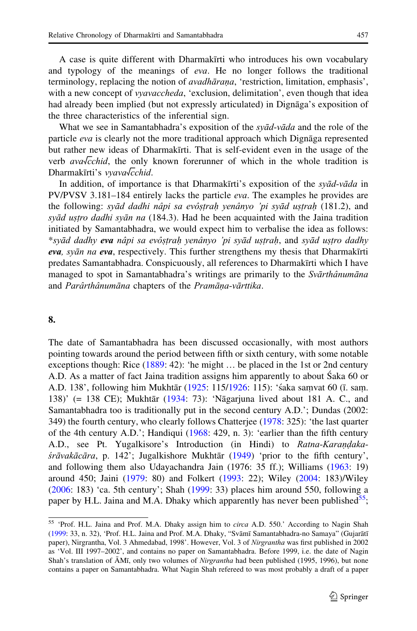A case is quite different with Dharmakinti who introduces his own vocabulary and typology of the meanings of eva. He no longer follows the traditional terminology, replacing the notion of *avadhāraṇa*, 'restriction, limitation, emphasis', with a new concept of *vyavaccheda*, 'exclusion, delimitation', even though that idea had already been implied (but not expressly articulated) in Dignaga's exposition of the three characteristics of the inferential sign.

What we see in Samantabhadra's exposition of the  $s\nu\bar{a}d-v\bar{a}da$  and the role of the particle  $e$ *va* is clearly not the more traditional approach which Digna $\bar{q}$ a represented but rather new ideas of Dharmakīrti. That is self-evident even in the usage of the verb *ava√cchid*, the only known forerunner of which in the whole tradition is Dharmakīrti's *vyava√cchid*.

In addition, of importance is that Dharmakīrti's exposition of the *syād-vāda* in PV/PVSV 3.181–184 entirely lacks the particle eva. The examples he provides are the following: syād dadhi nâpi sa evôștrah yenânyo 'pi syād uștrah (181.2), and syād ustro dadhi syān na  $(184.3)$ . Had he been acquainted with the Jaina tradition initiated by Samantabhadra, we would expect him to verbalise the idea as follows: \*syād dadhy eva nâpi sa evôṣṭraḥ yenânyo 'pi syād uṣṭraḥ, and syād uṣṭro dadhy eva, syān na eva, respectively. This further strengthens my thesis that Dharmak $\overline{i}$ rti predates Samantabhadra. Conspicuously, all references to Dharmakīrti which I have managed to spot in Samantabhadra's writings are primarily to the Svarthânumana and Parârthânumāna chapters of the Pramāṇa-vārttika.

# 8.

The date of Samantabhadra has been discussed occasionally, with most authors pointing towards around the period between fifth or sixth century, with some notable exceptions though: Rice [\(1889](#page-44-0): 42): 'he might … be placed in the 1st or 2nd century A.D. As a matter of fact Jaina tradition assigns him apparently to about Saka 60 or A.D. 138', following him Mukhtār [\(1925](#page-43-0): 115/[1926:](#page-43-0) 115): 'śaka samvat 60 (ī. sam.<br>138)' (= 138 CE): Mukhtār (1934: 73): 'Nāgariuna lived about 181 A.C. and 138)' (= 138 CE); Mukhtār ([1934:](#page-43-0) 73): 'Nāgarjuna lived about 181 A. C., and Samantabhadra too is traditionally put in the second century A.D.'; Dundas (2002: 349) the fourth century, who clearly follows Chatterjee ([1978:](#page-41-0) 325): 'the last quarter of the 4th century A.D.'; Handiqui [\(1968](#page-42-0): 429, n. 3): 'earlier than the fifth century A.D., see Pt. Yugalkisore's Introduction (in Hindi) to Ratna-Karandaka- $\frac{\partial \hat{r}}{\partial x}$  single in the same in the set of the figure  $\frac{\partial \hat{r}}{\partial x}$  is the fifth century', and following them also Udayachandra Jain (1976: 35 ff.); Williams [\(1963:](#page-46-0) 19) around 450; Jaini ([1979:](#page-42-0) 80) and Folkert [\(1993](#page-42-0): 22); Wiley [\(2004](#page-46-0): 183)/Wiley [\(2006](#page-46-0): 183) 'ca. 5th century'; Shah [\(1999](#page-44-0): 33) places him around 550, following a paper by H.L. Jaina and M.A. Dhaky which apparently has never been published<sup>35</sup>;

<sup>&</sup>lt;sup>55</sup> 'Prof. H.L. Jaina and Prof. M.A. Dhaky assign him to circa A.D. 550.' According to Nagin Shah ([1999:](#page-44-0) 33, n. 32), 'Prof. H.L. Jaina and Prof. M.A. Dhaky, "Svāmī Samantabhadra-no Samaya" (Gujarātī paper), Nirgrantha, Vol. 3 Ahmedabad, 1998'. However, Vol. 3 of Nirgrantha was first published in 2002 as 'Vol. III 1997–2002', and contains no paper on Samantabhadra. Before 1999, i.e. the date of Nagin Shah's translation of AM<sub>I</sub>, only two volumes of *Nirgrantha* had been published (1995, 1996), but none contains a paper on Samantabhadra. What Nagin Shah refereed to was most probably a draft of a paper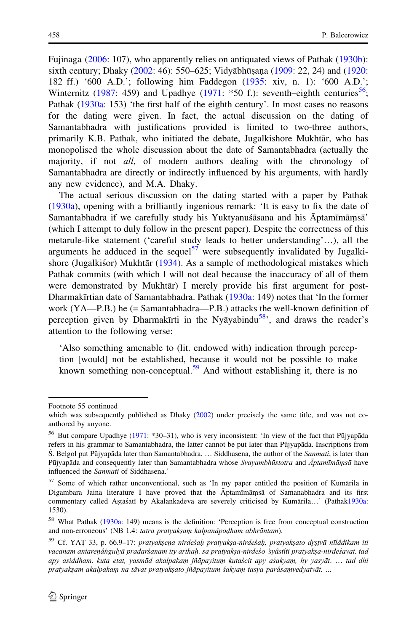Fujinaga ([2006:](#page-42-0) 107), who apparently relies on antiquated views of Pathak [\(1930b](#page-43-0)): sixth century; Dhaky [\(2002](#page-41-0): 46): 550–625; Vidyābhūṣaṇa ([1909:](#page-46-0) 22, 24) and ([1920:](#page-46-0) ˙ ˙ 182 ff.) '600 A.D.'; following him Faddegon ([1935:](#page-42-0) xiv, n. 1): '600 A.D.'; Winternitz ([1987:](#page-46-0) 459) and Upadhye [\(1971](#page-45-0): \*50 f.): seventh–eighth centuries<sup>56</sup>; Pathak ([1930a](#page-43-0): 153) 'the first half of the eighth century'. In most cases no reasons for the dating were given. In fact, the actual discussion on the dating of Samantabhadra with justifications provided is limited to two-three authors, primarily K.B. Pathak, who initiated the debate, Jugalkishore Mukhtār, who has monopolised the whole discussion about the date of Samantabhadra (actually the majority, if not *all*, of modern authors dealing with the chronology of Samantabhadra are directly or indirectly influenced by his arguments, with hardly any new evidence), and M.A. Dhaky.

The actual serious discussion on the dating started with a paper by Pathak [\(1930a\)](#page-43-0), opening with a brilliantly ingenious remark: 'It is easy to fix the date of Samantabhadra if we carefully study his Yuktyanuśāsana and his Āptamīmāmsā' ˙ (which I attempt to duly follow in the present paper). Despite the correctness of this metarule-like statement ('careful study leads to better understanding'…), all the arguments he adduced in the sequel<sup>57</sup> were subsequently invalidated by Jugalki-shore (Jugalkis´or) Mukhtār [\(1934](#page-43-0)). As a sample of methodological mistakes which Pathak commits (with which I will not deal because the inaccuracy of all of them were demonstrated by Mukhtār) I merely provide his first argument for post-Dharmakīrtian date of Samantabhadra. Pathak [\(1930a:](#page-43-0) 149) notes that 'In the former work (YA—P.B.) he (= Samantabhadra—P.B.) attacks the well-known definition of perception given by Dharmakīrti in the Nyāyabindu<sup>58</sup>', and draws the reader's attention to the following verse:

'Also something amenable to (lit. endowed with) indication through perception [would] not be established, because it would not be possible to make known something non-conceptual.<sup>59</sup> And without establishing it, there is no

Footnote 55 continued

which was subsequently published as Dhaky  $(2002)$  $(2002)$  under precisely the same title, and was not coauthored by anyone.

<sup>&</sup>lt;sup>56</sup> But compare Upadhye [\(1971:](#page-46-0) \*30–31), who is very inconsistent: 'In view of the fact that Pūjyapāda refers in his grammar to Samantabhadra, the latter cannot be put later than Pūjyapāda. Inscriptions from S. Belgol put Pūjyapāda later than Samantabhadra. ... Siddhasena, the author of the Sanmati, is later than Pūjyapāda and consequently later than Samantabhadra whose Svayambhūstotra and Āptamīmāmsā have influenced the Sanmati of Siddhasena.'

 $57$  Some of which rather unconventional, such as 'In my paper entitled the position of Kumarila in Digambara Jaina literature I have proved that the Āptamīmāmsā of Samanabhadra and its first ˙ commentary called As˙ t ˙ as´atı¯ by Akalankadeva are severely criticised by Kuma¯rila…' (Pathak[1930a](#page-42-0): 1530).

<sup>58</sup> What Pathak [\(1930a:](#page-42-0) 149) means is the definition: 'Perception is free from conceptual construction and non-erroneous' (NB 1.4: tatra pratyakṣaṃ kalpanâpoḍham abhrāntam).

<sup>59</sup> Cf. YAT˙ 33, p. 66.9–17: pratyakṣeṇa nirdeśa<sup>ḥ</sup> pratyakṣa-nirdeśaḥ, pratyakṣato dr̥ṣṭv<sup>ā</sup> <sup>n</sup>īlâdikam iti vacanam antareṇâṅgulyā pradarśanam ity arthaḥ. sa pratyakṣa-nirdeśo 'syâstîti pratyakṣa-nirdeśavat. tad apy asiddham. kuta etat, yasmād akalpakaṃ jñāpayituṃ kutaścit apy aśakyaṃ, hy yasyāt. … tad dhi pratyakṣam akalpakaṃ na tāvat pratyakṣato jñāpayitum śakyaṃ tasya parâsaṃvedyatvāt. …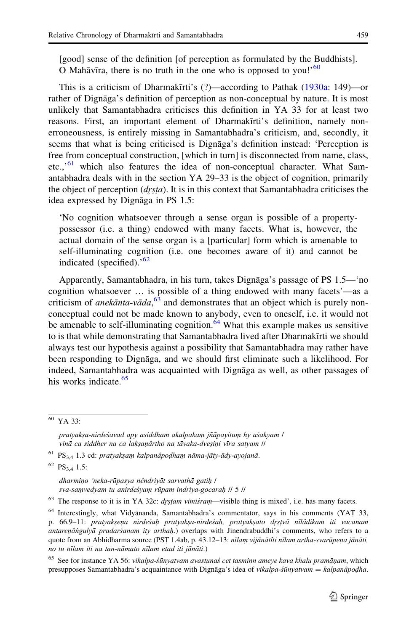[good] sense of the definition [of perception as formulated by the Buddhists]. O Mahāvīra, there is no truth in the one who is opposed to you!'<sup>60</sup>

This is a criticism of Dharmakīrti's (?)—according to Pathak [\(1930a](#page-43-0): 149)—or rather of Dignaga's definition of perception as non-conceptual by nature. It is most unlikely that Samantabhadra criticises this definition in YA 33 for at least two reasons. First, an important element of Dharmakīrti's definition, namely nonerroneousness, is entirely missing in Samantabhadra's criticism, and, secondly, it seems that what is being criticised is Dignaga's definition instead: 'Perception is free from conceptual construction, [which in turn] is disconnected from name, class, etc.,<sup> $61$ </sup> which also features the idea of non-conceptual character. What Samantabhadra deals with in the section YA 29–33 is the object of cognition, primarily the object of perception (*drsta*). It is in this context that Samantabhadra criticises the idea expressed by Dignāga in PS 1.5:

'No cognition whatsoever through a sense organ is possible of a propertypossessor (i.e. a thing) endowed with many facets. What is, however, the actual domain of the sense organ is a [particular] form which is amenable to self-illuminating cognition (i.e. one becomes aware of it) and cannot be indicated (specified).<sup>'62</sup>

Apparently, Samantabhadra, in his turn, takes Dignāga's passage of PS 1.5—'no cognition whatsoever … is possible of a thing endowed with many facets'—as a criticism of *anekānta-vāda*,  $63$  and demonstrates that an object which is purely nonconceptual could not be made known to anybody, even to oneself, i.e. it would not be amenable to self-illuminating cognition.<sup>64</sup> What this example makes us sensitive to is that while demonstrating that Samantabhadra lived after Dharmakīrti we should always test our hypothesis against a possibility that Samantabhadra may rather have been responding to Dignaga, and we should first eliminate such a likelihood. For indeed, Samantabhadra was acquainted with Digna $\bar{g}$ a as well, as other passages of his works indicate.<sup>65</sup>

<sup>60</sup> YA 33:

pratyakṣa-nirdeśavad apy asiddham akalpakaṃ jñāpayituṃ hy aśakyam / vinā ca siddher na ca lakṣaṇârtho na tāvaka-dveṣiṇi vīra satyam //

 $^{61}$  PS<sub>3.4</sub> 1.3 cd: pratyakṣaṃ kalpanâpoḍhaṃ nāma-jāty-ādy-ayojanā.

 $62$  PS<sub>3.4</sub> 1.5:

dharmino 'neka-rūpasya nêndriyāt sarvathā gatih / sva-saṃvedyam tu anirdeśyaṃ rūpam indriya-gocaraḥ // 5 //

 $63$  The response to it is in YA 32c: drṣṭam vimiśram—visible thing is mixed', i.e. has many facets.

<sup>&</sup>lt;sup>64</sup> Interestingly, what Vidyānanda, Samantabhadra's commentator, says in his comments (YAT 33, p. 66.9–11: pratyakṣeṇa nirdeśaḥ pratyakṣa-nirdeśaḥ, pratyakṣato dr̥ṣṭvā nīlâdikam iti vacanam antareņângulyā pradarśanam ity arthaḥ.) overlaps with Jinendrabuddhi's comments, who refers to a quote from an Abhidharma source (PST 1.4ab, p. 43.12–13: nīlam vijānātîti nīlam artha-svarūpeņa jānāti, no tu nīlam iti na tan-nāmato nīlam etad iti jānāti.)

<sup>&</sup>lt;sup>65</sup> See for instance YA 56: vikalpa-śūnyatvam avastunaś cet tasminn ameye kava khalu pramāņam, which presupposes Samantabhadra's acquaintance with Dignāga's idea of vikalpa-śūnyatvam = kalpanâpoḍha.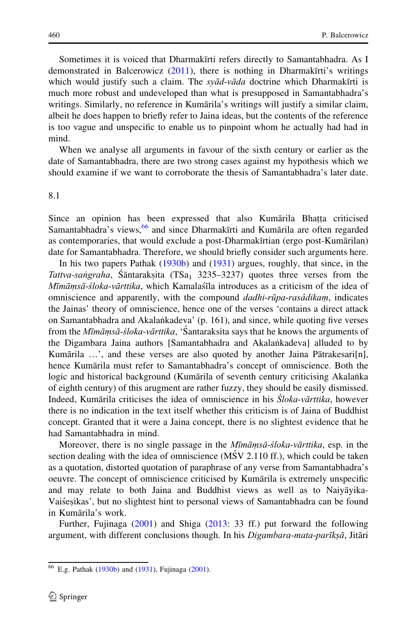Sometimes it is voiced that Dharmakīrti refers directly to Samantabhadra. As I demonstrated in Balcerowicz  $(2011)$  $(2011)$ , there is nothing in Dharmakīrti's writings which would justify such a claim. The  $sy\bar{a}d-v\bar{a}da$  doctrine which Dharmakīrti is much more robust and undeveloped than what is presupposed in Samantabhadra's writings. Similarly, no reference in Kumārila's writings will justify a similar claim, albeit he does happen to briefly refer to Jaina ideas, but the contents of the reference is too vague and unspecific to enable us to pinpoint whom he actually had had in mind.

When we analyse all arguments in favour of the sixth century or earlier as the date of Samantabhadra, there are two strong cases against my hypothesis which we should examine if we want to corroborate the thesis of Samantabhadra's later date.

8.1

Since an opinion has been expressed that also Kumārila Bhatta criticised<br>Samantabhadra's views <sup>66</sup> and since Dharmakīrti and Kumārila are often regarded Samantabhadra's views,<sup>66</sup> and since Dharmakīrti and Kumārila are often regarded as contemporaries, that would exclude a post-Dharmak $\bar{\text{r}}$ rtian (ergo post-Kuma $\bar{\text{r}}$ ilan) date for Samantabhadra. Therefore, we should briefly consider such arguments here.

In his two papers Pathak [\(1930b](#page-43-0)) and [\(1931](#page-43-0)) argues, roughly, that since, in the Tattva-saṅgraha, Śāntarakṣita (TSa<sub>1</sub> 3235–3237) quotes three verses from the *Mīmāmsā śloka vārttika*, which Kamalaśīla introduces as a criticism of the idea of Mīmāmsā-śloka-vārttika, which Kamalastīla introduces as a criticism of the idea of omniscience and apparently, with the compound *dadhi-rūpa-rasâdikam*, indicates the Jainas' theory of omniscience, hence one of the verses 'contains a direct attack on Samantabhadra and Akalan̆kadeva'  $(p. 161)$ , and since, while quoting five verses from the *Mīmāṃsā-śloka-vārttika*, 'Śantaraksita says that he knows the arguments of the Digambara Jaina authors [Samantabhadra and Akalankadeva] alluded to by Kumārila  $\ldots$ , and these verses are also quoted by another Jaina Pātrakesari[n], hence Kumārila must refer to Samantabhadra's concept of omniscience. Both the logic and historical background (Kumārila of seventh century criticising Akalantka of eighth century) of this arugment are rather fuzzy, they should be easily dismissed. Indeed, Kumārila criticises the idea of omniscience in his *Śloka-vārttika*, however there is no indication in the text itself whether this criticism is of Jaina of Buddhist concept. Granted that it were a Jaina concept, there is no slightest evidence that he had Samantabhadra in mind.

Moreover, there is no single passage in the Mīmāṃsā-śloka-vārttika, esp. in the section dealing with the idea of omniscience (MSV 2.110 ff.), which could be taken as a quotation, distorted quotation of paraphrase of any verse from Samantabhadra's oeuvre. The concept of omniscience criticised by Kuma¯rila is extremely unspecific and may relate to both Jaina and Buddhist views as well as to Naiya yika-Vaiśesikas', but no slightest hint to personal views of Samantabhadra can be found in Kumārila's work.

Further, Fujinaga ([2001\)](#page-42-0) and Shiga ([2013:](#page-45-0) 33 ff.) put forward the following argument, with different conclusions though. In his Digambara-mata-parīkṣā, Jitāri

<sup>&</sup>lt;sup>66</sup> E.g. Pathak [\(1930b](#page-45-0)) and [\(1931](#page-43-0)), Fujinaga ([2001\)](#page-42-0).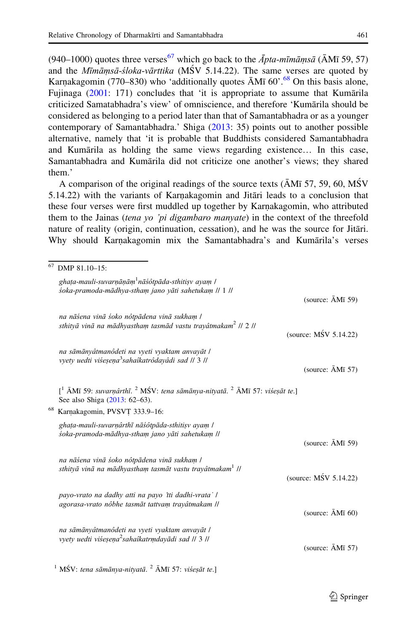$67.$  DMD  $91.10, 15$ :

(940–1000) quotes three verses<sup>67</sup> which go back to the  $\bar{A}$ *pta-mīmāṃsā* ( $\bar{A}$ Mī 59, 57) and the *Mīmāmsā-śloka-vārttika* (MŚV 5.14.22). The same verses are quoted by Karnakagomin (770–830) who 'additionally quotes  $\bar{A}$ Mī 60'.<sup>68</sup> On this basis alone,<br>Fujinaga (2001: 171) concludes that 'it is appropriate to assume that Kumārila Fujinaga  $(2001: 171)$  $(2001: 171)$  concludes that 'it is appropriate to assume that Kumarila criticized Samatabhadra's view' of omniscience, and therefore 'Kumārila should be considered as belonging to a period later than that of Samantabhadra or as a younger contemporary of Samantabhadra.' Shiga ([2013:](#page-45-0) 35) points out to another possible alternative, namely that 'it is probable that Buddhists considered Samantabhadra and Kumarila as holding the same views regarding existence... In this case, Samantabhadra and Kumārila did not criticize one another's views; they shared them.'

A comparison of the original readings of the source texts ( $\overline{AM}$  57, 59, 60, MSV 5.14.22) with the variants of Karnakagomin and Jitari leads to a conclusion that these four verses were first muddled up together by Karnakagomin, who attributed these four verses were first muddled up together by Karnakagomin, who attributed<br>them to the Jainas *(teng yo 'ni digambaro manyate*) in the context of the threefold them to the Jainas *(tena yo 'pi digambaro manyate)* in the context of the threefold nature of reality (origin, continuation, cessation), and he was the source for Jitari. Why should Karnakagomin mix the Samantabhadra's and Kumārila's verses

| DIVIE 01.10-13.                                                                                                                                |                                       |
|------------------------------------------------------------------------------------------------------------------------------------------------|---------------------------------------|
| ghața-mauli-suvarņāņām <sup>1</sup> nāśôtpāda-sthitisv ayam /<br>śoka-pramoda-mādhya-stham jano yāti sahetukam // 1 //                         | (source: $\bar{A}M\bar{i}$ 59)        |
|                                                                                                                                                |                                       |
| na nāśena vinā śoko nôtpādena vinā sukham /<br>sthityā vinā na mādhyastham tasmād vastu trayâtmakam <sup>2</sup> // 2 //                       | (source: $MSV$ 5.14.22)               |
| na sāmānyâtmanôdeti na vyeti vyaktam anvayāt /<br>vyety uedti viśeșeņa <sup>3</sup> sahaîkatrôdayâdi sad // 3 //                               |                                       |
|                                                                                                                                                | (source: $\bar{A}M\bar{i}$ 57)        |
| [ <sup>1</sup> ĀMī 59: suvarņârthī. <sup>2</sup> MŚV: tena sāmānya-nityatā. <sup>2</sup> ĀMī 57: viśeșāt te.]<br>See also Shiga (2013: 62–63). |                                       |
| 68<br>Karnakagomin, PVSVT 333.9-16:                                                                                                            |                                       |
| ghața-mauli-suvarņârthī nāśôtpāda-sthitişv ayam /<br>śoka-pramoda-mādhya-stham jano yāti sahetukam //                                          |                                       |
|                                                                                                                                                | (source: $\bar{A}M\bar{i}$ 59)        |
| na nāśena vinā śoko nôtpādena vinā sukham /<br>sthityā vinā na mādhyastham tasmāt vastu trayâtmakam <sup>1</sup> //                            | (source: $MSV$ 5.14.22)               |
| payo-vrato na dadhy atti na payo 'tti dadhi-vrata' /<br>agorasa-vrato nôbhe tasmāt tattvam trayâtmakam //                                      |                                       |
|                                                                                                                                                | (source: $\bar{A}M\bar{\text{i}}$ 60) |
| na sāmānyâtmanôdeti na vyeti vyaktam anvayāt /<br>vyety uedti viśesena <sup>2</sup> sahaîkatrmdayādi sad // 3 //                               | (source: $\bar{A}M\bar{\text{i}}$ 57) |
| $1 + 463$                                                                                                                                      |                                       |

MSV: tena sāmānya-nityatā. <sup>2</sup> AMī 57: viśesāt te.]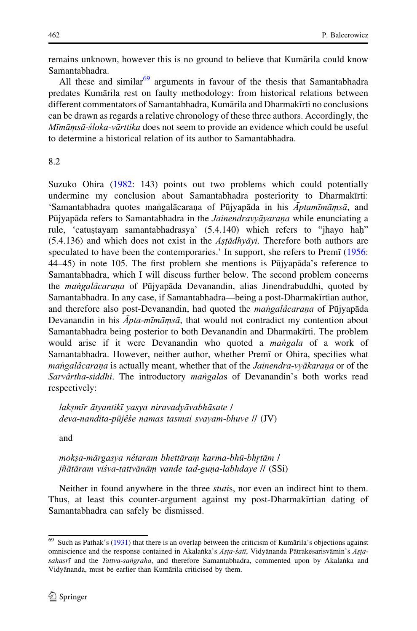remains unknown, however this is no ground to believe that Kumarila could know Samantabhadra.

All these and similar<sup>69</sup> arguments in favour of the thesis that Samantabhadra predates Kuma¯rila rest on faulty methodology: from historical relations between different commentators of Samantabhadra, Kumārila and Dharmakīrti no conclusions can be drawn as regards a relative chronology of these three authors. Accordingly, the Mīmāṃsā-śloka-vārttika does not seem to provide an evidence which could be useful to determine a historical relation of its author to Samantabhadra.

### 8.2

Suzuko Ohira [\(1982](#page-43-0): 143) points out two problems which could potentially undermine my conclusion about Samantabhadra posteriority to Dharmakīrti: 'Samantabhadra quotes mangalācaraṇa of Pūjyapāda in his  $\bar{A}$ ptamīmāṃsā, and<br>Pūjyapāda refers to Samantabhadra in the *Jainandrawāyaraṇa* while enunciating a Pūjyapāda refers to Samantabhadra in the *Jainendravyāyaraṇa* while enunciating a rule, 'catustayam samantabhadrasya'  $(5.4.140)$  which refers to "jhayo hah"<br> $(5.4.136)$  and which does not exist in the *Astadhyayi* Therefore both authors are  $(5.4.136)$  and which does not exist in the *Astadhyayi*. Therefore both authors are speculated to have been the contemporaries.' In support, she refers to Premi $(1956)$ :  $44-45$ ) in note 105. The first problem she mentions is Pu jyapada's reference to Samantabhadra, which I will discuss further below. The second problem concerns the *maṅgalâcarana* of Pūjyapāda Devanandin, alias Jinendrabuddhi, quoted by Samantabhadra. In any case, if Samantabhadra—being a post-Dharmakīrtian author, and therefore also post-Devanandin, had quoted the *maṅgalâcaraṇa* of Pūjyapāda Devanandin in his  $\overline{A}pta$ -mīmāmsā, that would not contradict my contention about Samantabhadra being posterior to both Devanandin and Dharmakīrti. The problem would arise if it were Devanandin who quoted a *mangala* of a work of Samantabhadra. However, neither author, whether Premı¯ or Ohira, specifies what mangalâcarana is actually meant, whether that of the *Jainendra-vyākarana* or of the Sarvârtha-siddhi. The introductory maṅgalas of Devanandin's both works read respectively:

lakṣmīr ātyantikī yasya niravadyāvabhāsate / deva-nandita-pūjêśe namas tasmai svayam-bhuve // (JV)

and

mokṣa-mārgasya nêtaram bhettāraṃ karma-bhū-bhr̥tām / jñātāram viśva-tattvānāṃ vande tad-guṇa-labhdaye // (SSi)

Neither in found anywhere in the three *stutis*, nor even an indirect hint to them. Thus, at least this counter-argument against my post-Dharmakintian dating of Samantabhadra can safely be dismissed.

 $69$  Such as Pathak's [\(1931](#page-43-0)) that there is an overlap between the criticism of Kumarila's objections against omniscience and the response contained in Akalanka's Aṣṭa-śatī, Vidyānanda Pātrakesarisvāmin's Aṣṭasahasrī and the Tattva-saṅgraha, and therefore Samantabhadra, commented upon by Akalantka and Vidyānanda, must be earlier than Kumārila criticised by them.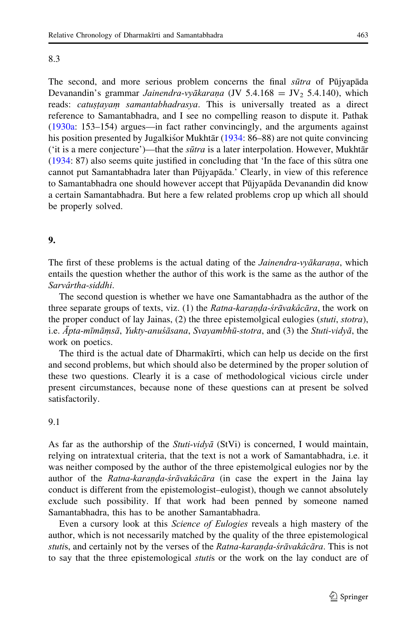#### 8.3

The second, and more serious problem concerns the final  $sūtra$  of Pu $\bar{j}$ yapāda Devanandin's grammar Jainendra-vyākaraṇa (JV 5.4.168 = JV<sub>2</sub> 5.4.140), which reads: catușțayam samantabhadrasya. This is universally treated as a direct reference to Samantabhadra, and I see no compelling reason to dispute it. Pathak [\(1930a:](#page-43-0) 153–154) argues—in fact rather convincingly, and the arguments against his position presented by Jugalkis´or Mukhtār [\(1934:](#page-43-0)  $86–88$ ) are not quite convincing ( $'$ it is a mere conjecture')—that the *sūtra* is a later interpolation. However, Mukhtār  $(1934: 87)$  $(1934: 87)$  also seems quite justified in concluding that 'In the face of this surframe cannot put Samantabhadra later than Pūjyapāda.' Clearly, in view of this reference to Samantabhadra one should however accept that Pūjyapāda Devanandin did know a certain Samantabhadra. But here a few related problems crop up which all should be properly solved.

## 9.

The first of these problems is the actual dating of the Jainendra-vyākaraṇa, which entails the question whether the author of this work is the same as the author of the Sarvârtha-siddhi.

The second question is whether we have one Samantabhadra as the author of the three separate groups of texts, viz. (1) the Ratna-karaṇḍa-śrāvakâcāra, the work on the proper conduct of lay Jainas, (2) the three epistemolgical eulogies (*stuti, stotra*), i.e. Āpta-mīmāṃsā, Yukty-anuśāsana, Svayambhū-stotra, and (3) the Stuti-vidyā, the work on poetics.

The third is the actual date of Dharmakīrti, which can help us decide on the first and second problems, but which should also be determined by the proper solution of these two questions. Clearly it is a case of methodological vicious circle under present circumstances, because none of these questions can at present be solved satisfactorily.

## 9.1

As far as the authorship of the *Stuti-vidya* (StVi) is concerned, I would maintain, relying on intratextual criteria, that the text is not a work of Samantabhadra, i.e. it was neither composed by the author of the three epistemolgical eulogies nor by the author of the Ratna-karaṇḍa-śrāvakâcāra (in case the expert in the Jaina lay conduct is different from the epistemologist–eulogist), though we cannot absolutely exclude such possibility. If that work had been penned by someone named Samantabhadra, this has to be another Samantabhadra.

Even a cursory look at this *Science of Eulogies* reveals a high mastery of the author, which is not necessarily matched by the quality of the three epistemological stutis, and certainly not by the verses of the Ratna-karaṇḍa-śrāvakâcāra. This is not to say that the three epistemological stutis or the work on the lay conduct are of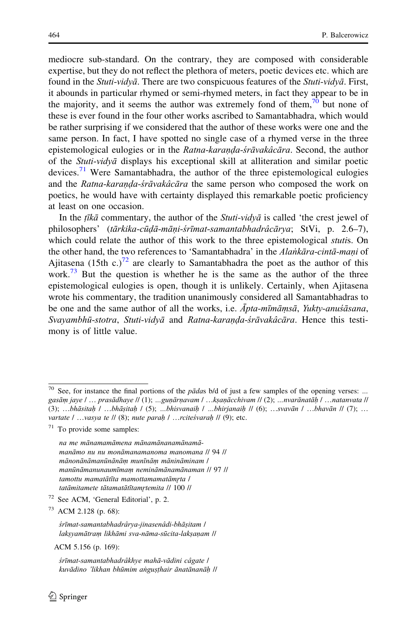mediocre sub-standard. On the contrary, they are composed with considerable expertise, but they do not reflect the plethora of meters, poetic devices etc. which are found in the *Stuti-vidyā*. There are two conspicuous features of the *Stuti-vidyā*. First, it abounds in particular rhymed or semi-rhymed meters, in fact they appear to be in the majority, and it seems the author was extremely fond of them, $\frac{70}{10}$  but none of these is ever found in the four other works ascribed to Samantabhadra, which would be rather surprising if we considered that the author of these works were one and the same person. In fact, I have spotted no single case of a rhymed verse in the three epistemological eulogies or in the Ratna-karanda-śrāvakâcāra. Second, the author of the *Stuti-vidva* displays his exceptional skill at alliteration and similar poetic devices.<sup>71</sup> Were Samantabhadra, the author of the three epistemological eulogies and the Ratna-karanda-śrāvakâcāra the same person who composed the work on poetics, he would have with certainty displayed this remarkable poetic proficiency at least on one occasion.

In the  $t\bar{t}k\bar{a}$  commentary, the author of the *Stuti-vidya* is called 'the crest jewel of philosophers' (tārkika-cūḍā-māṇi-śrīmat-samantabhadrâcārya; StVi, p. 2.6–7), which could relate the author of this work to the three epistemological *stutis*. On the other hand, the two references to 'Samantabhadra' in the Alankara-cinta-mani of Ajitasena (15th c.)<sup>72</sup> are clearly to Samantabhadra the poet as the author of this work.<sup>73</sup> But the question is whether he is the same as the author of the three epistemological eulogies is open, though it is unlikely. Certainly, when Ajitasena wrote his commentary, the tradition unanimously considered all Samantabhadras to be one and the same author of all the works, i.e.  $\bar{A}pta$ -mīmāmsā, Yukty-anuśāsana, Svayambhū-stotra, Stuti-vidyā and Ratna-karaṇḍa-śrāvakâcāra. Hence this testimony is of little value.

<sup>&</sup>lt;sup>70</sup> See, for instance the final portions of the *pādas* b/d of just a few samples of the opening verses: ... gasāṃ jaye / … prasādhaye // (1); …guṇārṇavam / …kṣaṇācchivam // (2); …nvarānatāḥ / …natanvata // (3); …bhāsitaḥ / …bhāṣitaḥ / (5); …bhisvanaiḥ / …bhirjanaiḥ // (6); …svavān / …bhavān // (7); … vartate / ...vasya te // (8); nute paraḥ / ...rciteśvaraḥ // (9); etc.

<sup>71</sup> To provide some samples:

na me mānamamāmena mānamānanamānamāmanāmo nu nu monāmanamanoma manomana // 94 // mānonānāmanūnānāṃ munīnāṃ mānināminam / manūnāmanunaumīmaṃ nemināmānamānaman // 97 // tamottu mamatātīta mamottamamatāmŗta / tatāmitamete tātamatātītamrtemita // 100 //

<sup>72</sup> See ACM, 'General Editorial', p. 2.

<sup>73</sup> ACM 2.128 (p. 68):

śrīmat-samantabhadrârya-jinasenâdi-bhāṣitam / lakṣyamātraṃ likhāmi sva-nāma-sūcita-lakṣaṇam //

ACM 5.156 (p. 169):

śrīmat-samantabhadrâkhye mahā-vādini câgate / kuvādino 'likhan bhūmim aṅguṣṭhair ānatānanāḥ //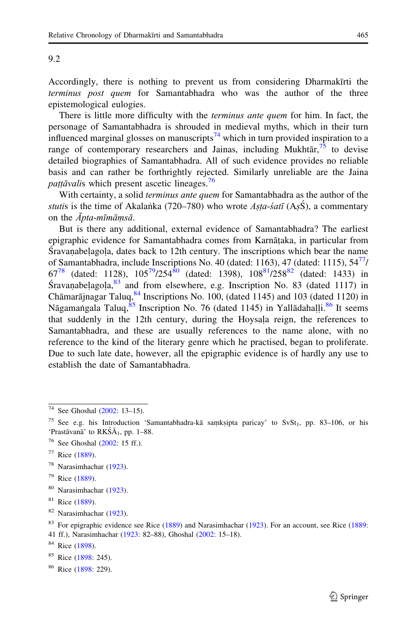#### 9.2

Accordingly, there is nothing to prevent us from considering Dharmakīrti the terminus post quem for Samantabhadra who was the author of the three epistemological eulogies.

There is little more difficulty with the *terminus ante quem* for him. In fact, the personage of Samantabhadra is shrouded in medieval myths, which in their turn influenced marginal glosses on manuscripts<sup>74</sup> which in turn provided inspiration to a range of contemporary researchers and Jainas, including Mukhtār, $^{75}$  to devise detailed biographies of Samantabhadra. All of such evidence provides no reliable basis and can rather be forthrightly rejected. Similarly unreliable are the Jaina *paṭṭāvalis* which present ascetic lineages.<sup>76</sup>

With certainty, a solid *terminus ante quem* for Samantabhadra as the author of the stutis is the time of Akalan̆ka (720–780) who wrote  $A$ sta-s'atī (AṣŚ), a commentary on the  $\bar{A}$ pta-mīmāmsā.

But is there any additional, external evidence of Samantabhadra? The earliest epigraphic evidence for Samantabhadra comes from Karnāṭaka, in particular from  $\frac{1}{2}$  Stavanabelagola, dates back to 12th century. The inscriptions which bear the name<br>of Samantabhadra, include Inscriptions No. 40 (dated: 1163) 47 (dated: 1115)  $54^{77}$ of Samantabhadra, include Inscriptions No. 40 (dated: 1163), 47 (dated: 1115),  $54^{77}$ /  $67^{78}$  (dated: 1128),  $105^{79}/254^{80}$  (dated: 1398),  $108^{81}/258^{82}$  (dated: 1433) in Stavanabelagola,  $83$  and from elsewhere, e.g. Inscription No. 83 (dated 1117) in<br>Chamarainagar Talug  $84$  Inscriptions No. 100 (dated 1145) and 103 (dated 1120) in Chāmarājnagar Taluq,  $84$  Inscriptions No. 100, (dated 1145) and 103 (dated 1120) in Nāgamangala Taluq,<sup>85</sup> Inscription No. 76 (dated 1145) in Yallādahalļi.<sup>86</sup> It seems<br>that suddenly in the 12th century during the Hoysala reign, the references to that suddenly in the 12th century, during the Hoysala reign, the references to<br>Samantabhadra, and these are usually references to the name alone, with no Samantabhadra, and these are usually references to the name alone, with no reference to the kind of the literary genre which he practised, began to proliferate. Due to such late date, however, all the epigraphic evidence is of hardly any use to establish the date of Samantabhadra.

 $74$  See Ghoshal ([2002:](#page-46-0) 13-15).

<sup>&</sup>lt;sup>75</sup> See e.g. his Introduction 'Samantabhadra-kā saṃkṣipta paricay' to SvSt<sub>1</sub>, pp. 83–106, or his 'Practāvanā' to PKŚĀ, pp. 1.88 'Prastāvanā' to  $RK\dot{S}\bar{A}_1$ , pp. 1–88.

<sup>76</sup> See Ghoshal ([2002:](#page-46-0) 15 ff.).

 $77$  Rice ([1889\)](#page-44-0).

<sup>78</sup> Narasimhachar ([1923](#page-43-0)).

 $79$  Rice ([1889\)](#page-44-0).

<sup>80</sup> Narasimhachar ([1923](#page-43-0)).

 $81$  Rice ([1889\)](#page-44-0).

<sup>82</sup> Narasimhachar ([1923](#page-43-0)).

 $83$  For epigraphic evidence see Rice ([1889\)](#page-44-0) and Narasimhachar [\(1923](#page-43-0)). For an account, see Rice [\(1889](#page-44-0): 41 ff.), Narasimhachar ([1923:](#page-43-0) 82–88), Ghoshal ([2002](#page-46-0): 15–18).

<sup>&</sup>lt;sup>84</sup> Rice ([1898\)](#page-44-0).

<sup>&</sup>lt;sup>85</sup> Rice ([1898:](#page-44-0) 245).

<sup>&</sup>lt;sup>86</sup> Rice ([1898:](#page-44-0) 229).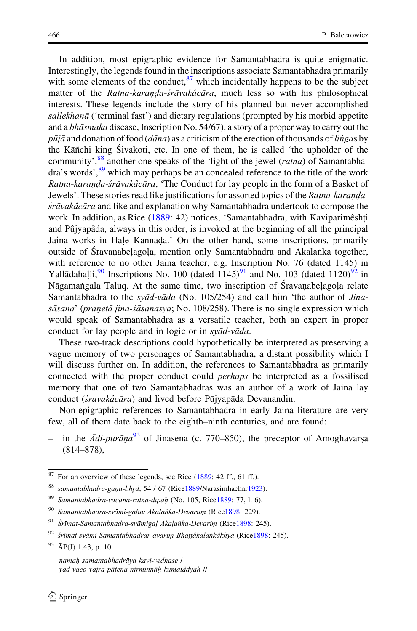In addition, most epigraphic evidence for Samantabhadra is quite enigmatic. Interestingly, the legends found in the inscriptions associate Samantabhadra primarily with some elements of the conduct,  $87$  which incidentally happens to be the subject matter of the Ratna-karanda-śrāvakâcāra, much less so with his philosophical interests. These legends include the story of his planned but never accomplished sallekhanā ('terminal fast') and dietary regulations (prompted by his morbid appetite and a bhāsmaka disease, Inscription No. 54/67), a story of a proper way to carry out the  $p\bar{u}j\bar{a}$  and donation of food ( $d\bar{a}na$ ) as a criticism of the erection of thousands of lingas by the Kañchi king Śivakoti, etc. In one of them, he is called 'the upholder of the<br>community'  $88$  another one speaks of the 'light of the iewel (ratna) of Samantabhacommunity',  $88$  another one speaks of the 'light of the jewel (*ratna*) of Samantabhadra's words',<sup>89</sup> which may perhaps be an concealed reference to the title of the work Ratna-karaṇḍa-śrāvakâcāra, 'The Conduct for lay people in the form of a Basket of Jewels'. These stories read like justifications for assorted topics of the Ratna-karandaśrāvakâcāra and like and explanation why Samantabhadra undertook to compose the work. In addition, as Rice [\(1889](#page-44-0): 42) notices, 'Samantabhadra, with Kaviparimêshti<br>and Pûiyanêda, always in this order, is invoked at the beginning of all the principal and Pûjyapâda, always in this order, is invoked at the beginning of all the principal Jaina works in Hale Kannada.' On the other hand, some inscriptions, primarily<br>outside of Stavanabelagela, mention only Samantabhadra and Akalanka together outside of Śravaṇabelagola, mention only Samantabhadra and Akalanta together,<br>with reference to no other Jaina teacher, e.g. Inscription No. 76 (dated 1145) in with reference to no other Jaina teacher, e.g. Inscription No. 76 (dated 1145) in Yallādahaļļi,<sup>90</sup> Inscriptions No. 100 (dated  $1145$ )<sup>91</sup> and No. 103 (dated 1120)<sup>92</sup> in<br>Nāgamangaļa Taluq, At the same time, two inscription of Śravanabelagola relate Nāgamangala Taluq. At the same time, two inscription of Sravanabelagola relate<br>Samantabhadra to the svad-vada (No. 105/254) and call him 'the author of *ling-*Samantabhadra to the syād-vāda (No. 105/254) and call him 'the author of Jinaśāsana' (praṇetā jina-śāsanasya; No. 108/258). There is no single expression which would speak of Samantabhadra as a versatile teacher, both an expert in proper conduct for lay people and in logic or in syād-vāda.

These two-track descriptions could hypothetically be interpreted as preserving a vague memory of two personages of Samantabhadra, a distant possibility which I will discuss further on. In addition, the references to Samantabhadra as primarily connected with the proper conduct could perhaps be interpreted as a fossilised memory that one of two Samantabhadras was an author of a work of Jaina lay conduct (śravakâcāra) and lived before Pūjyapāda Devanandin.

Non-epigraphic references to Samantabhadra in early Jaina literature are very few, all of them date back to the eighth–ninth centuries, and are found:

- in the  $\overline{A}di$ -purāņa<sup>93</sup> of Jinasena (c. 770–850), the preceptor of Amoghavarsa
(814–878) (814–878),

For an overview of these legends, see Rice [\(1889](#page-44-0): 42 ff., 61 ff.).

<sup>88</sup> samantabhadra-gaṇa-bhr̥d, 54 / 67 (Rice[1889/](#page-44-0)Narasimhacha[r1923](#page-43-0)).

Samantabhadra-vacana-ratna-dīpah (No. 105, Ric[e1889](#page-44-0): 77, 1. 6).

Samantabhadra-svāmi-gaļuv Akalaṅka-Devarum (Ric[e1898:](#page-44-0) 229).

Śrīmat-Samantabhadra-svāmigaļ Akaļaṅka-Devarim (Rice[1898:](#page-44-0) 245).

śrīmat-svāmi-Samantabhadrar avarim Bhaṭṭâkalaṅkâkhya (Rice[1898:](#page-44-0) 245).

 $93$   $\bar{AP}(J)$  1.43, p. 10:

namaḥ samantabhadrāya kavi-vedhase / yad-vaco-vajra-pātena nirminnāḥ kumatâdyaḥ //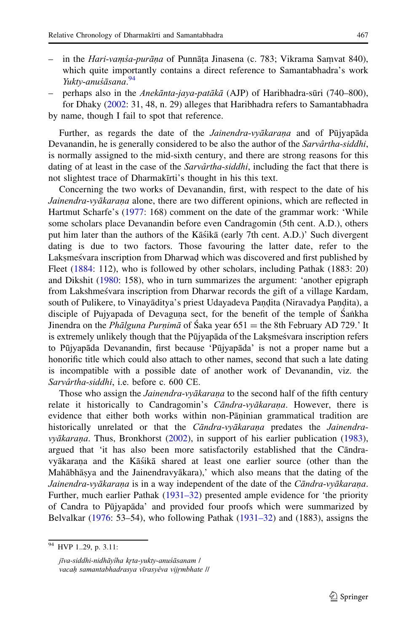$-$  in the *Hari-vaṃśa-purāṇa* of Punnāṭa Jinasena (c. 783; Vikrama Saṃvat 840),<br>which quite importantly contains a direct reference to Samantabhadra's work which quite importantly contains a direct reference to Samantabhadra's work Yukty-anuśāsana.<sup>94</sup>

perhaps also in the Anekānta-jaya-patākā (AJP) of Haribhadra-sūri (740–800), for Dhaky ([2002:](#page-41-0) 31, 48, n. 29) alleges that Haribhadra refers to Samantabhadra by name, though I fail to spot that reference.

Further, as regards the date of the *Jainendra-vyākarana* and of Pūjyapāda Devanandin, he is generally considered to be also the author of the *Sarvârtha-siddhi*, is normally assigned to the mid-sixth century, and there are strong reasons for this dating of at least in the case of the *Sarvârtha-siddhi*, including the fact that there is not slightest trace of Dharmakīrti's thought in his this text.

Concerning the two works of Devanandin, first, with respect to the date of his Jainendra-vyākarana alone, there are two different opinions, which are reflected in Hartmut Scharfe's ([1977:](#page-44-0) 168) comment on the date of the grammar work: 'While some scholars place Devanandin before even Candragomin (5th cent. A.D.), others put him later than the authors of the Kāśikā (early 7th cent. A.D.)' Such divergent dating is due to two factors. Those favouring the latter date, refer to the Laksmes´vara inscription from Dharwad which was discovered and first published by<br>Fleet (1884; 112), who is followed by other scholars, including Pathak (1883; 20) Fleet ([1884:](#page-42-0) 112), who is followed by other scholars, including Pathak (1883: 20) and Dikshit ([1980:](#page-41-0) 158), who in turn summarizes the argument: 'another epigraph from Lakshmes´vara inscription from Dharwar records the gift of a village Kardam, south of Pulikere, to Vinayāditya's priest Udayadeva Pandita (Niravadya Pandita), a<br>disciple of Pulyapada of Devaguna sect, for the benefit of the temple of Śankha disciple of Pujyapada of Devaguna sect, for the benefit of the temple of Sankha<br>Linendra on the *Phälmua Purnimā* of Śaka year 651 – the 8th February AD 729.<sup>7</sup> It Jinendra on the *Phālguna Purṇimā* of S<sup>aka</sup> year 651 = the 8th February AD 729.' It is extremely unlikely though that the Pūjyapāda of the Laksmešvara inscription refers to Pūjyapāda Devanandin, first because 'Pūjyapāda' is not a proper name but a honorific title which could also attach to other names, second that such a late dating is incompatible with a possible date of another work of Devanandin, viz. the Sarvârtha-siddhi, i.e. before c. 600 CE.

Those who assign the Jainendra-vyākaraṇa to the second half of the fifth century relate it historically to Candragomin's *Cāndra-vyākaraṇa*. However, there is evidence that either both works within non-Pāṇinian grammatical tradition are interact that the transportation with the Candra-vyākaraṇa predates the Jainendra $v\nu\bar{\alpha}k \alpha r$  Thus, Bronkhorst ([2002\)](#page-41-0), in support of his earlier publication ([1983\)](#page-41-0), argued that 'it has also been more satisfactorily established that the Candravyākaraņa and the Kāšikā shared at least one earlier source (other than the Mahābhāsya and the Jainendrawskara), which also means that the dating of the Mahābhāṣya and the Jainendravyākara),' which also means that the dating of the ˙ Jainendra-vyākaraṇa is in a way independent of the date of the Cāndra-vyākaraṇa. Further, much earlier Pathak ([1931–32](#page-43-0)) presented ample evidence for 'the priority of Candra to Pūjyapāda' and provided four proofs which were summarized by Belvalkar ([1976:](#page-41-0) 53–54), who following Pathak ([1931–32\)](#page-43-0) and (1883), assigns the

jīva-siddhi-nidhāyîha kr̥ta-yukty-anuśāsanam / vacah samantabhadrasya vīrasyêva vijrmbhate //

 $\frac{1}{94}$  HVP 1..29, p. 3.11: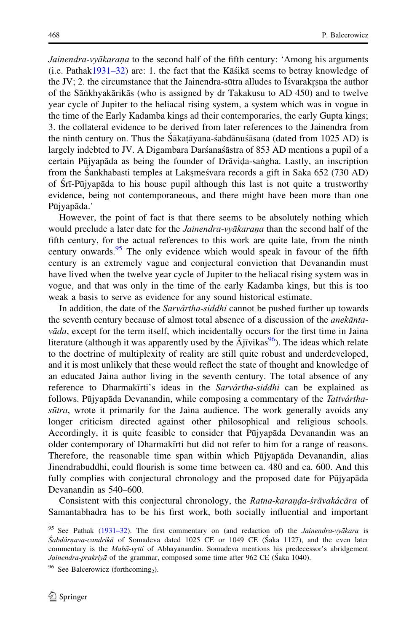Jainendra-vyākaraṇa to the second half of the fifth century: 'Among his arguments (i.e. Patha[k1931–32\)](#page-43-0) are: 1. the fact that the K $\overline{a}$ s'ika seems to betray knowledge of the JV; 2. the circumstance that the Jainendra-sūtra alludes to Iśvarakrs, the author of the Sankhyakarikas (who is assigned by dr Takakusu to AD 450) and to twelve of the Sānkhyakārikās (who is assigned by dr Takakusu to AD 450) and to twelve year cycle of Jupiter to the heliacal rising system, a system which was in vogue in the time of the Early Kadamba kings ad their contemporaries, the early Gupta kings; 3. the collateral evidence to be derived from later references to the Jainendra from the ninth century on. Thus the Śākaṭāyana-śabdānuśāsana (dated from 1025 AD) is<br>Jargely indebted to IV. A Digambara Darśanaśāstra of 853 AD mentions a punil of a largely indebted to JV. A Digambara Darsanasastra of 853 AD mentions a pupil of a certain Pūjyapāda as being the founder of Drāvida-sangha. Lastly, an inscription<br>from the Śankhabasti temples at Laksmeśvara records a gift in Saka 652 (730 AD) from the Śankhabasti temples at Laksmes' vara records a gift in Saka 652 (730 AD)<br>of Śrī-Pūjyanāda to bis house pupil although this last is not quite a trustworthy of S<sub>ri</sub><sup>-</sup>Pujyapada to his house pupil although this last is not quite a trustworthy evidence, being not contemporaneous, and there might have been more than one Pūjyapāda.'

However, the point of fact is that there seems to be absolutely nothing which would preclude a later date for the *Jainendra-vyākarana* than the second half of the fifth century, for the actual references to this work are quite late, from the ninth century onwards. $95$  The only evidence which would speak in favour of the fifth century is an extremely vague and conjectural conviction that Devanandin must have lived when the twelve year cycle of Jupiter to the heliacal rising system was in vogue, and that was only in the time of the early Kadamba kings, but this is too weak a basis to serve as evidence for any sound historical estimate.

In addition, the date of the *Sarvârtha-siddhi* cannot be pushed further up towards the seventh century because of almost total absence of a discussion of the anekānta $v\bar{a}da$ , except for the term itself, which incidentally occurs for the first time in Jaina literature (although it was apparently used by the  $\bar{A}$  jīvikas<sup>96</sup>). The ideas which relate to the doctrine of multiplexity of reality are still quite robust and underdeveloped, and it is most unlikely that these would reflect the state of thought and knowledge of an educated Jaina author living in the seventh century. The total absence of any reference to Dharmakūrti's ideas in the *Sarvârtha-siddhi* can be explained as follows. Pūjyapāda Devanandin, while composing a commentary of the Tattvârthasūtra, wrote it primarily for the Jaina audience. The work generally avoids any longer criticism directed against other philosophical and religious schools. Accordingly, it is quite feasible to consider that Pūjyapāda Devanandin was an older contemporary of Dharmakīrti but did not refer to him for a range of reasons. Therefore, the reasonable time span within which Pu jyapada Devanandin, alias Jinendrabuddhi, could flourish is some time between ca. 480 and ca. 600. And this fully complies with conjectural chronology and the proposed date for Pūjyapāda Devanandin as 540–600.

Consistent with this conjectural chronology, the Ratna-karanda-śrāvakâcāra of Samantabhadra has to be his first work, both socially influential and important

<sup>&</sup>lt;sup>95</sup> See Pathak ([1931–32](#page-43-0)). The first commentary on (and redaction of) the *Jainendra-vyākara* is Sabdârnava-candrikā of Somadeva dated 1025 CE or 1049 CE (Saka 1127), and the even later commentary is the Mahā-vrtti of Abhayanandin. Somadeva mentions his predecessor's abridgement Jainendra-prakriyā of the grammar, composed some time after 962 CE (Saka 1040).

 $96$  See Balcerowicz (forthcoming<sub>2</sub>).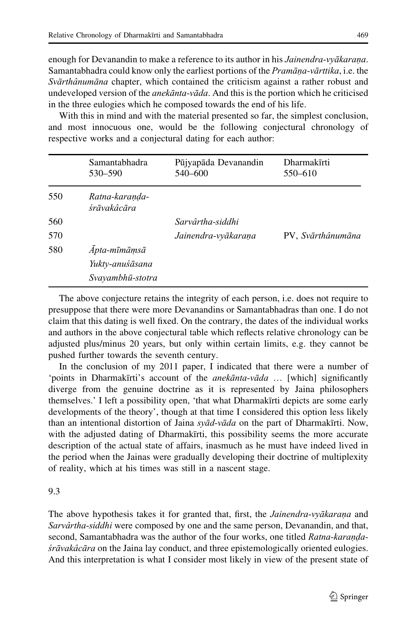<span id="page-32-0"></span>enough for Devanandin to make a reference to its author in his *Jainendra-vyākaraṇa*. Samantabhadra could know only the earliest portions of the Pramāṇa-vārttika, i.e. the Svārthânumāna chapter, which contained the criticism against a rather robust and undeveloped version of the *anekānta-vāda*. And this is the portion which he criticised in the three eulogies which he composed towards the end of his life.

With this in mind and with the material presented so far, the simplest conclusion, and most innocuous one, would be the following conjectural chronology of respective works and a conjectural dating for each author:

|     | Samantabhadra<br>530-590      | Pūjyapāda Devanandin<br>540-600 | Dharmakīrti<br>550-610 |
|-----|-------------------------------|---------------------------------|------------------------|
| 550 | Ratna-karanda-<br>śrāvakâcāra |                                 |                        |
| 560 |                               | Sarvârtha-siddhi                |                        |
| 570 |                               | Jainendra-vyākaraņa             | PV, Svārthânumāna      |
| 580 | Āpta-mīmāmsā                  |                                 |                        |
|     | Yukty-anuśāsana               |                                 |                        |
|     | Svayambhū-stotra              |                                 |                        |

The above conjecture retains the integrity of each person, i.e. does not require to presuppose that there were more Devanandins or Samantabhadras than one. I do not claim that this dating is well fixed. On the contrary, the dates of the individual works and authors in the above conjectural table which reflects relative chronology can be adjusted plus/minus 20 years, but only within certain limits, e.g. they cannot be pushed further towards the seventh century.

In the conclusion of my 2011 paper, I indicated that there were a number of 'points in Dharmakīrti's account of the *anekānta-vāda* ... [which] significantly diverge from the genuine doctrine as it is represented by Jaina philosophers themselves.' I left a possibility open, 'that what Dharmakinti depicts are some early developments of the theory', though at that time I considered this option less likely than an intentional distortion of Jaina  $sy\bar{a}d-v\bar{a}da$  on the part of Dharmakūrti. Now, with the adjusted dating of Dharmakīrti, this possibility seems the more accurate description of the actual state of affairs, inasmuch as he must have indeed lived in the period when the Jainas were gradually developing their doctrine of multiplexity of reality, which at his times was still in a nascent stage.

# 9.3

The above hypothesis takes it for granted that, first, the *Jainendra-vyākaraṇa* and Sarvârtha-siddhi were composed by one and the same person, Devanandin, and that, second, Samantabhadra was the author of the four works, one titled Ratna-karandaśrāvakâcāra on the Jaina lay conduct, and three epistemologically oriented eulogies. And this interpretation is what I consider most likely in view of the present state of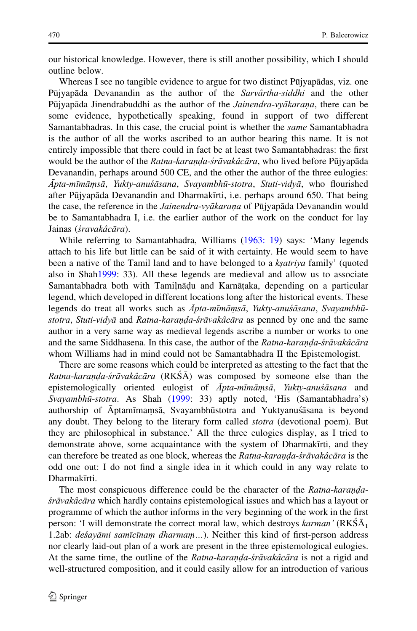our historical knowledge. However, there is still another possibility, which I should outline below.

Whereas I see no tangible evidence to argue for two distinct Pu jyapadas, viz. one Pūjyapāda Devanandin as the author of the Sarvârtha-siddhi and the other Pūjyapāda Jinendrabuddhi as the author of the Jainendra-vyākaraņa, there can be some evidence, hypothetically speaking, found in support of two different Samantabhadras. In this case, the crucial point is whether the same Samantabhadra is the author of all the works ascribed to an author bearing this name. It is not entirely impossible that there could in fact be at least two Samantabhadras: the first would be the author of the Ratna-karaṇḍa-śrāvakâcāra, who lived before Pūjyapāda Devanandin, perhaps around 500 CE, and the other the author of the three eulogies: Āpta-mīmāṃsā, Yukty-anuśāsana, Svayambhū-stotra, Stuti-vidyā, who flourished after Pūjyapāda Devanandin and Dharmakīrti, i.e. perhaps around 650. That being the case, the reference in the Jainendra-vyākaraṇa of Pūjyapāda Devanandin would be to Samantabhadra I, i.e. the earlier author of the work on the conduct for lay Jainas (śravakâcāra).

While referring to Samantabhadra, Williams ([1963: 19](#page-46-0)) says: 'Many legends attach to his life but little can be said of it with certainty. He would seem to have been a native of the Tamil land and to have belonged to a *kṣatriya* family' (quoted also in Shah[1999:](#page-44-0) 33). All these legends are medieval and allow us to associate Samantabhadra both with Tamilnādu and Karnāṭaka, depending on a particular<br>Jegend which developed in different locations long after the historical events. These **The construction of the construction of the construction** of the listorical events. These legend, which developed in different locations long after the historical events. These legends do treat all works such as  $\overline{A}pta$ -mīmāmsā, Yukty-anuśāsana, Svayambhūstotra, Stuti-vidyā and Ratna-karaṇḍa-śrāvakâcāra as penned by one and the same author in a very same way as medieval legends ascribe a number or works to one and the same Siddhasena. In this case, the author of the Ratna-karanda-śrāvakâcāra whom Williams had in mind could not be Samantabhadra II the Epistemologist.

There are some reasons which could be interpreted as attesting to the fact that the *Ratna-karaṇḍa-śrāvakâcāra* (RKS $\bar{A}$ ) was composed by someone else than the epistemologically oriented eulogist of  $\vec{A}$ pta-mīmāmsā, Yukty-anuśāsana and Svayambhū-stotra. As Shah ([1999](#page-44-0): 33) aptly noted, 'His (Samantabhadra's) authorship of Āptamīmamsā, Svayambhūstotra and Yuktyanus´āsana is beyond<br>any doubt. They belong to the literary form called statra (devotional poem). But any doubt. They belong to the literary form called *stotra* (devotional poem). But they are philosophical in substance.' All the three eulogies display, as I tried to demonstrate above, some acquaintance with the system of Dharmakirti, and they can therefore be treated as one block, whereas the Ratna-karanda-śrāvakâcāra is the odd one out: I do not find a single idea in it which could in any way relate to Dharmakīrti.

The most conspicuous difference could be the character of the *Ratna-karaṇḍa*śrāvakâcāra which hardly contains epistemological issues and which has a layout or programme of which the author informs in the very beginning of the work in the first person: 'I will demonstrate the correct moral law, which destroys  $karman'$  ( $RKSA<sub>1</sub>$ 1.2ab: deśayāmi samīcīnaṃ dharmaṃ…). Neither this kind of first-person address nor clearly laid-out plan of a work are present in the three epistemological eulogies. At the same time, the outline of the Ratna-karaṇḍa-śrāvakâcāra is not a rigid and well-structured composition, and it could easily allow for an introduction of various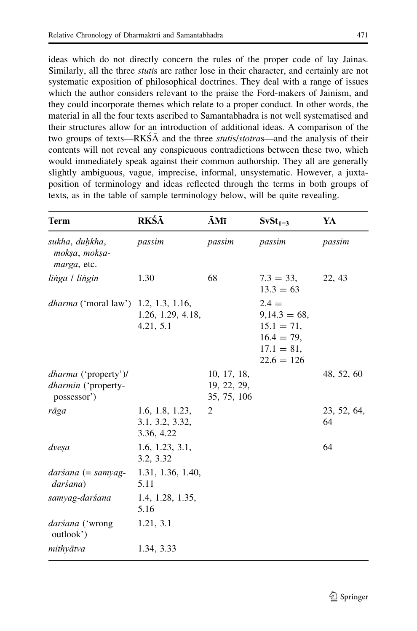ideas which do not directly concern the rules of the proper code of lay Jainas. Similarly, all the three stutis are rather lose in their character, and certainly are not systematic exposition of philosophical doctrines. They deal with a range of issues which the author considers relevant to the praise the Ford-makers of Jainism, and they could incorporate themes which relate to a proper conduct. In other words, the material in all the four texts ascribed to Samantabhadra is not well systematised and their structures allow for an introduction of additional ideas. A comparison of the two groups of texts—RKŚ $\bar{A}$  and the three *stutis/stotras*—and the analysis of their contents will not reveal any conspicuous contradictions between these two, which would immediately speak against their common authorship. They all are generally slightly ambiguous, vague, imprecise, informal, unsystematic. However, a juxtaposition of terminology and ideas reflected through the terms in both groups of texts, as in the table of sample terminology below, will be quite revealing.

| <b>Term</b>                                                             | <b>RKŚĀ</b>                                      | ĀMī                                       | $SvSt_{1=3}$                                                                               | YA                |
|-------------------------------------------------------------------------|--------------------------------------------------|-------------------------------------------|--------------------------------------------------------------------------------------------|-------------------|
| sukha, duhkha,<br>moksa, moksa-<br>marga, etc.                          | passim                                           | passim                                    | passim                                                                                     | passim            |
| linga / lingin                                                          | 1.30                                             | 68                                        | $7.3 = 33,$<br>$13.3 = 63$                                                                 | 22, 43            |
| <i>dharma</i> ('moral law') 1.2, 1.3, 1.16,                             | 1.26, 1.29, 4.18,<br>4.21, 5.1                   |                                           | $2.4 =$<br>$9,14.3 = 68,$<br>$15.1 = 71,$<br>$16.4 = 79$ ,<br>$17.1 = 81,$<br>$22.6 = 126$ |                   |
| dharma ('property')/<br>dharmin ('property-<br>possessor <sup>'</sup> ) |                                                  | 10, 17, 18,<br>19, 22, 29,<br>35, 75, 106 |                                                                                            | 48, 52, 60        |
| rāga                                                                    | 1.6, 1.8, 1.23,<br>3.1, 3.2, 3.32,<br>3.36, 4.22 | 2                                         |                                                                                            | 23, 52, 64,<br>64 |
| dvesa                                                                   | 1.6, 1.23, 3.1,<br>3.2, 3.32                     |                                           |                                                                                            | 64                |
| $dars$ ana $(= samyag-$<br>darśana)                                     | 1.31, 1.36, 1.40,<br>5.11                        |                                           |                                                                                            |                   |
| samyag-darśana                                                          | 1.4, 1.28, 1.35,<br>5.16                         |                                           |                                                                                            |                   |
| darśana ('wrong<br>outlook')                                            | 1.21, 3.1                                        |                                           |                                                                                            |                   |
| mithyātva                                                               | 1.34, 3.33                                       |                                           |                                                                                            |                   |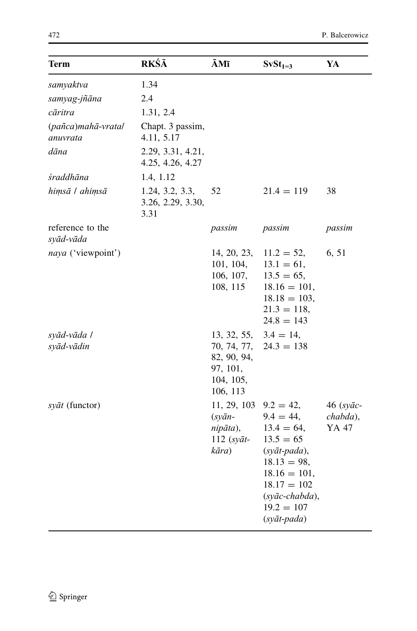| Term                                 | <b>RKŚĀ</b>                                  | ĀMī                                                                            | $SvSt_{1=3}$                                                                                                                                                                                       | YA                                         |
|--------------------------------------|----------------------------------------------|--------------------------------------------------------------------------------|----------------------------------------------------------------------------------------------------------------------------------------------------------------------------------------------------|--------------------------------------------|
| samyaktva<br>samyag-jñāna<br>cāritra | 1.34<br>2.4<br>1.31, 2.4                     |                                                                                |                                                                                                                                                                                                    |                                            |
| (pañca)mahā-vratal<br>anuvrata       | Chapt. 3 passim,<br>4.11, 5.17               |                                                                                |                                                                                                                                                                                                    |                                            |
| dāna                                 | 2.29, 3.31, 4.21,<br>4.25, 4.26, 4.27        |                                                                                |                                                                                                                                                                                                    |                                            |
| śraddhāna                            | 1.4, 1.12                                    |                                                                                |                                                                                                                                                                                                    |                                            |
| himsā / ahimsā                       | 1.24, 3.2, 3.3,<br>3.26, 2.29, 3.30,<br>3.31 | 52                                                                             | $21.4 = 119$                                                                                                                                                                                       | 38                                         |
| reference to the<br>syād-vāda        |                                              | passim                                                                         | passim                                                                                                                                                                                             | passim                                     |
| naya ('viewpoint')                   |                                              | 14, 20, 23,<br>101, 104,<br>106, 107,<br>108, 115                              | $11.2 = 52$ ,<br>$13.1 = 61,$<br>$13.5 = 65,$<br>$18.16 = 101,$<br>$18.18 = 103,$<br>$21.3 = 118$ ,<br>$24.8 = 143$                                                                                | 6, 51                                      |
| syād-vāda /<br>syād-vādin            |                                              | 13, 32, 55,<br>70, 74, 77,<br>82, 90, 94,<br>97, 101,<br>104, 105,<br>106, 113 | $3.4 = 14,$<br>$24.3 = 138$                                                                                                                                                                        |                                            |
| $s\bar{y}$ (functor)                 |                                              | 11, 29, 103<br>$(sy\bar{a}n-$<br>nipāta),<br>$112$ (sy $\bar{a}t$ -<br>kāra)   | $9.2 = 42$ ,<br>$9.4 = 44$ ,<br>$13.4 = 64,$<br>$13.5 = 65$<br>(syāt-pada),<br>$18.13 = 98,$<br>$18.16 = 101,$<br>$18.17 = 102$<br>$(sy\bar{a}c$ -chabda),<br>$19.2 = 107$<br>$(sy\bar{a}t$ -pada) | $46$ (sy $\bar{a}c$ -<br>chabda),<br>YA 47 |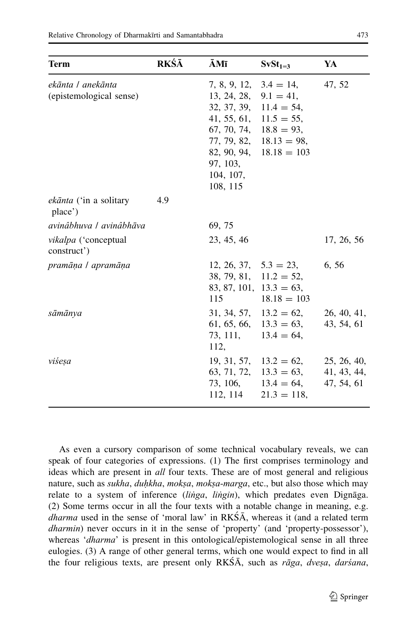| <b>Term</b>                                  | RKŚĀ | ĀMī                                                                                                                                         | $SvSt_{1=3}$                                                                                                      | YA                                       |
|----------------------------------------------|------|---------------------------------------------------------------------------------------------------------------------------------------------|-------------------------------------------------------------------------------------------------------------------|------------------------------------------|
| ekānta / anekānta<br>(epistemological sense) |      | 7, 8, 9, 12,<br>13, 24, 28,<br>32, 37, 39,<br>41, 55, 61,<br>67, 70, 74,<br>77, 79, 82,<br>82, 90, 94,<br>97, 103,<br>104, 107,<br>108, 115 | $3.4 = 14$ ,<br>$9.1 = 41$ ,<br>$11.4 = 54$ ,<br>$11.5 = 55$ ,<br>$18.8 = 93$ ,<br>$18.13 = 98,$<br>$18.18 = 103$ | 47, 52                                   |
| <i>ekānta</i> ('in a solitary<br>place')     | 4.9  |                                                                                                                                             |                                                                                                                   |                                          |
| avinâbhuva / avinâbhāva                      |      | 69, 75                                                                                                                                      |                                                                                                                   |                                          |
| <i>vikalpa</i> ('conceptual<br>construct')   |      | 23, 45, 46                                                                                                                                  |                                                                                                                   | 17, 26, 56                               |
| pramāņa / apramāņa                           |      | $12, 26, 37, 5.3 = 23,$<br>38, 79, 81,<br>83, 87, 101,<br>115                                                                               | $11.2 = 52$ ,<br>$13.3 = 63$ ,<br>$18.18 = 103$                                                                   | 6, 56                                    |
| sāmānya                                      |      | 31, 34, 57,<br>61, 65, 66,<br>73, 111,<br>112,                                                                                              | $13.2 = 62$ ,<br>$13.3 = 63,$<br>$13.4 = 64$ ,                                                                    | 26, 40, 41,<br>43, 54, 61                |
| viśesa                                       |      | 19, 31, 57,<br>63, 71, 72,<br>73, 106,<br>112, 114                                                                                          | $13.2 = 62$ ,<br>$13.3 = 63,$<br>$13.4 = 64$ ,<br>$21.3 = 118$ ,                                                  | 25, 26, 40,<br>41, 43, 44,<br>47, 54, 61 |

As even a cursory comparison of some technical vocabulary reveals, we can speak of four categories of expressions. (1) The first comprises terminology and ideas which are present in all four texts. These are of most general and religious nature, such as sukha, duḥkha, mokṣa, mokṣa-marga, etc., but also those which may relate to a system of inference (linga, lingin), which predates even Dignāga. (2) Some terms occur in all the four texts with a notable change in meaning, e.g. *dharma* used in the sense of 'moral law' in  $RKSA$ , whereas it (and a related term dharmin) never occurs in it in the sense of 'property' (and 'property-possessor'), whereas 'dharma' is present in this ontological/epistemological sense in all three eulogies. (3) A range of other general terms, which one would expect to find in all the four religious texts, are present only  $RK\hat{S}\overline{A}$ , such as rāga, dveșa, darśana,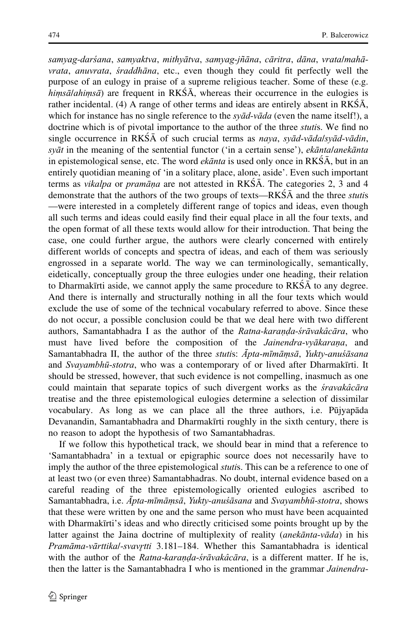samyag-darśana, samyaktva, mithyātva, samyag-jñāna, cāritra, dāna, vrata/mahāvrata, anuvrata, śraddhāna, etc., even though they could fit perfectly well the purpose of an eulogy in praise of a supreme religious teacher. Some of these (e.g. hims $\bar{a}/ahims\bar{a}$  are frequent in RKS $\bar{A}$ , whereas their occurrence in the eulogies is rather incidental. (4) A range of other terms and ideas are entirely absent in  $R\ddot{S}\tilde{A}$ , which for instance has no single reference to the  $s\nu\bar{a}d-v\bar{a}da$  (even the name itself!), a doctrine which is of pivotal importance to the author of the three *stutis*. We find no single occurrence in RKS $\overline{A}$  of such crucial terms as *naya*, syād-vāda/syād-vādin, syāt in the meaning of the sentential functor ('in a certain sense'), *ekāntalanekānta* in epistemological sense, etc. The word *ekānta* is used only once in  $RK\tilde{S}\tilde{A}$ , but in an entirely quotidian meaning of 'in a solitary place, alone, aside'. Even such important terms as *vikalpa* or *pramāṇa* are not attested in  $RKS\overline{A}$ . The categories 2, 3 and 4 demonstrate that the authors of the two groups of texts—RKS $\bar{A}$  and the three *stutis* —were interested in a completely different range of topics and ideas, even though all such terms and ideas could easily find their equal place in all the four texts, and the open format of all these texts would allow for their introduction. That being the case, one could further argue, the authors were clearly concerned with entirely different worlds of concepts and spectra of ideas, and each of them was seriously engrossed in a separate world. The way we can terminologically, semantically, eidetically, conceptually group the three eulogies under one heading, their relation to Dharmakīrti aside, we cannot apply the same procedure to  $RK\dot{S}\bar{A}$  to any degree. And there is internally and structurally nothing in all the four texts which would exclude the use of some of the technical vocabulary referred to above. Since these do not occur, a possible conclusion could be that we deal here with two different authors, Samantabhadra I as the author of the Ratna-karanda-śrāvakâcāra, who must have lived before the composition of the *Jainendra-vyākarana*, and Samantabhadra II, the author of the three stutis: Āpta-mīmāṃsā, Yukty-anuśāsana and Svayambhū-stotra, who was a contemporary of or lived after Dharmakīrti. It should be stressed, however, that such evidence is not compelling, inasmuch as one could maintain that separate topics of such divergent works as the *śravakâcāra* treatise and the three epistemological eulogies determine a selection of dissimilar vocabulary. As long as we can place all the three authors, i.e. Pūjyapāda Devanandin, Samantabhadra and Dharmakīrti roughly in the sixth century, there is no reason to adopt the hypothesis of two Samantabhadras.

If we follow this hypothetical track, we should bear in mind that a reference to 'Samantabhadra' in a textual or epigraphic source does not necessarily have to imply the author of the three epistemological *stutis*. This can be a reference to one of at least two (or even three) Samantabhadras. No doubt, internal evidence based on a careful reading of the three epistemologically oriented eulogies ascribed to Samantabhadra, i.e. Āpta-mīmāṃsā, Yukty-anuśāsana and Svayambhū-stotra, shows that these were written by one and the same person who must have been acquainted with Dharmakīrti's ideas and who directly criticised some points brought up by the latter against the Jaina doctrine of multiplexity of reality (anekānta-vāda) in his Pramāma-vārttikal-svavrtti 3.181–184. Whether this Samantabhadra is identical with the author of the *Ratna-karanda-śrāvakâcāra*, is a different matter. If he is, then the latter is the Samantabhadra I who is mentioned in the grammar *Jainendra*-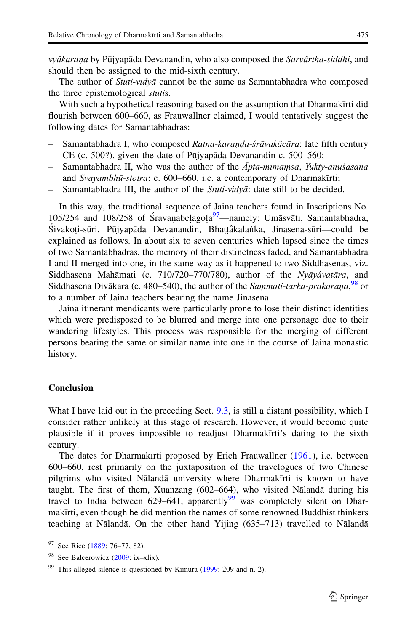*vyākaraṇa* by Pūjyapāda Devanandin, who also composed the Sarvârtha-siddhi, and should then be assigned to the mid-sixth century.

The author of Stuti-vidyā cannot be the same as Samantabhadra who composed the three epistemological stutis.

With such a hypothetical reasoning based on the assumption that Dharmak $\bar{r}$ rti did flourish between 600–660, as Frauwallner claimed, I would tentatively suggest the following dates for Samantabhadras:

- Samantabhadra I, who composed Ratna-karanda-śrāvakâcāra: late fifth century CE (c. 500?), given the date of Pūjyapāda Devanandin c. 500–560;
- Samantabhadra II, who was the author of the  $\vec{A}pta$ -mīmāmsā, Yukty-anuśāsana and Svayambhū-stotra: c. 600–660, i.e. a contemporary of Dharmakīrti;
- Samantabhadra III, the author of the  $Stuti-vidy\bar{a}$ : date still to be decided.

In this way, the traditional sequence of Jaina teachers found in Inscriptions No.  $105/254$  and  $108/258$  of Śravanabelagola<sup>97</sup>—namely: Umāsvāti, Samantabhadra,<br>Śwakoti-sūri, Pūjyanāda, Devanandin, Bhattâkalanka, Jinasena-sūri—could be Śivakoți-sūri, Pūjyapāda Devanandin, Bhațțâkalanka, Jinasena-sūri—could be<br>explained as follows. In about six to seven centuries which lansed since the times explained as follows. In about six to seven centuries which lapsed since the times of two Samantabhadras, the memory of their distinctness faded, and Samantabhadra I and II merged into one, in the same way as it happened to two Siddhasenas, viz. Siddhasena Mahāmati (c. 710/720–770/780), author of the  $Ny\bar{a}y\hat{a}v\hat{a}r\hat{a}r\hat{a}$ , and Siddhasena Divākara (c. 480–540), the author of the Sammati-tarka-prakaraṇa,<sup>98</sup> or to a number of Jaina teachers bearing the name Jinasena.

Jaina itinerant mendicants were particularly prone to lose their distinct identities which were predisposed to be blurred and merge into one personage due to their wandering lifestyles. This process was responsible for the merging of different persons bearing the same or similar name into one in the course of Jaina monastic history.

# **Conclusion**

What I have laid out in the preceding Sect. [9.3,](#page-32-0) is still a distant possibility, which I consider rather unlikely at this stage of research. However, it would become quite plausible if it proves impossible to readjust Dharmakīrti's dating to the sixth century.

The dates for Dharmakinti proposed by Erich Frauwallner [\(1961](#page-42-0)), i.e. between 600–660, rest primarily on the juxtaposition of the travelogues of two Chinese pilgrims who visited Nālandā university where Dharmakīrti is known to have taught. The first of them, Xuanzang (602–664), who visited Nalanda during his travel to India between 629–641, apparently<sup>99</sup> was completely silent on Dharmakīrti, even though he did mention the names of some renowned Buddhist thinkers teaching at Nālandā. On the other hand Yijing  $(635–713)$  travelled to Nālandā

<sup>&</sup>lt;sup>97</sup> See Rice [\(1889](#page-44-0): 76–77, 82).

 $98$  See Balcerowicz [\(2009](#page-41-0): ix–xlix).

<sup>&</sup>lt;sup>99</sup> This alleged silence is questioned by Kimura ([1999:](#page-43-0) 209 and n. 2).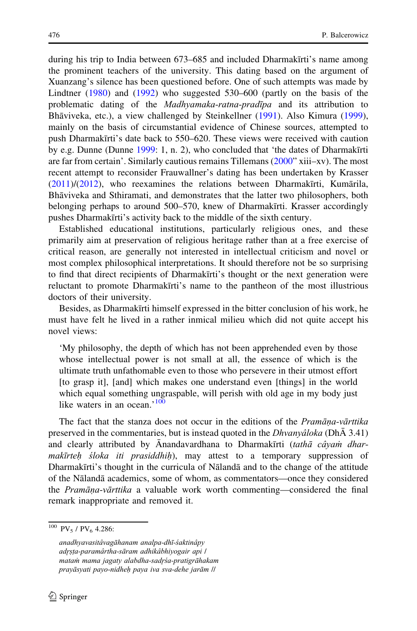during his trip to India between 673–685 and included Dharmakīrti's name among the prominent teachers of the university. This dating based on the argument of Xuanzang's silence has been questioned before. One of such attempts was made by Lindtner [\(1980](#page-43-0)) and [\(1992](#page-43-0)) who suggested 530–600 (partly on the basis of the problematic dating of the Madhyamaka-ratna-pradīpa and its attribution to Bha¯viveka, etc.), a view challenged by Steinkellner ([1991](#page-45-0)). Also Kimura ([1999\)](#page-43-0), mainly on the basis of circumstantial evidence of Chinese sources, attempted to push Dharmakīrti's date back to 550–620. These views were received with caution by e.g. Dunne (Dunne  $1999: 1$  $1999: 1$ , n. 2), who concluded that 'the dates of Dharmak $\overline{i}$ rti are far from certain'. Similarly cautious remains Tillemans ([2000"](#page-45-0) xiii–xv). The most recent attempt to reconsider Frauwallner's dating has been undertaken by Krasser  $(2011)/(2012)$  $(2011)/(2012)$  $(2011)/(2012)$ , who reexamines the relations between Dharmakīrti, Kumārila, Bha¯viveka and Sthiramati, and demonstrates that the latter two philosophers, both belonging perhaps to around 500–570, knew of Dharmakīrti. Krasser accordingly pushes Dharmakin<sup>ti'</sup>s activity back to the middle of the sixth century.

Established educational institutions, particularly religious ones, and these primarily aim at preservation of religious heritage rather than at a free exercise of critical reason, are generally not interested in intellectual criticism and novel or most complex philosophical interpretations. It should therefore not be so surprising to find that direct recipients of Dharmakīrti's thought or the next generation were reluctant to promote Dharmakūrti's name to the pantheon of the most illustrious doctors of their university.

Besides, as Dharmakīrti himself expressed in the bitter conclusion of his work, he must have felt he lived in a rather inmical milieu which did not quite accept his novel views:

'My philosophy, the depth of which has not been apprehended even by those whose intellectual power is not small at all, the essence of which is the ultimate truth unfathomable even to those who persevere in their utmost effort [to grasp it], [and] which makes one understand even [things] in the world which equal something ungraspable, will perish with old age in my body just like waters in an ocean.<sup>100</sup>

The fact that the stanza does not occur in the editions of the *Pramāna-vārttika* preserved in the commentaries, but is instead quoted in the Dhvanyâloka (DhA¯ 3.41) and clearly attributed by Anandavardhana to Dharmakīrti (tathā câyam dharmakīrteḥ śloka iti prasiddhiḥ), may attest to a temporary suppression of Dharmakīrti's thought in the curricula of Nālandā and to the change of the attitude of the Na¯landa¯ academics, some of whom, as commentators—once they considered the Pramāṇa-vārttika a valuable work worth commenting—considered the final remark inappropriate and removed it.

 $100 \text{ PV}_5$  / PV<sub>6</sub> 4.286:

anadhyavasitâvagāhanam analpa-dhī-śaktinâpy adr̥ṣṭa-paramârtha-sāram adhikâbhiyogair api / mataṁ mama jagaty alabdha-sadr̥śa-pratigrāhakam prayāsyati payo-nidheḥ paya iva sva-dehe jarām //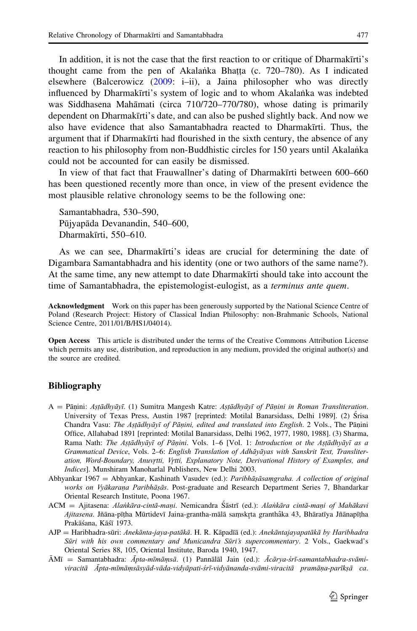<span id="page-40-0"></span>In addition, it is not the case that the first reaction to or critique of Dharmak $\overline{i}$ rti's thought came from the pen of Akalantka Bhatta (c. 720–780). As I indicated<br>elsewhere (Balcerowicz (2009; i–ii) a Jaina philosopher who was directly elsewhere (Balcerowicz ([2009:](#page-41-0) i–ii), a Jaina philosopher who was directly influenced by Dharmakīrti's system of logic and to whom Akalantka was indebted was Siddhasena Mahāmati (circa 710/720–770/780), whose dating is primarily dependent on Dharmak $\overline{i}$ rti's date, and can also be pushed slightly back. And now we also have evidence that also Samantabhadra reacted to Dharmakīrti. Thus, the argument that if Dharmakīrti had flourished in the sixth century, the absence of any reaction to his philosophy from non-Buddhistic circles for 150 years until Akalantka could not be accounted for can easily be dismissed.

In view of that fact that Frauwallner's dating of Dharmakirti between 600–660 has been questioned recently more than once, in view of the present evidence the most plausible relative chronology seems to be the following one:

Samantabhadra, 530–590, Pūjyapāda Devanandin, 540–600, Dharmakīrti, 550-610.

As we can see, Dharmak<del>t</del>irti's ideas are crucial for determining the date of Digambara Samantabhadra and his identity (one or two authors of the same name?). At the same time, any new attempt to date Dharmakīrti should take into account the time of Samantabhadra, the epistemologist-eulogist, as a *terminus ante quem*.

Acknowledgment Work on this paper has been generously supported by the National Science Centre of Poland (Research Project: History of Classical Indian Philosophy: non-Brahmanic Schools, National Science Centre, 2011/01/B/HS1/04014).

Open Access This article is distributed under the terms of the Creative Commons Attribution License which permits any use, distribution, and reproduction in any medium, provided the original author(s) and the source are credited.

#### Bibliography

- A = Pāṇini: Aṣṭādhyāyī. (1) Sumitra Mangesh Katre: Aṣṭādhyāyī of Pāṇini in Roman Transliteration. ˙ University of Texas Press, Austin 1987 [reprinted: Motilal Banarsidass, Delhi 1989]. (2) S´risa Chandra Vasu: The Astādhyāyī of Pāṇini, edited and translated into English. 2 Vols., The Pāṇini ˙ Office, Allahabad 1891 [reprinted: Motilal Banarsidass, Delhi 1962, 1977, 1980, 1988]. (3) Sharma, Rama Nath: The Aṣṭādhyāyī of Pāṇini. Vols. 1–6 [Vol. 1: Introduction ot the Aṣṭādhyāyī as a Grammatical Device, Vols. 2–6: English Translation of Adhāyāyas with Sanskrit Text, Transliteration, Word-Boundary, Anuvr̥tti, Vr̥tti, Explanatory Note, Derivational History of Examples, and Indices]. Munshiram Manoharlal Publishers, New Delhi 2003.
- Abhyankar 1967 = Abhyankar, Kashinath Vasudev (ed.): Paribhāṣāsaṃgraha. A collection of original works on Vyākarana Paribhāsās. Post-graduate and Research Department Series 7, Bhandarkar Oriental Research Institute, Poona 1967.
- ACM = Ajitasena: Alaṅkāra-cintā-maṇi. Nemicandra Śāstrī (ed.): Alaṅkāra cintā-maṇi of Mahākavi A*jitasena.* Jñāna-pīṭha Mūrtidevī Jaina-grantha-mālā saṃskṛta granthâka 43, Bhāratīya Jñānapīṭha<br>Prakāśana, Kāśī 1973 ı<br>Prakāśana, Kāśī 1973.
- AJP = Haribhadra-sūri: Anekānta-jaya-patākā. H. R. Kāpadīā (ed.): Anekāntajayapatākā by Haribhadra Sūri with his own commentary and Municandra Sūri's supercommentary. 2 Vols., Gaekwad's Oriental Series 88, 105, Oriental Institute, Baroda 1940, 1947.
- $\bar{A}$ Mī = Samantabhadra:  $\bar{A}$ pta-mīmāmsā. (1) Pannālāl Jain (ed.):  $\bar{A}c\bar{a}r$ va-śrī-samantabhadra-svāmiviracitā Āpta-mīmāṃsāsyād-vāda-vidyāpati-śrī-vidyānanda-svāmi-viracitā pramāṇa-parīkṣā ca.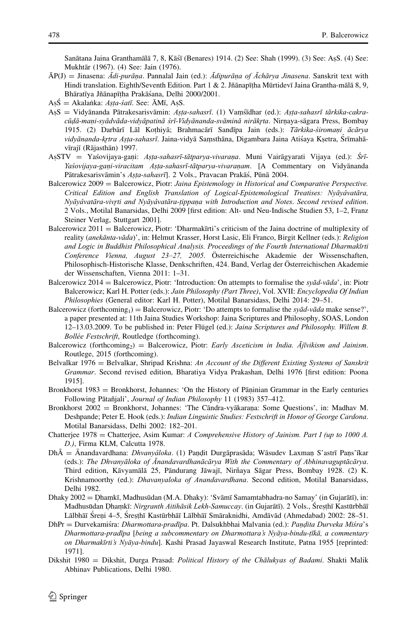<span id="page-41-0"></span>Sanātana Jaina Granthamālā 7, 8, Kāśī (Benares) 1914. (2) See: Shah (1999). (3) See: AṣS. (4) See:<br>Mukhtār (1967). (4) See: Jain (1976) Mukhtār (1967). (4) See: Jain (1976).

A¯ P(J) = Jinasena: Ādi-purāṇa. Pannalal Jain (ed.): Ādipurāṇa of Āchārya Jinasena. Sanskrit text with Hindi translation. Eighth/Seventh Edition. Part 1 & 2. Jñānapīṭha Mūrtidevī Jaina Grantha-mālā 8, 9,<br>Bhāratīva Jñānanītha Prakāśana. Delhi 2000/2001 Bhāratīya Jñānapīṭha Prakāśana, Delhi 2000/2001.

- AṣS = Vidyānanda Pātrakesarisvāmin: *Aṣṭa-sahasrī.* (1) Vaṃśīdhar (ed.): *Aṣṭa-sahasrī tārkika-cakra-*<br>cūdā-maṇi-svādvāda-vidvānatiņā śrī-Vidvānanda-svāmiņā ņirākrta. Nirnava-sāgara Press. Bombav cūḍā-maṇi-syādvāda-vidyāpatinā śrī-Vidyānanda-svāminā nirākŗta. Nirṇaya-sāgara Press, Bombay<br>1915 - (2) Darbārī, Lāl Kothivā: Brahmacārī, Sandīna, Jain (eds.): *Tārkika-śiromani, ācārva* 1915. (2) Darbārī Lāl Koṭhiyā; Brahmacārī Sandīpa Jain (eds.): *Tārkika-śiromaṇi ācārya*<br>vidvānanda-krtra Asta-sahasrī Jaina-vidvā Samsthāna Digambara Jaina Atišava Ksetra Śrīmabāv*idyānanda-kr̥tra Aṣṭa-sahasrī*. Jaina-vidyā Saṃsthāna, Digambara Jaina Atiśaya Kṣetra, Śrīmahā-<br>vīrajī (Rājasthān) 1997 vīrajī (Rājasthān) 1997.
- AşSTV = Yas´ovijaya-gani: *Aşța-sahasrī-tātparya-vivarana*. Muni Vairāgyarati Vijaya (ed.): *Śrī-*<br>*Vasovijaya-gani-viracitam Asta-sahasrī-tātparya-vivaranam* [A Commentary on Vidyānanda Yaśovijaya-gani-viracitam Asta-sahasrī-tātparya-vivaranam. [A Commentary on Vidyānanda Pātrakesarisvāmin's Asta-sahasrī]. 2 Vols., Pravacan Prakās, Pūnā 2004.
- Balcerowicz 2009 = Balcerowicz, Piotr: Jaina Epistemology in Historical and Comparative Perspective. Critical Edition and English Translation of Logical-Epistemological Treatises: Nyāyâvatāra, Nyāyâvatāra-vivrti and Nyāyâvatāra-tippaṇa with Introduction and Notes. Second revised edition. 2 Vols., Motilal Banarsidas, Delhi 2009 [first edition: Alt- und Neu-Indische Studien 53, 1–2, Franz Steiner Verlag, Stuttgart 2001].
- Balcerowicz  $2011 =$  Balcerowicz, Piotr: 'Dharmakīrti's criticism of the Jaina doctrine of multiplexity of reality (anekānta-vāda)', in: Helmut Krasser, Horst Lasic, Eli Franco, Birgit Kellner (eds.): Religion and Logic in Buddhist Philosophical Analysis. Proceedings of the Fourth International Dharmakīrti Conference Vienna, August 23–27, 2005. Österreichische Akademie der Wissenschaften, Philosophisch-Historische Klasse, Denkschriften, 424. Band, Verlag der Österreichischen Akademie der Wissenschaften, Vienna 2011: 1–31.
- Balcerowicz  $2014 =$  Balcerowicz, Piotr: 'Introduction: On attempts to formalise the sy $\bar{a}d$ -v $\bar{a}da$ ', in: Piotr Balcerowicz; Karl H. Potter (eds.): Jain Philosophy (Part Three), Vol. XVII: Encyclopedia Of Indian Philosophies (General editor: Karl H. Potter), Motilal Banarsidass, Delhi 2014: 29–51.
- Balcerowicz (forthcoming<sub>1</sub>) = Balcerowicz, Piotr: 'Do attempts to formalise the *sy* $\bar{a}d$ -v $\bar{a}d\bar{a}$  make sense?', a paper presented at: 11th Jaina Studies Workshop: Jaina Scriptures and Philosophy, SOAS, London 12–13.03.2009. To be published in: Peter Flügel (ed.): Jaina Scriptures and Philosophy. Willem B. Bollée Festschrift, Routledge (forthcoming).
- Balcerowicz (forthcoming<sub>2</sub>) = Balcerowicz, Piotr: *Early Asceticism in India.*  $\overrightarrow{A}$ *jīvikism and Jainism.* Routlege, 2015 (forthcoming).
- Belvalkar 1976 = Belvalkar, Shripad Krishna: An Account of the Different Existing Systems of Sanskrit Grammar. Second revised edition, Bharatiya Vidya Prakashan, Delhi 1976 [first edition: Poona 1915].
- Bronkhorst 1983 = Bronkhorst, Johannes: 'On the History of Pāṇinian Grammar in the Early centuries ˙ Following Pa¯tan˜jali', Journal of Indian Philosophy 11 (1983) 357–412.
- Bronkhorst 2002 = Bronkhorst, Johannes: 'The Cāndra-vyākaraṇa: Some Questions', in: Madhav M.<br>Deshnande: Peter E. Hook (eds.): Indian Linquistic Studies: Eestschrift in Honor of George Cardona Deshpande; Peter E. Hook (eds.): Indian Linguistic Studies: Festschrift in Honor of George Cardona. Motilal Banarsidass, Delhi 2002: 182–201.
- Chatterjee 1978 = Chatterjee, Asim Kumar: A Comprehensive History of Jainism. Part I (up to 1000 A. D.), Firma KLM, Calcutta 1978.
- $Dh\bar{A} = \bar{A}$ nandavardhana: *Dhvanyâloka.* (1) Panḍit Durgāprasāda; Wāsudev Laxman S'astrī Pans'īkar ˙ (eds.): The Dhvanyāloka of Ānandavardhanācārya With the Commentary of Abhinavaguptācārya. Third edition, Kāvyamālā 25, Pāndurang Jāwajī, Nirňaya Sāgar Press, Bombay 1928. (2) K. Krishnamoorthy (ed.): Dhavanyaloka of Anandavardhana. Second edition, Motilal Banarsidass, Delhi 1982.
- Dhaky 2002 = Dhamkī, Madhusūdan (M.A. Dhaky): 'Svāmī Samamtabhadra-no Samay' (in Gujarātī), in:<br>Madhusūdan Dhamkī: *Niroranth Aitihāsik Lekh-Samucea*y (in Gujarātī). 2 Vols. Šrestbī Kastūrbhāj y — aadusüdan Dhamkī: *Nirgranth Aitihāsik Lekh-Samuccay*. (in Gujarātī). 2 Vols., Šreșthī Kastūrbhāī<br>Madhusūdan Dhamkī: *Nirgranth Aitihāsik Lekh-Samuccay*. (in Gujarātī). 2 Vols., Šreșthī Kastūrbhāī<br>Lālbhāī Śreni 4, 5. Ualbhaī Śreni 4–5, Śresthī Kastūrbhāī Lalbhāī Smāraknidhi, Amdaōvad (Ahmedabad) 2002: 28–51.<br>∟albhāī Śreni 4–5, Śresthī Kastūrbhāī Lalbhāī Smāraknidhi, Amdāōd (Ahmedabad) 2002: 28–51.
- ˙ DhPr = Durvekamis´ra: Dharmottara-pradīpa. Pt. Dalsukhbhai Malvania (ed.): Paṇḍita Durveka Miśra's Dharmottara-pradīpa [being a subcommentary on Dharmottara's Nyāya-bindu-ṭīkā, a commentary on Dharmakīrti's Nyāya-bindu]. Kashi Prasad Jayaswal Research Institute, Patna 1955 [reprinted: 1971].
- Dikshit 1980 = Dikshit, Durga Prasad: *Political History of the Chālukyas of Badami*. Shakti Malik Abhinav Publications, Delhi 1980.

 $\acute{S}$  = Akalanka: *Asta-śatī*. See: ĀMī, AsS.<br>S. = Vidvānanda Pātrakesarisvāmin: *Asta* As<br>As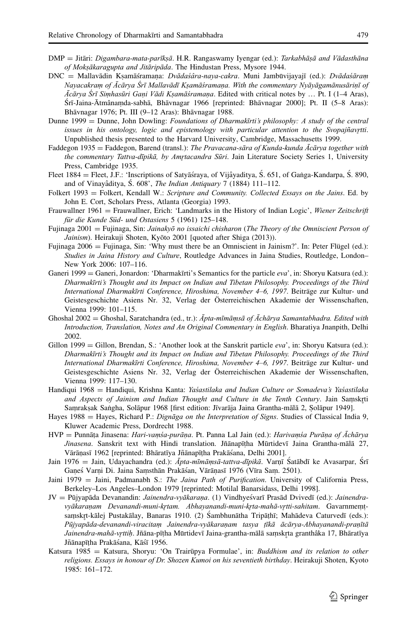- <span id="page-42-0"></span>DMP = Jitāri: Digambara-mata-parīkṣā. H.R. Rangaswamy Iyengar (ed.): Tarkabhāṣā and Vādasthāna of Mokṣākaragupta and Jitāripāda. The Hindustan Press, Mysore 1944.
- DNC = Mallavādin Kṣamāśramaṇa: *Dvādaśâra-naya-cakra*. Muni Jambūvijayajī (ed.): *Dvādaśāraṇ*ṇ<br>Navacakram of Ācārva Śrī Mallavādī Kṣamāśramaṇa With the commentary Nyāyāgamānyṣāriṇī ot Nayacakraṃ of Ācārya Śrī Mallavādī Kṣamāśramaṇa. With the commentary Nyāyāgamānusāriṇī of Ācārya Śrī Siṃhasūri Gaṇi Vādi Kṣamāśramaṇa. Edited with critical notes by … Pt. I (1–4 Aras), Śrī-Jaina-Ātmânaṃda-sabhā, Bhāvnagar 1966 [reprinted: Bhāvnagar 2000]; Pt. II (5–8 Aras):<br>Bhāvnagar 1976: Pt. III (9–12 Aras): Bhāvnagar 1988 Bhāvnagar 1976; Pt. III (9–12 Aras): Bhāvnagar 1988.
- Dunne 1999 = Dunne, John Dowling: Foundations of Dharmakīrti's philosophy: A study of the central issues in his ontology, logic and epistemology with particular attention to the Svopajñavrtti. Unpublished thesis presented to the Harvard University, Cambridge, Massachusetts 1999.
- Faddegon 1935 = Faddegon, Barend (transl.): The Pravacana-sāra of Kunda-kunda Ācārya together with the commentary Tattva-dīpikā, by Amrtacandra Sūri. Jain Literature Society Series 1, University Press, Cambridge 1935.
- Fleet 1884 = Fleet, J.F.: 'Inscriptions of Satyāśraya, of Vijâyaditya, Ś. 651, of Ganga-Kandarpa, Ś. 890, and of Vinayâditya, Ś. 608', The Indian Antiquary 7 (1884) 111-112.
- Folkert 1993 = Folkert, Kendall W.: Scripture and Community. Collected Essays on the Jains. Ed. by John E. Cort, Scholars Press, Atlanta (Georgia) 1993.
- Frauwallner 1961 = Frauwallner, Erich: 'Landmarks in the History of Indian Logic', Wiener Zeitschrift für die Kunde Süd- und Ostasiens 5 (1961) 125–148.
- Fujinaga 2001 = Fujinaga, Sin: Jainakyō no issaichi chisharon (The Theory of the Omniscient Person of Jainism). Heirakuji Shoten, Kyōto 2001 [quoted after Shiga (2013)).
- Fujinaga 2006 = Fujinaga, Sin: 'Why must there be an Omniscient in Jainism?'. In: Peter Flügel (ed.): Studies in Jaina History and Culture, Routledge Advances in Jaina Studies, Routledge, London– New York 2006: 107–116.
- Ganeri 1999 = Ganeri, Jonardon: 'Dharmakīrti's Semantics for the particle  $eva'$ , in: Shoryu Katsura (ed.): Dharmakīrti's Thought and its Impact on Indian and Tibetan Philosophy. Proceedings of the Third International Dharmakīrti Conference, Hiroshima, November 4-6, 1997. Beiträge zur Kultur- und Geistesgeschichte Asiens Nr. 32, Verlag der Österreichischen Akademie der Wissenschaften, Vienna 1999: 101–115.
- Ghoshal 2002 = Ghoshal, Saratchandra (ed., tr.):  $\bar{A}$ pta-mīmāmsā of  $\bar{A}$ chārya Samantabhadra. Edited with Introduction, Translation, Notes and An Original Commentary in English. Bharatiya Jnanpith, Delhi 2002.
- Gillon 1999 = Gillon, Brendan, S.: 'Another look at the Sanskrit particle  $eva$ ', in: Shoryu Katsura (ed.): Dharmakīrti's Thought and its Impact on Indian and Tibetan Philosophy. Proceedings of the Third International Dharmakīrti Conference, Hiroshima, November 4–6, 1997. Beiträge zur Kultur- und Geistesgeschichte Asiens Nr. 32, Verlag der Österreichischen Akademie der Wissenschaften, Vienna 1999: 117–130.
- Handiqui 1968 = Handiqui, Krishna Kanta: Yaśastilaka and Indian Culture or Somadeva's Yaśastilaka and Aspects of Jainism and Indian Thought and Culture in the Tenth Century. Jain Saṃskṛti<br>Samraksak Saṅoha Solāmīr 1968 [first edition: līvarāia Iaina Grantha-mālā 2. Solāmīr 1949] Saṃrakṣak Saṅgha, Solāpur 1968 [first edition: Jīvarāja Jaina Grantha-mālā 2, Ṣolāpur 1949].<br>s 1988 — Haves, Richard P.: *Dionāga on the Interpretation of Signs*, Studies of Classical Ind
- Hayes 1988 = Hayes, Richard P.: Dignāga on the Interpretation of Signs. Studies of Classical India 9, Kluwer Academic Press, Dordrecht 1988.
- HVP = Punnāța Jinasena: Hari-vaṃśa-purāṇa. Pt. Panna Lal Jain (ed.): Harivaṃśa Purāṇa of Āchārya ˙ Jinasena. Sanskrit text with Hindi translation. Jn˜a¯napı¯t ha Mu¯rtidevı¯ Jaina Grantha-ma¯la¯ 27, varasınan sanısının vene mini rimai utanısından sanısının murtatenden<br>Vārāṇasī 1962 [reprinted: Bhāratīya Jñānapīṭha Prakāśana, Delhi 2001].
- **Jain 1976 = Jain, Udayachandra (ed.):** *Āpta-mīmāṃsā-tattva-dīpikā*. Varņī Śatābdī ke Avasarpar, Śrī<br>Ganeš Varni Di, Jaina Samsthān Prakāšan, Vārānasī 1976 (Vīra Sam, 2501) Ganes Varni Di. Jaina Samsthān Prakāsan, Vārāņasī 1976 (Vīra Sam. 2501).<br>1979 — Jaini Padmanahh S.: *The Jaina Path of Purification*, University
- Jaini 1979 = Jaini, Padmanabh S.: *The Jaina Path of Purification*. University of California Press, Berkeley–Los Angeles–London 1979 [reprinted: Motilal Banarsidass, Delhi 1998].
- JV = Pūjyapāda Devanandin: Jainendra-vyākaraṇa. (1) Vindhyeśvarī Prasād Dvivedī (ed.): Jainendravyākaraṇam Devanandi-muni-kr̥tam. Abhayanandi-muni-kr̥ta-mahā-vr̥tti-sahitam. Gavarnmeṃṭ-<br>samskrt kēlei Bustakēlav. Banaras 1910. (2) Śambhunētha Trinēthī: Mahēdava Caturyedī (eds.): samskyt-kālej Pustakālay, Banaras 1910. (2) Šambhunātha Tripāţhī; Mahādeva Caturvedī (eds.):<br>Pūivapāda devanandi viracitam Lainendra vyākaranam tasva tīkā ācārva Abhavanandi prauītā ˙ Pūjyapāda-devanandi-viracitaṃ Jainendra-vyākaraṇam tasya ṭīkā ācārya-Abhayanandi-praṇītā J*ainendra-mahā-vṛttiḥ.* Jñāna-pīṭha Mūrtidevī Jaina-grantha-mālā saṃskṛta granthâka 17, Bhāratīya<br>Iñānapītha Prakāśana\_Kāśī 1956 ı *anıtına a mana iş man tarana pişa*<br>Jñānapītha Prakāśana, Kāśī 1956.
- ˙ Katsura 1985 = Katsura, Shoryu: 'On Trairu¯pya Formulae', in: Buddhism and its relation to other religions. Essays in honour of Dr. Shozen Kumoi on his seventieth birthday. Heirakuji Shoten, Kyoto 1985: 161–172.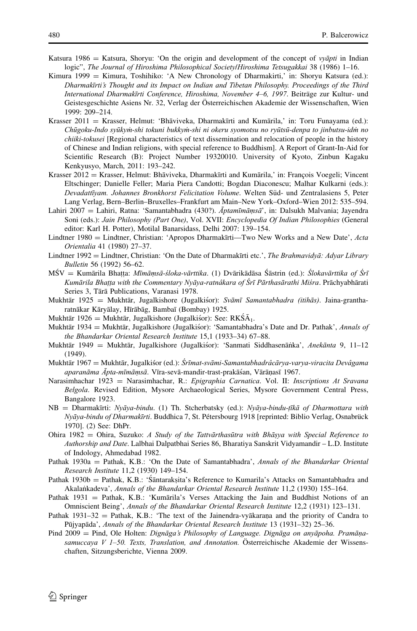- <span id="page-43-0"></span>Katsura 1986 = Katsura, Shoryu: 'On the origin and development of the concept of *vyāpti* in Indian logic", The Journal of Hiroshima Philosophical Society/Hiroshima Tetsugakkai 38 (1986) 1–16.
- Kimura 1999 = Kimura, Toshihiko: 'A New Chronology of Dharmakirti,' in: Shoryu Katsura (ed.): Dharmakīrti's Thought and its Impact on Indian and Tibetan Philosophy. Proceedings of the Third International Dharmakīrti Conference, Hiroshima, November 4–6, 1997. Beiträge zur Kultur- und Geistesgeschichte Asiens Nr. 32, Verlag der Österreichischen Akademie der Wissenschaften, Wien 1999: 209–214.
- Krasser 2011 = Krasser, Helmut: 'Bhaviveka, Dharmakīrti and Kumarila,' in: Toru Funayama (ed.): Chūgoku-Indo syūkyṁ-shi tokuni bukkyṁ-shi ni okeru syomotsu no ryūtsū-denpa to jinbutsu-idṁ no chiiki-tokusei [Regional characteristics of text dissemination and relocation of people in the history of Chinese and Indian religions, with special reference to Buddhism]. A Report of Grant-In-Aid for Scientific Research (B): Project Number 19320010. University of Kyoto, Zinbun Kagaku Kenkyusyo, March, 2011: 193–242.
- Krasser  $2012 =$  Krasser, Helmut: Bhāviveka, Dharmakīrti and Kumārila,' in: François Voegeli; Vincent Eltschinger; Danielle Feller; Maria Piera Candotti; Bogdan Diaconescu; Malhar Kulkarni (eds.): Devadattīyam. Johannes Bronkhorst Felicitation Volume. Welten Süd- und Zentralasiens 5, Peter Lang Verlag, Bern–Berlin–Bruxelles–Frankfurt am Main–New York–Oxford–Wien 2012: 535–594.
- Lahiri 2007 = Lahiri, Ratna: 'Samantabhadra (430?). Āptamīmāmsā', in: Dalsukh Malvania; Jayendra Soni (eds.): Jain Philosophy (Part One), Vol. XVII: Encyclopedia Of Indian Philosophies (General editor: Karl H. Potter), Motilal Banarsidass, Delhi 2007: 139–154.
- Lindtner 1980 = Lindtner, Christian: 'Apropos Dharmakīrti—Two New Works and a New Date', Acta Orientalia 41 (1980) 27–37.
- Lindtner 1992 = Lindtner, Christian: 'On the Date of Dharmakīrti etc.', The Brahmavidyā: Adyar Library Bulletin 56 (1992) 56–62.
- MŚV = Kumārila Bhaṭṭa: *Mīmāṃsā-śloka-vārttika*. (1) Dvārikādāsa Śāstrin (ed.): *Ślokavārttika of Śri*<br>Kumārila Bhatta with the Commentary Nyāya-ratnâkara of Śrī Pārthasārathi Miśra Prāchyabhārati ˙ Kumārila Bhaṭṭa with the Commentary Nyāya-ratnâkara of Śrī Pārthasārathi Miśra. Pra¯chyabha¯rati Series 3, Tārā Publications, Varanasi 1978.
- Mukhtār 1925 = Mukhtār, Jugalkishore (Jugalkis´or): Svāmī Samantabhadra (itihās). Jaina-grantharatnākar Kāryālay, Hīrābāg, Bambaī (Bombay) 1925.
- Mukhtār 1926 = Mukhtār, Jugalkishore (Jugalkis´or): See: RK $\overline{SA}_1$ .
- Mukhtār 1934 = Mukhtār, Jugalkishore (Jugalkisor): 'Samantabhadra's Date and Dr. Pathak', Annals of the Bhandarkar Oriental Research Institute 15,1 (1933–34) 67–88.
- Mukhtār 1949 = Mukhtār, Jugalkishore (Jugalkisor): 'Sanmati Siddhasenānta', Anekānta 9, 11-12 (1949).
- Mukhtār 1967 = Mukhtār, Jugalkiśor (ed.): Śrīmat-svāmi-Samantabhadrâcārya-varya-viracita Devâgama aparanāma Āpta-mīmāṃsā. Vīra-sevā-mandir-trast-prakāśan, Vārāṇasī 1967.
- ˙ Narasimhachar 1923 = Narasimhachar, R.: Epigraphia Carnatica. Vol. II: Inscriptions At Sravana Belgola. Revised Edition, Mysore Archaeological Series, Mysore Government Central Press, Bangalore 1923.
- NB = Dharmakīrti: Nyāya-bindu. (1) Th. Stcherbatsky (ed.): Nyāya-bindu-ṭīkā of Dharmottara with Nyāya-bindu of Dharmakīrti. Buddhica 7, St. Pétersbourg 1918 [reprinted: Biblio Verlag, Osnabrück 1970]. (2) See: DhPr.
- Ohira 1982 = Ohira, Suzuko: A Study of the Tattvārthasūtra with Bhāṣya with Special Reference to Authorship and Date. Lalbhai Dalpatbhai Series 86, Bharatiya Sanskrit Vidyamandir – L.D. Institute of Indology, Ahmedabad 1982.
- Pathak 1930a = Pathak, K.B.: 'On the Date of Samantabhadra', Annals of the Bhandarkar Oriental Research Institute 11,2 (1930) 149–154.
- Pathak 1930b = Pathak, K.B.: 'Śāntarakṣita's Reference to Kumarila's Attacks on Samantabhadra and<br>Akalaṅkadeva', Annals of the Bhandarkar Oriental Research Institute 11.2 (1930) 155–164 Akalan̆kadeva', Annals of the Bhandarkar Oriental Research Institute 11,2 (1930) 155-164.
- Pathak 1931 = Pathak, K.B.: 'Kumārila's Verses Attacking the Jain and Buddhist Notions of an Omniscient Being', Annals of the Bhandarkar Oriental Research Institute 12,2 (1931) 123–131.
- Pathak 1931–32 = Pathak, K.B.: 'The text of the Jainendra-vyākaraṇa and the priority of Candra to<br>
Privanāda', Annals of the Bhandarkar Qriantal Basearah Institute 13 (1931–32) 25, 36 Pūjyapāda', Annals of the Bhandarkar Oriental Research Institute 13 (1931–32) 25–36.
- Pind 2009 = Pind, Ole Holten: Dignāga's Philosophy of Language. Dignāga on anyāpoha. Pramāṇasamuccaya V  $1-50$ . Texts, Translation, and Annotation. Österreichische Akademie der Wissenschaften, Sitzungsberichte, Vienna 2009.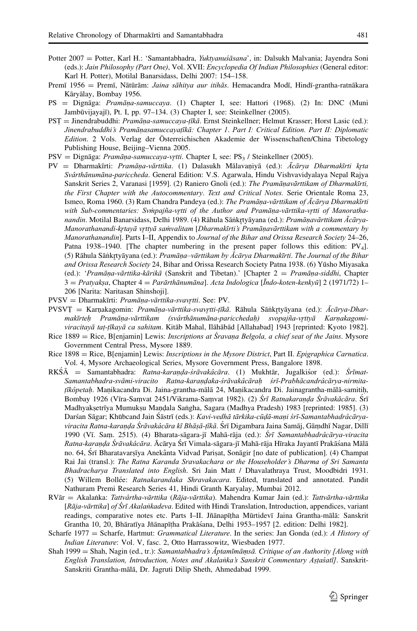- <span id="page-44-0"></span>Potter 2007 = Potter, Karl H.: 'Samantabhadra, *Yuktyanuśāsana'*, in: Dalsukh Malvania; Jayendra Soni (eds.): Jain Philosophy (Part One), Vol. XVII: Encyclopedia Of Indian Philosophies (General editor: Karl H. Potter), Motilal Banarsidass, Delhi 2007: 154–158.
- Premī 1956 = Premī, Nātūrām: Jaina sāhitya aur itihās. Hemacandra Modī, Hindī-grantha-ratnākara Kāryālay, Bombay 1956.
- PS = Dignāga: Pramāņa-samuccaya. (1) Chapter I, see: Hattori (1968). (2) In: DNC (Muni Jambūvijayajī), Pt. I, pp. 97–134. (3) Chapter I, see: Steinkellner (2005).
- PST = Jinendrabuddhi: *Pramāna-samuccaya-tīkā*. Ernst Steinkellner; Helmut Krasser; Horst Lasic (ed.): Jinendrabuddhi's Pramāṇasamuccayaṭīkā: Chapter 1. Part I: Critical Edition. Part II: Diplomatic Edition. 2 Vols. Verlag der Österreichischen Akademie der Wissenschaften/China Tibetology Publishing House, Beijing–Vienna 2005.
- $PSV =$  Dignāga: *Pramāņa-samuccaya-vr̥tti*. Chapter I, see:  $PS<sub>3</sub>$  / Steinkellner (2005).
- PV = Dharmakīrti: *Pramāņa-vārttika.* (1) Dalasukh Mālavaṇiyā (ed.): *Ācārya Dharmakīrti kr̥ta*<br>Sv*ârthānumāņa-pariceheda General* Edition: V.S. Agarwaļa Hindu Vishvavidvalava Nepal Raiva Svârthānumāna-pariccheda. General Edition: V.S. Agarwala, Hindu Vishvavidyalaya Nepal Rajya Sanskrit Series 2, Varanasi [1959]. (2) Raniero Gnoli (ed.): The Pramāṇavārttikam of Dharmakīrti, the First Chapter with the Autocommentary. Text and Critical Notes. Serie Orientale Roma 23, Ismeo, Roma 1960. (3) Ram Chandra Pandeya (ed.): The Pramāṇa-vārttikam of Ācārya Dharmakīrti with Sub-commentaries: Svmpajña-vr̥tti of the Author and Pramāṇa-vārttika-vr̥tti of Manoratha*nandin.* Motilal Banarsidass, Delhi 1989. (4) Rāhula Sāṅkṛtyāyana (ed.): *Pramāṇavārttikam Ācārya-*.<br>Manorathanandi-kr̥tayā vr̥ttyā saṁvalitam [Dharmakīrti's Pramāṇavārttikam with a commentary by Manorathanandin]. Parts I–II, Appendix to Journal of the Bihar and Orissa Research Society 24–26, Patna 1938–1940. [The chapter numbering in the present paper follows this edition: PV<sub>4</sub>]. (5) Rāhula Sāṅkṛtyāyana (ed.): Pramāṇa–vārttikam by Ācārya Dharmakīrti. The Journal of the Bihar and Orissa Research Society 24, Bihar and Orissa Research Society Patna 1938. (6) Yūsho Miyasaka (ed.): 'Pramāṇa-vārttika-kārikā (Sanskrit and Tibetan).' [Chapter 2 = Pramāṇa-siddhi, Chapter 3 = Pratyakṣa, Chapter 4 = Parārthānumāna]. Acta Indologica [Īndo-koten-kenkyū] 2 (1971/72) 1– 206 [Narita: Naritasan Shinshoji].
- PVSV = Dharmakīrti: Pramāņa-vārttika-svavrtti. See: PV.
- PVSVT = Karņakagomin: *Pramāņa-vārttika-svavr̥tti-ṭīkā*. Rāhula Sāṅkr̥tyāyana (ed.): *Ācārya-Dhar-*<br>makīrteh Pramāna-vārttikam (svârthānumāna-paricchedah), svongiña-vrttvā Karnakagomimakīrteḥ Pramāṇa-vārttikam (svârthānumāna-paricchedaḥ) svopajña-vr̥ttyā Karṇakagomiviracitayā tat-tīkayā ca sahitam. Kitāb Mahal, Ilāhābād [Allahabad] 1943 [reprinted: Kyoto 1982].
- Rice  $1889 =$  Rice, B[enjamin] Lewis: *Inscriptions at Śravana Belgola, a chief seat of the Jains*. Mysore Government Central Press, Mysore 1889.
- Rice 1898 = Rice, B[enjamin] Lewis: *Inscriptions in the Mysore District*, Part II. *Epigraphica Carnatica*. Vol. 4, Mysore Archaeological Series, Mysore Government Press, Bangalore 1898.
- $RK\ddot{S}\bar{A}$  = Samantabhadra: *Ratna-karanda-śrāvakâcāra*. (1) Mukhtār, Jugalkis´or (ed.): Ś*rīmat*-Samantabhadra-svāmi-viracito Ratna-karaṇḍaka-śrāvakâcāraḥ śrī-Prabhācandrâcārya-nirmitatīkôpetaḥ. Maṇikacandra Di. Jaina-grantha-mālā 24, Maṇikacandra Di. Jainagrantha-mālā-samitiḥ,<br>Bombay 1926 (Vīra-Samvat 2451/Vikrama-Samvat 1982). (2) Śrī *Batnakaranda Śrāvakācāra*, Śrī Bombay 1926 (Vīra-Saṃvat 2451/Vikrama-Saṃvat 1982). (2) *Śrī Ratnakaraṇḍa Śrāvakācāra.* Śrī<br>Madhyaksetrīva Mumuksu Mandala Sangha, Sangra (Madhya Pradesh) 1983 [reprinted: 1985]. (3) Madhyakṣetrīya Mumukṣu Maṇḍala Saṅgha, Sagara (Madhya Pradesh) 1983 [reprinted: 1985]. (3)<br>Darṣan Sāṇar: Khūbeand Jain Śāṣtrī (eds.): *Kavi-vedhā tārkika-cūdā-mani śrī-Samantabhadrâcārva* رت المستشفات المستقبلية المستقبلية المستقبلية المستقبلية المستقبلية المستقبلية المستقبلية المستقبلية المستقبل<br>Darśan Sāgar; Khūbcand Jain Śāstrī (eds.): *Kavi-vedhā tārkika-cūḍā-maṇi śrī-Samantabhadrâcārya*vir*acita Ratna-karaṇḍa Śrāvakâcāra kī Bhāṣā-ṭīkā*. Śrī Digambara Jaina Samāj, Gāṃdhī Nagar, Dillī 1990 (Vī. Sam. 2515). (4) Bharata-sāgara-jī Mahā-rāja (ed.): *Šrī Samantabhadrâcārya-viracita*<br>Patra karanda Šrāvakâgāra, Āgārva Šrī Vimaļa sāgara jī Mahā-rāja (ed.): *Šrī Samantabhadrâcārya-viracita* Ratna-karanda Śrāvakâcāra. Ācārya Šrī Vimala-sāgara-jī Mahā-rāja Hīraka Jayantī Prakāśana Mālā no. 64, Śrī Bharatavarsīya Anekânta Vidvad Parisat, Sonāgir [no date of publication]. (4) Champat<br>Pai Jai (transl.): *The Batna Karanda Sravakachara or the Householder's Dharma of Sri Samanta* Rai Jai (transl.): The Ratna Karanda Sravakachara or the Householder's Dharma of Sri Samanta Bhadracharya Translated into English. Sri Jain Matt / Dhavalathraya Trust, Moodbidri 1931. (5) Willem Bollée: Ratnakarandaka Shravakacara. Edited, translated and annotated. Pandit Nathuram Premi Research Series 41, Hindi Granth Karyalay, Mumbai 2012.
- RVār = Akalantka: Tattvârtha-vārttika (Rāja-vārttika). Mahendra Kumar Jain (ed.): Tattvārtha-vārttika [Rāja-vārttika] of Śrī Akalaṅkadeva. Edited with Hindi Translation, Introduction, appendices, variant readings, comparative notes etc. Parts I–II. Jñānapītha Mūrtidevī Jaina Grantha-mālā: Sanskrit Ustaniga, venipatative netes ven ratus 1 m vitampinia martiaen valma enama maia. 5<br>Grantha 10, 20, Bhāratīya Jñānapīṭha Prakāśana, Delhi 1953–1957 [2. edition: Delhi 1982].
- Scharfe 1977 = Scharfe, Hartmut: *Grammatical Literature*. In the series: Jan Gonda (ed.): *A History of* Scharfe 1977 = Scharfe, Hartmut: *Grammatical Literature*. In the series: Jan Gonda (ed.): *A History of* Indian Literature: Vol. V, fasc. 2, Otto Harrassowitz, Wiesbaden 1977.
- Shah 1999 = Shah, Nagin (ed., tr.): Samantabhadra's Āptamīmāṃsā. Critique of an Authority [Along with English Translation, Introduction, Notes and Akalaṅka's Sanskrit Commentary Aṣṭaśatī]. Sanskrit-Sanskriti Grantha-mālā, Dr. Jagruti Dilip Sheth, Ahmedabad 1999.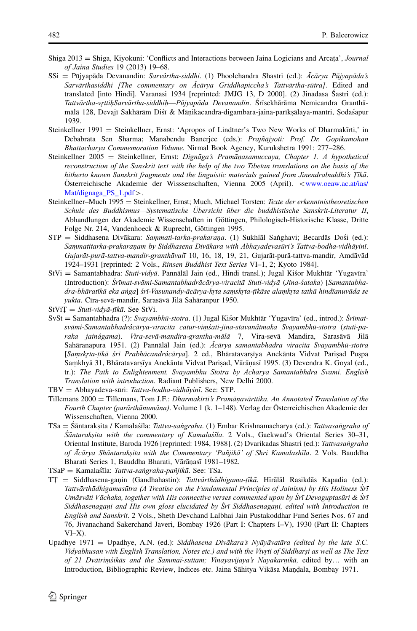- <span id="page-45-0"></span>Shiga 2013 = Shiga, Kiyokuni: 'Conflicts and Interactions between Jaina Logicians and Arcata', *Journal*<br>of *Jaina Studies* 19 (2013) 19–68 of Jaina Studies 19 (2013) 19–68.
- $SSi =$  Pūjyapāda Devanandin: Sarvârtha-siddhi. (1) Phoolchandra Shastri (ed.):  $\bar{A}c\bar{a}r\gamma a P\bar{u}j\gamma a\rho\bar{a}da's$ Sarvārthasiddhi [The commentary on Ācārya Griddhapiccha's Tattvārtha-sūtra]. Edited and translated [into Hindi]. Varanasi 1934 [reprinted: JMJG 13, D 2000]. (2) Jinadasa Śastri (ed.): Tattvārtha-vr̥ttiḥSarvārtha-siddhiḥ—Pūjyapāda Devanandin. Śrīsekhārāma Nemicandra Granthāmālā 128, Devajī Sakhārām Diśī & Māṇikacandra-digambara-jaina-parīkṣālaya-mantri, Sodaśapur<br>1939 ˙ 1939.
- Steinkellner 1991 = Steinkellner, Ernst: 'Apropos of Lindtner's Two New Works of Dharmakīrti,' in Debabrata Sen Sharma; Manabendu Banerjee (eds.): Prajñājyoti: Prof. Dr. Gopikamohan Bhattacharya Commemoration Volume. Nirmal Book Agency, Kurukshetra 1991: 277–286.
- Steinkellner 2005 = Steinkellner, Ernst: Dignāga's Pramāṇasamuccaya, Chapter 1. A hypothetical reconstruction of the Sanskrit text with the help of the two Tibetan translations on the basis of the hitherto known Sanskrit fragments and the linguistic materials gained from Jinendrabuddhi's Tīkā. Österreichische Akademie der Wisssenschaften, Vienna 2005 (April). <[www.oeaw.ac.at/ias/](http://www.oeaw.ac.at/ias/Mat/dignaga_PS_1.pdf)  $Mat/dignaga_PS_1.pdf$ .
- Steinkellner–Much 1995 = Steinkellner, Ernst; Much, Michael Torsten: Texte der erkenntnistheoretischen Schule des Buddhismus—Systematische Übersicht über die buddhistische Sanskrit-Literatur II, Abhandlungen der Akademie Wissenschaften in Göttingen, Philologisch-Historische Klasse, Dritte Folge Nr. 214, Vandenhoeck & Ruprecht, Göttingen 1995.
- STP = Siddhasena Divākara: Sammati-tarka-prakaraṇa. (1) Sukhlāl Saṅghavi; Becardās Dośi (ed.): Saṃmatitarka-prakaraṇam by Siddhasena Divākara with Abhayadevasūri's Tattva-bodha-vidhāyinī. Gujarāt-purā-tattva-mandir-granthāvalī 10, 16, 18, 19, 21, Gujarāt-purā-tattva-mandir, Amdāvād 1924–1931 [reprinted: 2 Vols., Rinsen Buddhist Text Series VI–1, 2; Kyoto 1984].
- StVi = Samantabhadra: Stuti-vidyā. Pannālāl Jain (ed., Hindi transl.); Jugal Kisor Mukhtār 'Yugavīra' (Introduction): Śrīmat-svāmi-Samantabhadrācārya-viracitā Stuti-vidyā (Jina-śataka) [Samantabhadra-bhāratīkā eka aṅga] śrī-Vasunandy-ācārya-kr̥ta saṃskr̥ta-ṭīkāse alaṃkr̥ta tathā hindīanuvāda se yukta. Cīra-sevā-mandir, Sarasāvā Jilā Sahāranpur 1950.
- $StViT = Stuti-vidv\bar{a}$ -tīkā. See StVi.
- SvSt = Samantabhadra (?): Svayambhū-stotra. (1) Jugal Kis´or Mukhtār 'Yugavīra' (ed., introd.): Śrīmatsvāmi-Samantabhadrâcārya-viracita catur-viṃśati-jina-stavanâtmaka Svayambhū-stotra (stuti-paraka jainâgama). Vira-sevā-mandira-grantha-mālā 7, Vira-sevā Mandira, Sarasāvā Jilā Sahāranapura 1951. (2) Pannālāl Jain (ed.): Ācārya samantabhadra viracita Svayambhū-stotra [*Saṃskr̥ta-ṭīkā śrī Prabhācandrâcārya*]. 2 ed., Bhāratavarṣīya Anekānta Vidvat Pariṣad Puṣpa<br>Samkhyā 31. Bhāratavarṣīya Anekānta Vidvat Pariṣad Vārānaṣī 1995. (3) Devendra K. Goval (ed Saṃkhyā 31, Bhāratavarṣīya Anekānta Vidvat Pariṣad, Vārāṇasī 1995. (3) Devendra K. Goyal (ed.,<br>tr.): *The Path to Enlighterment*, Sygyambhu Stotra by *Acharya Samantahhdra Syami, English* ˙ tr.): The Path to Enlightenment. Svayambhu Stotra by Acharya Samantabhdra Svami. English Translation with introduction. Radiant Publishers, New Delhi 2000.
- TBV = Abhayadeva-sūri: Tattva-bodha-vidhāyinī. See: STP.
- Tillemans 2000 = Tillemans, Tom J.F.: Dharmakīrti's Pramāṇavārttika. An Annotated Translation of the Fourth Chapter (parārthānumāna). Volume 1 (k. 1–148). Verlag der Österreichischen Akademie der Wissenschaften, Vienna 2000.
- TSa = Śāntarakṣita / Kamalaśīla: *Tattva-saṅgraha.* (1) Embar Krishnamacharya (ed.): *Tattvasaṅgraha of*<br>Sāntarakṣita with the commentary of Kamalaṣīla, 2 Vols. Gaekwad's Oriental Series 30-31 Śāntarakṣita with the commentary of Kamalaśīla. 2 Vols., Gaekwad's Oriental Series 30–31, Oriental Institute, Baroda 1926 [reprinted: 1984, 1988]. (2) Dvarikadas Shastri (ed.): Tattvasangraha of Ācārya Shāntarakṣita with the Commentary 'Pañjikā' of Shri Kamalashīla. 2 Vols. Bauddha Bharati Series 1, Bauddha Bharati, Vārāņasī 1981-1982.
- TSaP = Kamalası̃la: Tattva-saṅgraha-pañjikā. See: TSa.
- $TT =$  Siddhasena-ganin (Gandhahastin): *Tattvârthâdhigama-ṭīkā*. Hīrālāl Rasikdās Kapadia (ed.):<br>Tattvārthādhigamasūtra (4 Trastise on the Eundamantal Principles of Jainism) by His Holinges Śri Tattvārthādhigamasūtra (A Treatise on the Fundamental Principles of Jainism) by His Holiness Śrī Umāsvāti Vāchaka, together with His connective verses commented upon by Śrī Devaguptasūri  $\&$  Śrī Siddhasenagani and His own gloss elucidated by Śrī Siddhasenagani, edited with Introduction in English and Sanskrit. 2 Vols., Sheth Devchand Lalbhai Jain Pustakoddhar Fund Series Nos. 67 and 76, Jivanachand Sakerchand Javeri, Bombay 1926 (Part I: Chapters I–V), 1930 (Part II: Chapters  $VI-X$ ).
- Upadhye 1971 = Upadhye, A.N. (ed.): Siddhasena Divākara's Nyāyāvatāra (edited by the late S.C. Vidyabhusan with English Translation, Notes etc.) and with the Vivrti of Siddharşi as well as The Text of 21 Dvātriṃśikās and the Sammaï-suttam; Vinayavijaya's Nayakarṇikā, edited by… with an Introduction, Bibliographic Review, Indices etc. Jaina Sāhitya Vikāsa Maṇḍala, Bombay 1971.